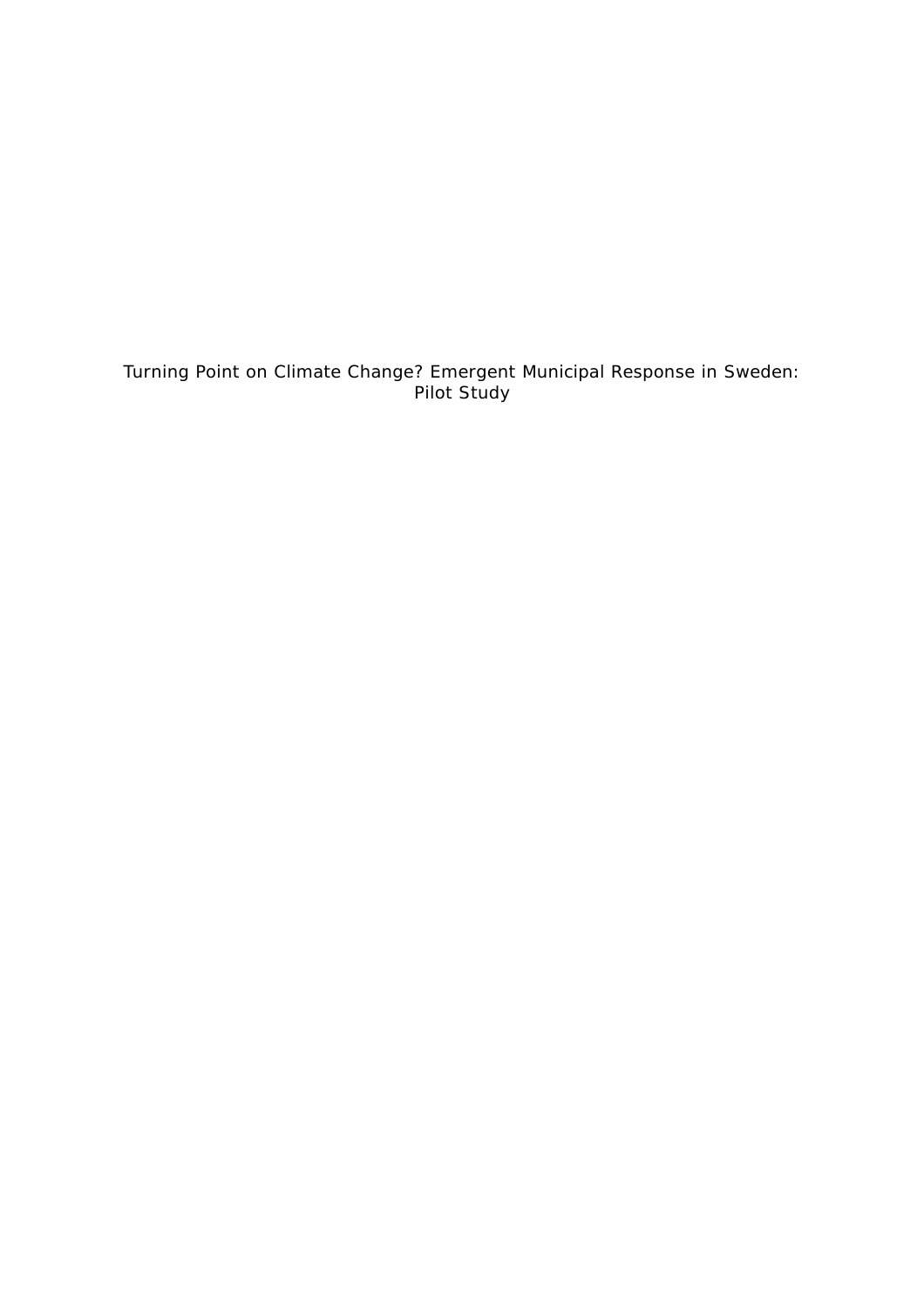Turning Point on Climate Change? Emergent Municipal Response in Sweden: Pilot Study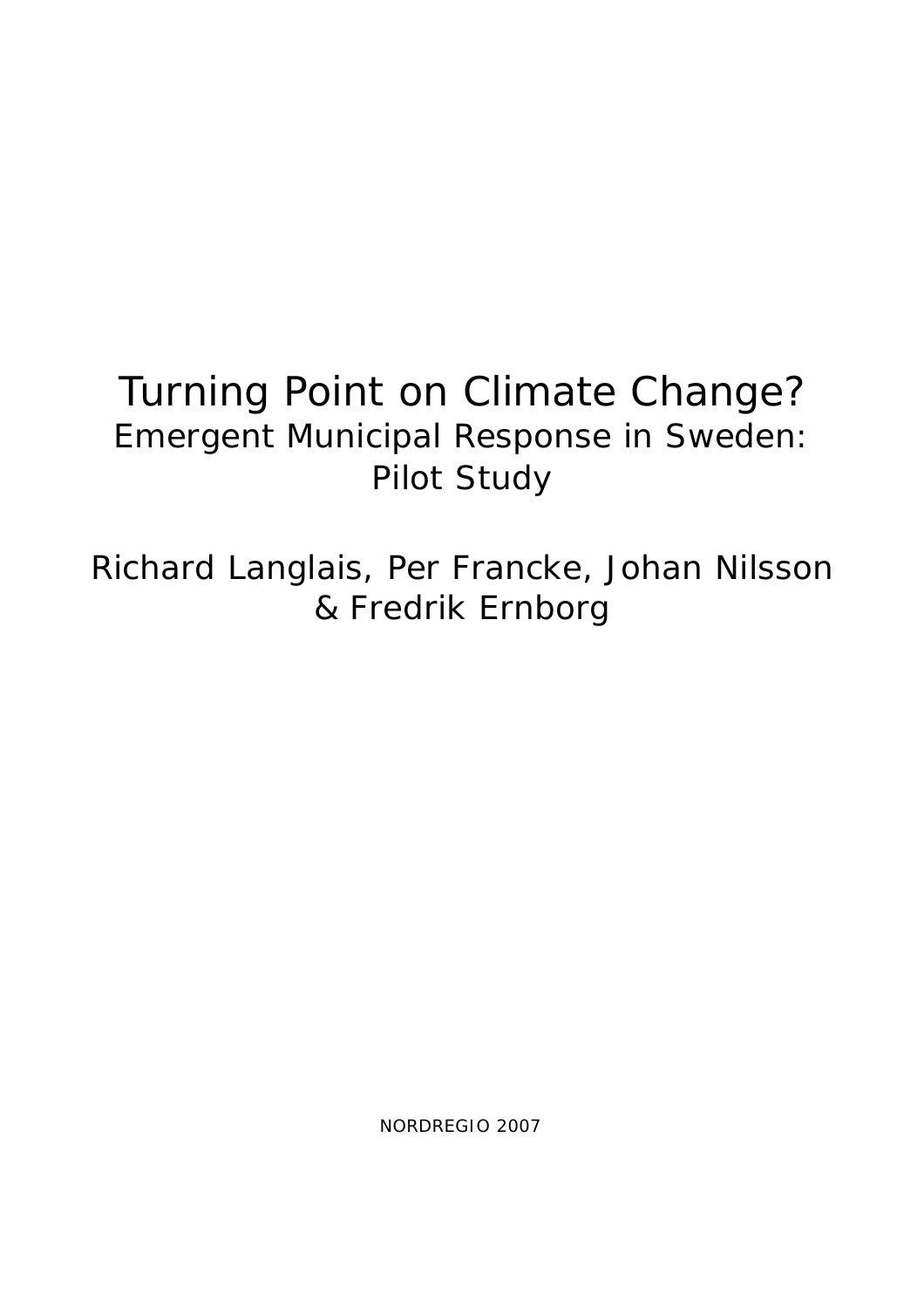# Turning Point on Climate Change? Emergent Municipal Response in Sweden: Pilot Study

Richard Langlais, Per Francke, Johan Nilsson & Fredrik Ernborg

NORDREGIO 2007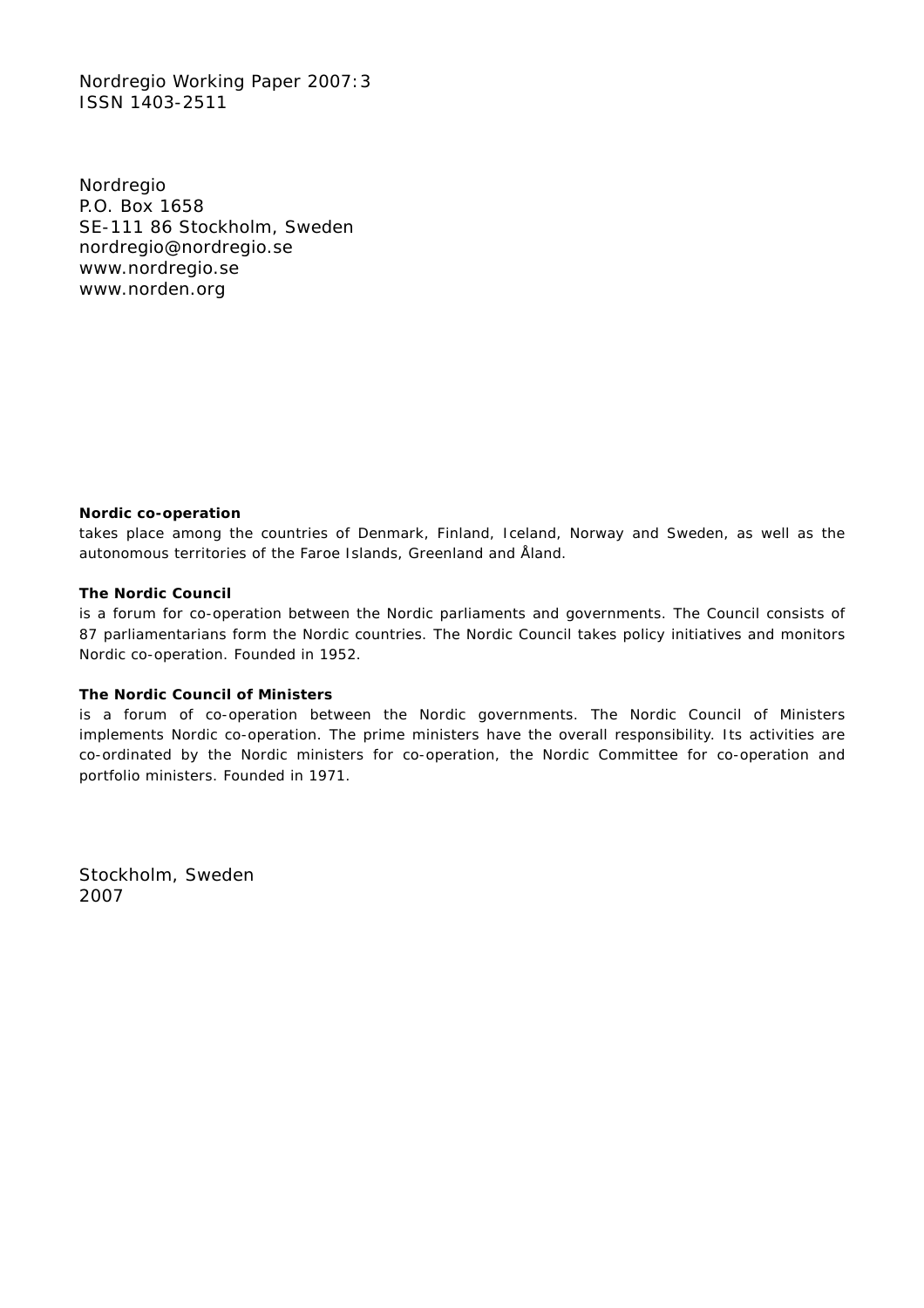Nordregio Working Paper 2007:3 ISSN 1403-2511

Nordregio P.O. Box 1658 SE-111 86 Stockholm, Sweden nordregio@nordregio.se www.nordregio.se www.norden.org

#### **Nordic co-operation**

takes place among the countries of Denmark, Finland, Iceland, Norway and Sweden, as well as the autonomous territories of the Faroe Islands, Greenland and Åland.

#### **The Nordic Council**

is a forum for co-operation between the Nordic parliaments and governments. The Council consists of 87 parliamentarians form the Nordic countries. The Nordic Council takes policy initiatives and monitors Nordic co-operation. Founded in 1952.

#### **The Nordic Council of Ministers**

is a forum of co-operation between the Nordic governments. The Nordic Council of Ministers implements Nordic co-operation. The prime ministers have the overall responsibility. Its activities are co-ordinated by the Nordic ministers for co-operation, the Nordic Committee for co-operation and portfolio ministers. Founded in 1971.

Stockholm, Sweden 2007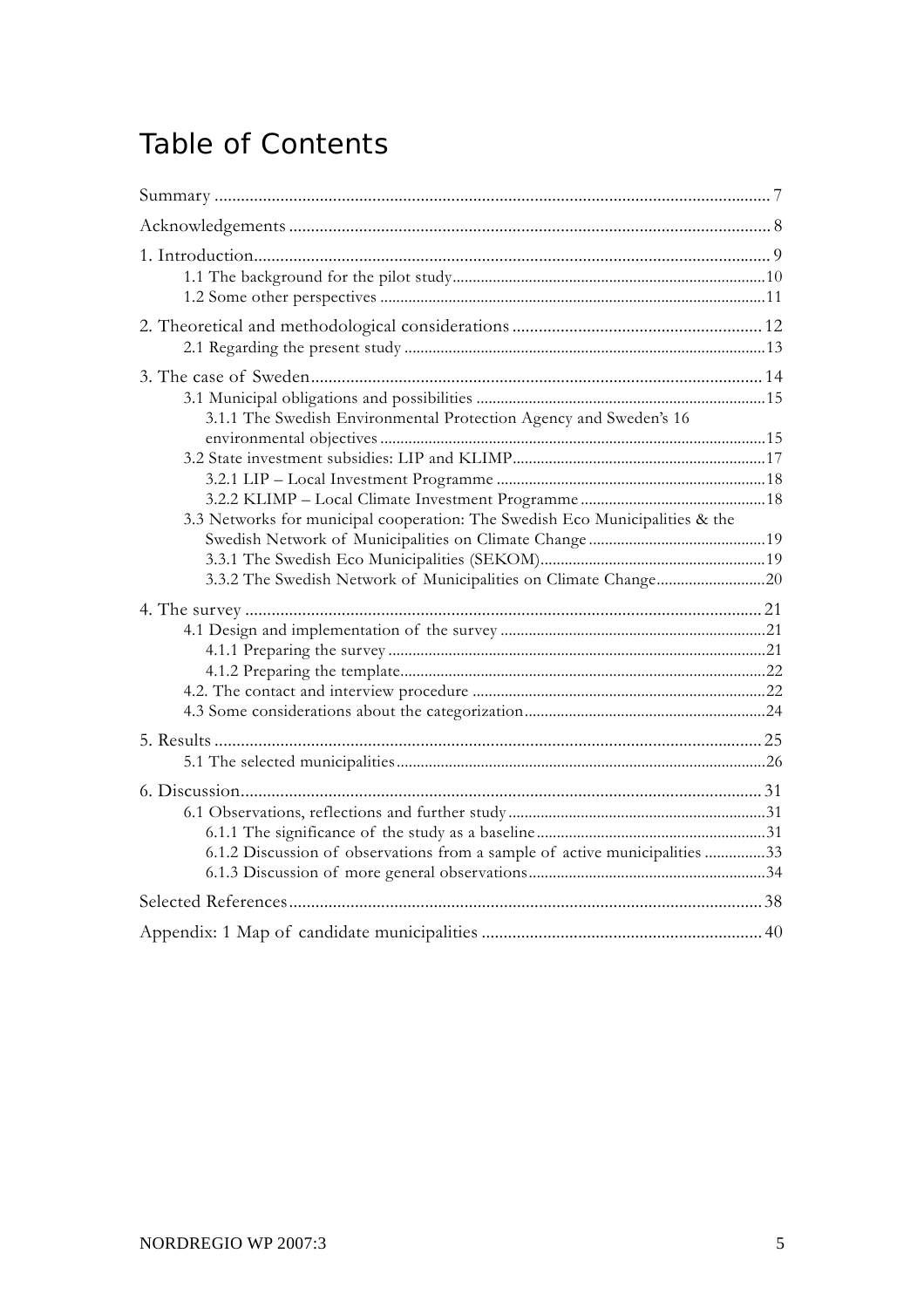## Table of Contents

| 3.1.1 The Swedish Environmental Protection Agency and Sweden's 16            |  |  |  |
|------------------------------------------------------------------------------|--|--|--|
|                                                                              |  |  |  |
| 3.3 Networks for municipal cooperation: The Swedish Eco Municipalities & the |  |  |  |
|                                                                              |  |  |  |
|                                                                              |  |  |  |
|                                                                              |  |  |  |
|                                                                              |  |  |  |
|                                                                              |  |  |  |
|                                                                              |  |  |  |
|                                                                              |  |  |  |
| 6.1.2 Discussion of observations from a sample of active municipalities 33   |  |  |  |
|                                                                              |  |  |  |
|                                                                              |  |  |  |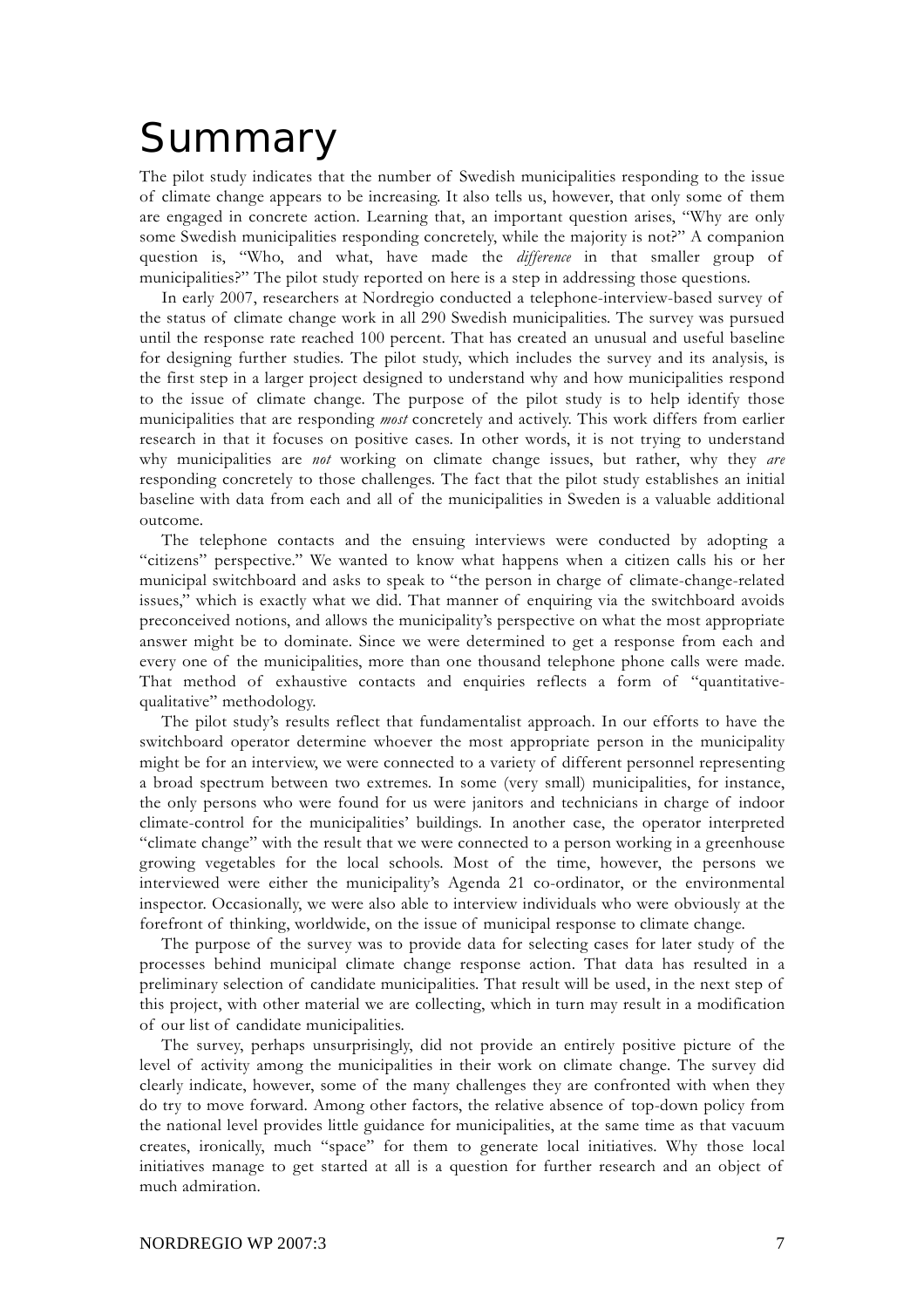# Summary

The pilot study indicates that the number of Swedish municipalities responding to the issue of climate change appears to be increasing. It also tells us, however, that only some of them are engaged in concrete action. Learning that, an important question arises, "Why are only some Swedish municipalities responding concretely, while the majority is not?" A companion question is, "Who, and what, have made the *difference* in that smaller group of municipalities?" The pilot study reported on here is a step in addressing those questions.

In early 2007, researchers at Nordregio conducted a telephone-interview-based survey of the status of climate change work in all 290 Swedish municipalities. The survey was pursued until the response rate reached 100 percent. That has created an unusual and useful baseline for designing further studies. The pilot study, which includes the survey and its analysis, is the first step in a larger project designed to understand why and how municipalities respond to the issue of climate change. The purpose of the pilot study is to help identify those municipalities that are responding *most* concretely and actively. This work differs from earlier research in that it focuses on positive cases. In other words, it is not trying to understand why municipalities are *not* working on climate change issues, but rather, why they *are* responding concretely to those challenges. The fact that the pilot study establishes an initial baseline with data from each and all of the municipalities in Sweden is a valuable additional outcome.

The telephone contacts and the ensuing interviews were conducted by adopting a "citizens" perspective." We wanted to know what happens when a citizen calls his or her municipal switchboard and asks to speak to "the person in charge of climate-change-related issues," which is exactly what we did. That manner of enquiring via the switchboard avoids preconceived notions, and allows the municipality's perspective on what the most appropriate answer might be to dominate. Since we were determined to get a response from each and every one of the municipalities, more than one thousand telephone phone calls were made. That method of exhaustive contacts and enquiries reflects a form of "quantitativequalitative" methodology.

The pilot study's results reflect that fundamentalist approach. In our efforts to have the switchboard operator determine whoever the most appropriate person in the municipality might be for an interview, we were connected to a variety of different personnel representing a broad spectrum between two extremes. In some (very small) municipalities, for instance, the only persons who were found for us were janitors and technicians in charge of indoor climate-control for the municipalities' buildings. In another case, the operator interpreted "climate change" with the result that we were connected to a person working in a greenhouse growing vegetables for the local schools. Most of the time, however, the persons we interviewed were either the municipality's Agenda 21 co-ordinator, or the environmental inspector. Occasionally, we were also able to interview individuals who were obviously at the forefront of thinking, worldwide, on the issue of municipal response to climate change.

The purpose of the survey was to provide data for selecting cases for later study of the processes behind municipal climate change response action. That data has resulted in a preliminary selection of candidate municipalities. That result will be used, in the next step of this project, with other material we are collecting, which in turn may result in a modification of our list of candidate municipalities.

The survey, perhaps unsurprisingly, did not provide an entirely positive picture of the level of activity among the municipalities in their work on climate change. The survey did clearly indicate, however, some of the many challenges they are confronted with when they do try to move forward. Among other factors, the relative absence of top-down policy from the national level provides little guidance for municipalities, at the same time as that vacuum creates, ironically, much "space" for them to generate local initiatives. Why those local initiatives manage to get started at all is a question for further research and an object of much admiration.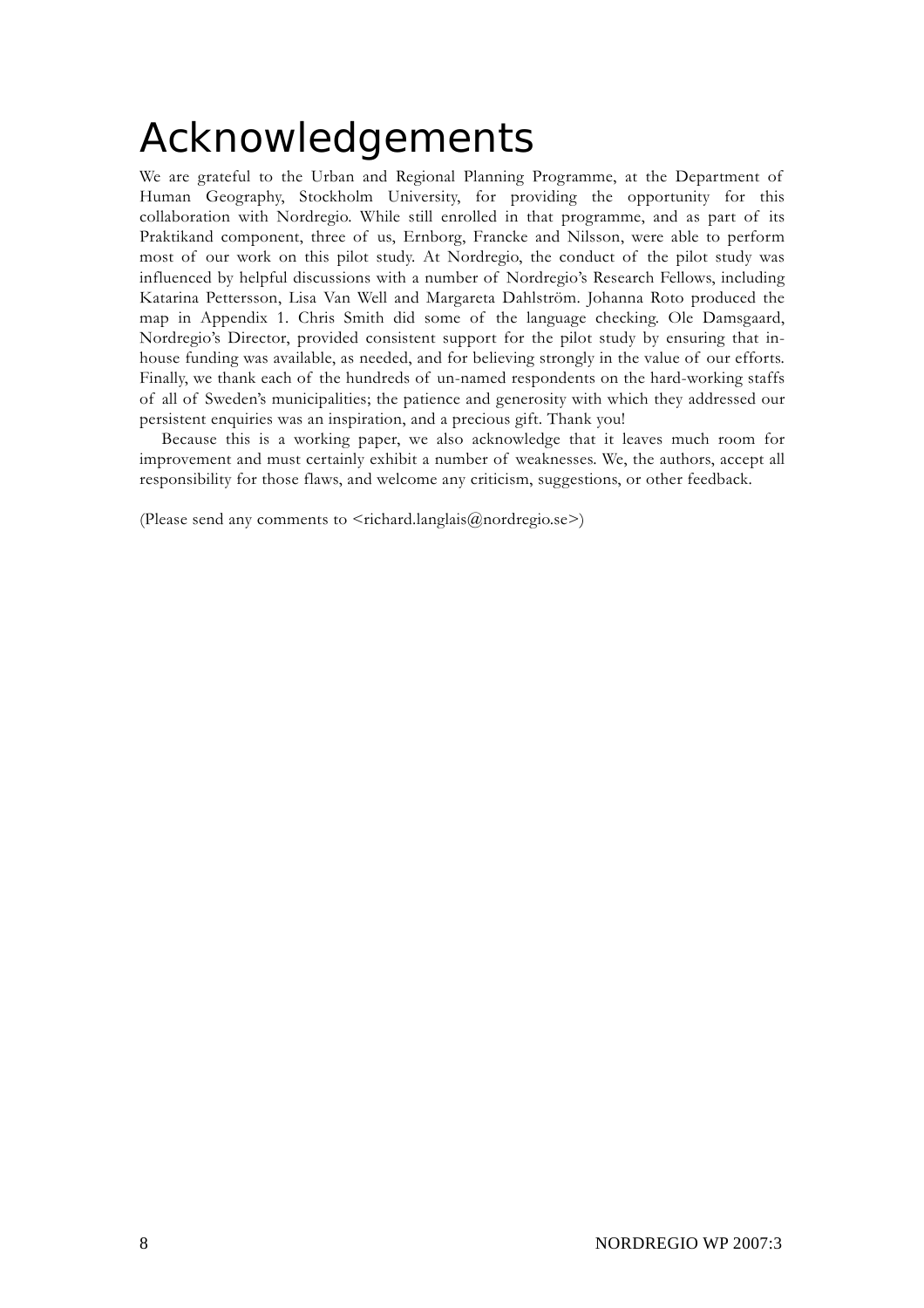# Acknowledgements

We are grateful to the Urban and Regional Planning Programme, at the Department of Human Geography, Stockholm University, for providing the opportunity for this collaboration with Nordregio. While still enrolled in that programme, and as part of its Praktikand component, three of us, Ernborg, Francke and Nilsson, were able to perform most of our work on this pilot study. At Nordregio, the conduct of the pilot study was influenced by helpful discussions with a number of Nordregio's Research Fellows, including Katarina Pettersson, Lisa Van Well and Margareta Dahlström. Johanna Roto produced the map in Appendix 1. Chris Smith did some of the language checking. Ole Damsgaard, Nordregio's Director, provided consistent support for the pilot study by ensuring that inhouse funding was available, as needed, and for believing strongly in the value of our efforts. Finally, we thank each of the hundreds of un-named respondents on the hard-working staffs of all of Sweden's municipalities; the patience and generosity with which they addressed our persistent enquiries was an inspiration, and a precious gift. Thank you!

Because this is a working paper, we also acknowledge that it leaves much room for improvement and must certainly exhibit a number of weaknesses. We, the authors, accept all responsibility for those flaws, and welcome any criticism, suggestions, or other feedback.

(Please send any comments to  $\leq$ richard.langlais@nordregio.se>)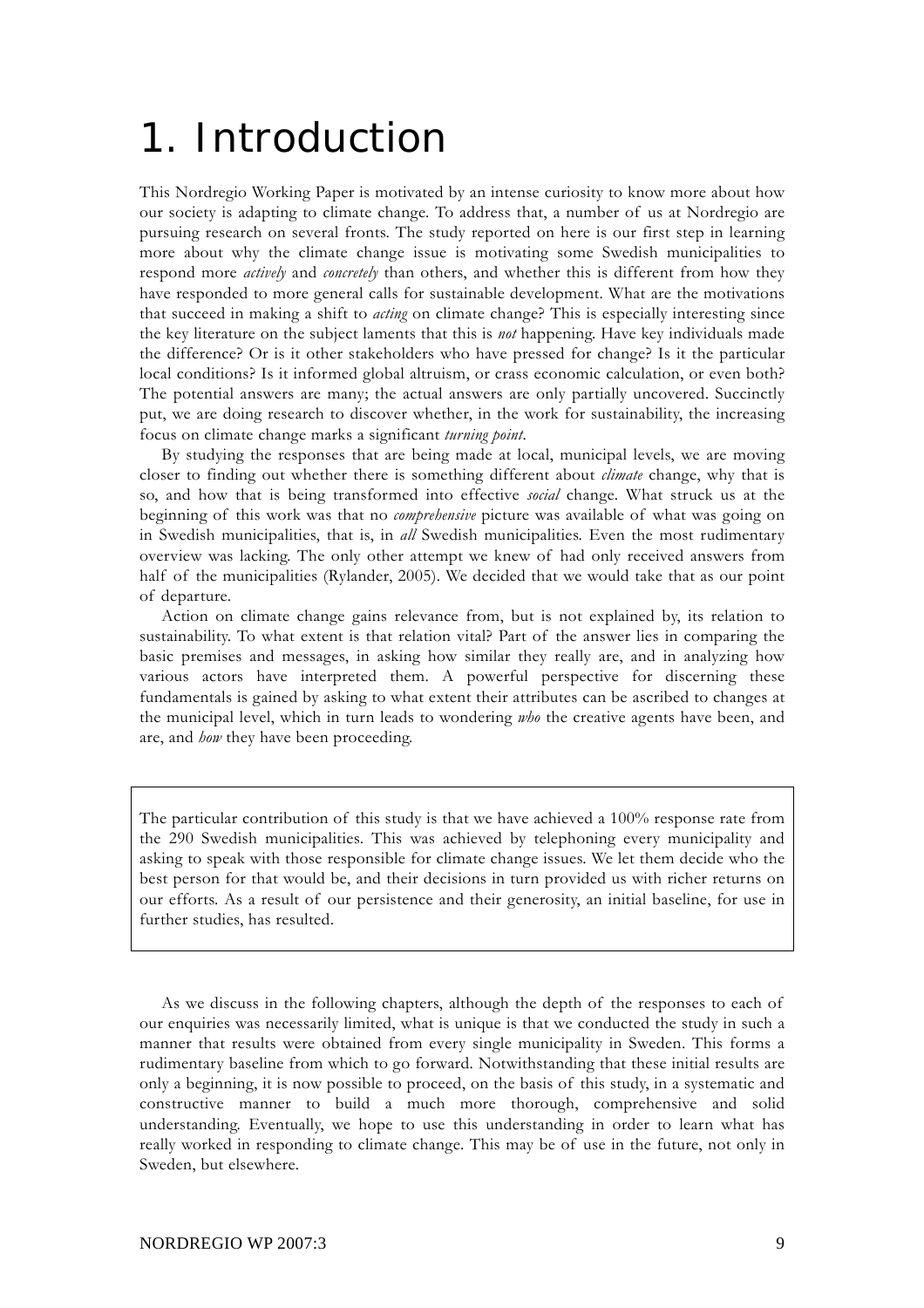# 1. Introduction

This Nordregio Working Paper is motivated by an intense curiosity to know more about how our society is adapting to climate change. To address that, a number of us at Nordregio are pursuing research on several fronts. The study reported on here is our first step in learning more about why the climate change issue is motivating some Swedish municipalities to respond more *actively* and *concretely* than others, and whether this is different from how they have responded to more general calls for sustainable development. What are the motivations that succeed in making a shift to *acting* on climate change? This is especially interesting since the key literature on the subject laments that this is *not* happening. Have key individuals made the difference? Or is it other stakeholders who have pressed for change? Is it the particular local conditions? Is it informed global altruism, or crass economic calculation, or even both? The potential answers are many; the actual answers are only partially uncovered. Succinctly put, we are doing research to discover whether, in the work for sustainability, the increasing focus on climate change marks a significant *turning point*.

By studying the responses that are being made at local, municipal levels, we are moving closer to finding out whether there is something different about *climate* change, why that is so, and how that is being transformed into effective *social* change. What struck us at the beginning of this work was that no *comprehensive* picture was available of what was going on in Swedish municipalities, that is, in *all* Swedish municipalities. Even the most rudimentary overview was lacking. The only other attempt we knew of had only received answers from half of the municipalities (Rylander, 2005). We decided that we would take that as our point of departure.

Action on climate change gains relevance from, but is not explained by, its relation to sustainability. To what extent is that relation vital? Part of the answer lies in comparing the basic premises and messages, in asking how similar they really are, and in analyzing how various actors have interpreted them. A powerful perspective for discerning these fundamentals is gained by asking to what extent their attributes can be ascribed to changes at the municipal level, which in turn leads to wondering *who* the creative agents have been, and are, and *how* they have been proceeding.

The particular contribution of this study is that we have achieved a 100% response rate from the 290 Swedish municipalities. This was achieved by telephoning every municipality and asking to speak with those responsible for climate change issues. We let them decide who the best person for that would be, and their decisions in turn provided us with richer returns on our efforts. As a result of our persistence and their generosity, an initial baseline, for use in further studies, has resulted.

As we discuss in the following chapters, although the depth of the responses to each of our enquiries was necessarily limited, what is unique is that we conducted the study in such a manner that results were obtained from every single municipality in Sweden. This forms a rudimentary baseline from which to go forward. Notwithstanding that these initial results are only a beginning, it is now possible to proceed, on the basis of this study, in a systematic and constructive manner to build a much more thorough, comprehensive and solid understanding. Eventually, we hope to use this understanding in order to learn what has really worked in responding to climate change. This may be of use in the future, not only in Sweden, but elsewhere.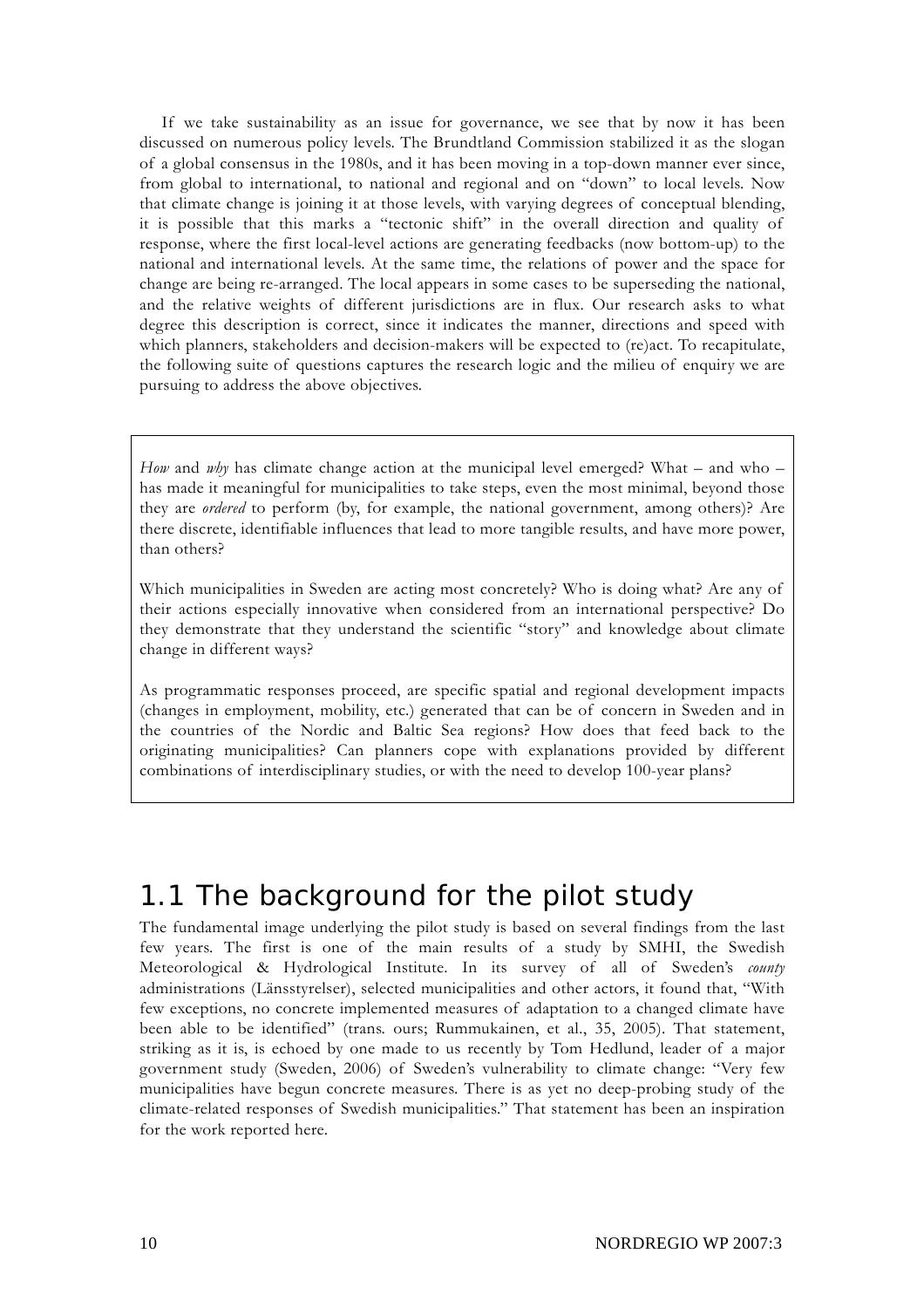If we take sustainability as an issue for governance, we see that by now it has been discussed on numerous policy levels. The Brundtland Commission stabilized it as the slogan of a global consensus in the 1980s, and it has been moving in a top-down manner ever since, from global to international, to national and regional and on "down" to local levels. Now that climate change is joining it at those levels, with varying degrees of conceptual blending, it is possible that this marks a "tectonic shift" in the overall direction and quality of response, where the first local-level actions are generating feedbacks (now bottom-up) to the national and international levels. At the same time, the relations of power and the space for change are being re-arranged. The local appears in some cases to be superseding the national, and the relative weights of different jurisdictions are in flux. Our research asks to what degree this description is correct, since it indicates the manner, directions and speed with which planners, stakeholders and decision-makers will be expected to (re)act. To recapitulate, the following suite of questions captures the research logic and the milieu of enquiry we are pursuing to address the above objectives.

*How* and *why* has climate change action at the municipal level emerged? What – and who – has made it meaningful for municipalities to take steps, even the most minimal, beyond those they are *ordered* to perform (by, for example, the national government, among others)? Are there discrete, identifiable influences that lead to more tangible results, and have more power, than others?

Which municipalities in Sweden are acting most concretely? Who is doing what? Are any of their actions especially innovative when considered from an international perspective? Do they demonstrate that they understand the scientific "story" and knowledge about climate change in different ways?

As programmatic responses proceed, are specific spatial and regional development impacts (changes in employment, mobility, etc.) generated that can be of concern in Sweden and in the countries of the Nordic and Baltic Sea regions? How does that feed back to the originating municipalities? Can planners cope with explanations provided by different combinations of interdisciplinary studies, or with the need to develop 100-year plans?

## 1.1 The background for the pilot study

The fundamental image underlying the pilot study is based on several findings from the last few years. The first is one of the main results of a study by SMHI, the Swedish Meteorological & Hydrological Institute. In its survey of all of Sweden's *county* administrations (Länsstyrelser), selected municipalities and other actors, it found that, "With few exceptions, no concrete implemented measures of adaptation to a changed climate have been able to be identified" (trans. ours; Rummukainen, et al., 35, 2005). That statement, striking as it is, is echoed by one made to us recently by Tom Hedlund, leader of a major government study (Sweden, 2006) of Sweden's vulnerability to climate change: "Very few municipalities have begun concrete measures. There is as yet no deep-probing study of the climate-related responses of Swedish municipalities." That statement has been an inspiration for the work reported here.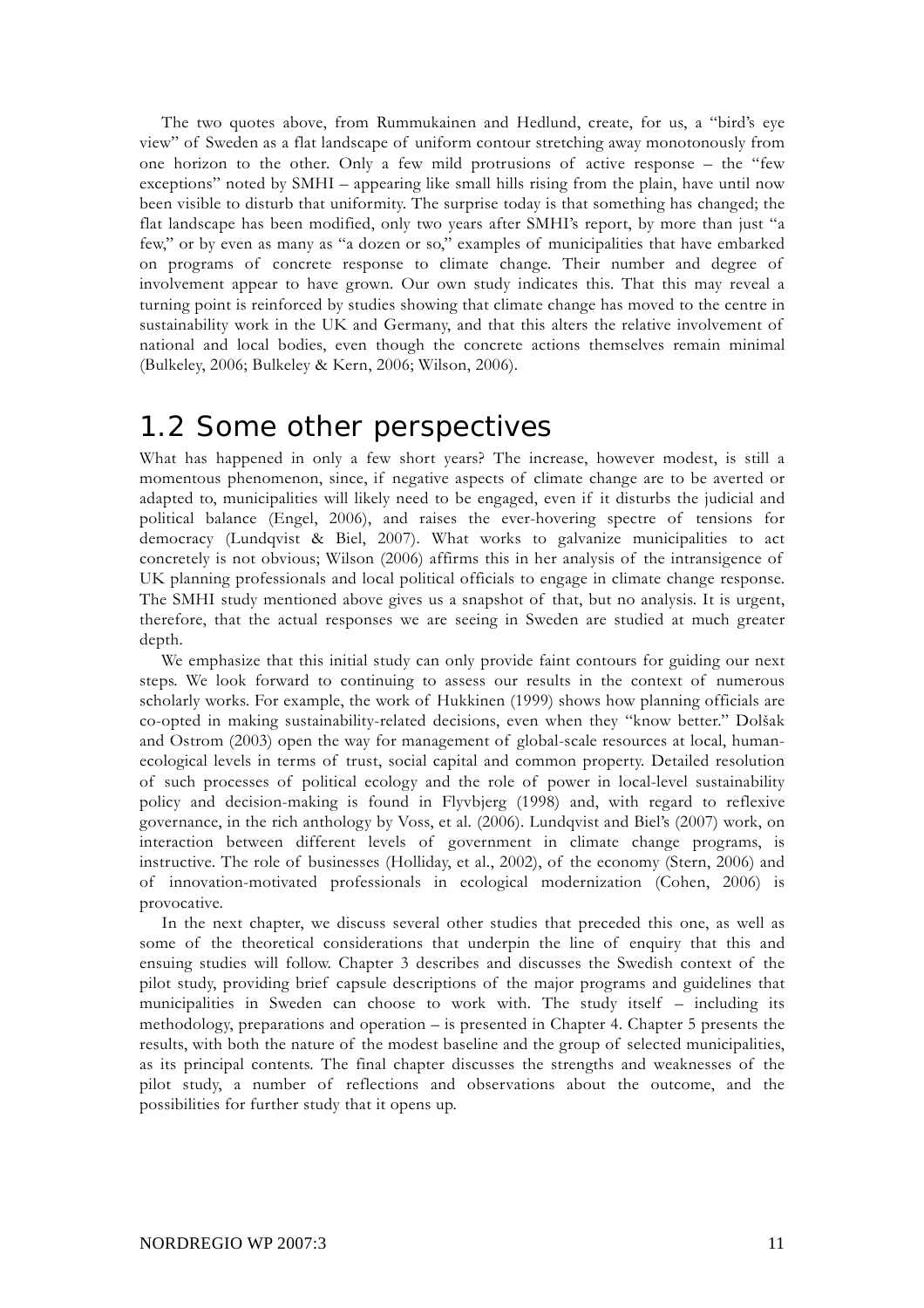The two quotes above, from Rummukainen and Hedlund, create, for us, a "bird's eye view" of Sweden as a flat landscape of uniform contour stretching away monotonously from one horizon to the other. Only a few mild protrusions of active response – the "few exceptions" noted by SMHI – appearing like small hills rising from the plain, have until now been visible to disturb that uniformity. The surprise today is that something has changed; the flat landscape has been modified, only two years after SMHI's report, by more than just "a few," or by even as many as "a dozen or so," examples of municipalities that have embarked on programs of concrete response to climate change. Their number and degree of involvement appear to have grown. Our own study indicates this. That this may reveal a turning point is reinforced by studies showing that climate change has moved to the centre in sustainability work in the UK and Germany, and that this alters the relative involvement of national and local bodies, even though the concrete actions themselves remain minimal (Bulkeley, 2006; Bulkeley & Kern, 2006; Wilson, 2006).

### 1.2 Some other perspectives

What has happened in only a few short years? The increase, however modest, is still a momentous phenomenon, since, if negative aspects of climate change are to be averted or adapted to, municipalities will likely need to be engaged, even if it disturbs the judicial and political balance (Engel, 2006), and raises the ever-hovering spectre of tensions for democracy (Lundqvist & Biel, 2007). What works to galvanize municipalities to act concretely is not obvious; Wilson (2006) affirms this in her analysis of the intransigence of UK planning professionals and local political officials to engage in climate change response. The SMHI study mentioned above gives us a snapshot of that, but no analysis. It is urgent, therefore, that the actual responses we are seeing in Sweden are studied at much greater depth.

We emphasize that this initial study can only provide faint contours for guiding our next steps. We look forward to continuing to assess our results in the context of numerous scholarly works. For example, the work of Hukkinen (1999) shows how planning officials are co-opted in making sustainability-related decisions, even when they "know better." Dolšak and Ostrom (2003) open the way for management of global-scale resources at local, humanecological levels in terms of trust, social capital and common property. Detailed resolution of such processes of political ecology and the role of power in local-level sustainability policy and decision-making is found in Flyvbjerg (1998) and, with regard to reflexive governance, in the rich anthology by Voss, et al. (2006). Lundqvist and Biel's (2007) work, on interaction between different levels of government in climate change programs, is instructive. The role of businesses (Holliday, et al., 2002), of the economy (Stern, 2006) and of innovation-motivated professionals in ecological modernization (Cohen, 2006) is provocative.

In the next chapter, we discuss several other studies that preceded this one, as well as some of the theoretical considerations that underpin the line of enquiry that this and ensuing studies will follow. Chapter 3 describes and discusses the Swedish context of the pilot study, providing brief capsule descriptions of the major programs and guidelines that municipalities in Sweden can choose to work with. The study itself – including its methodology, preparations and operation – is presented in Chapter 4. Chapter 5 presents the results, with both the nature of the modest baseline and the group of selected municipalities, as its principal contents. The final chapter discusses the strengths and weaknesses of the pilot study, a number of reflections and observations about the outcome, and the possibilities for further study that it opens up.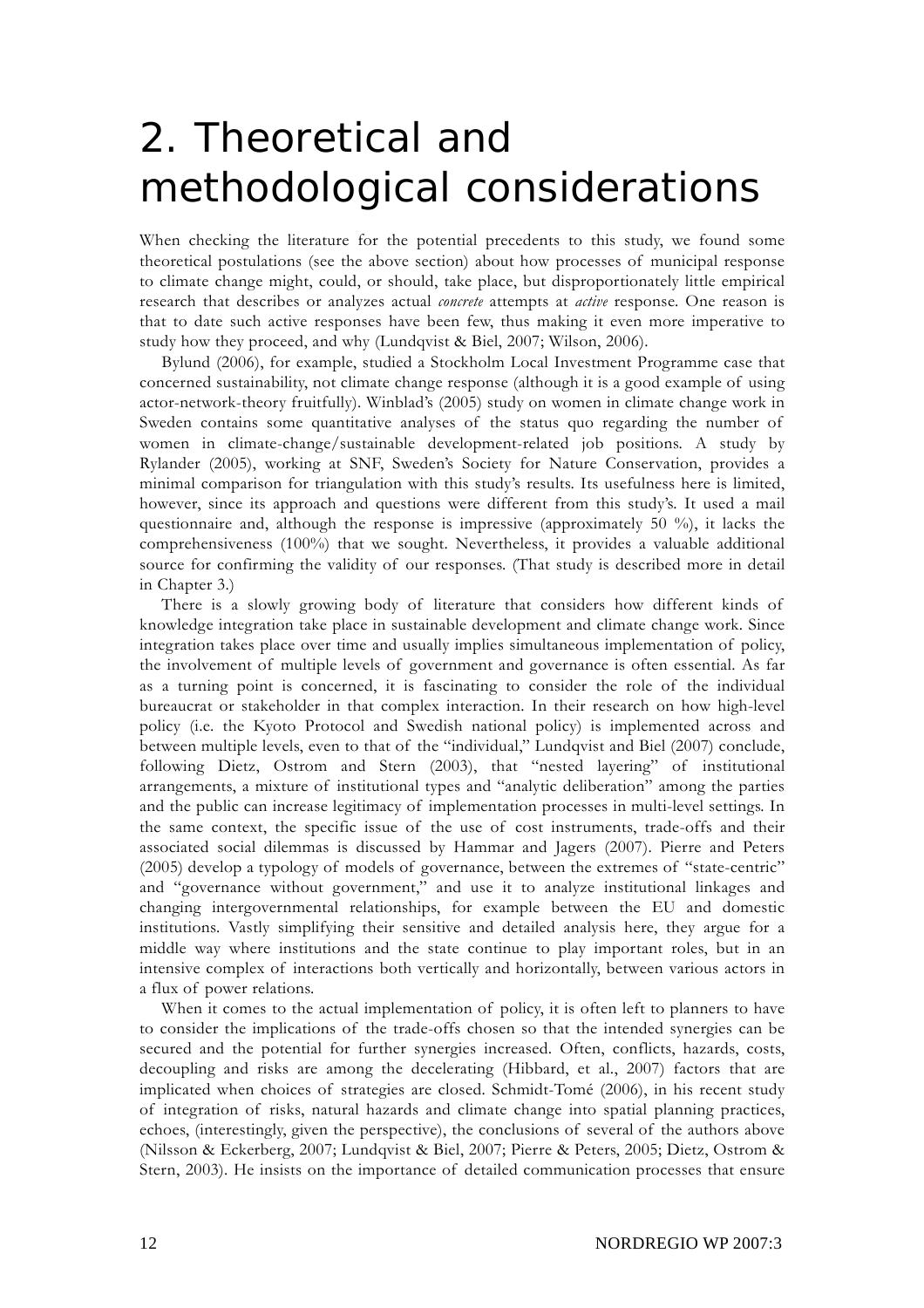# 2. Theoretical and methodological considerations

When checking the literature for the potential precedents to this study, we found some theoretical postulations (see the above section) about how processes of municipal response to climate change might, could, or should, take place, but disproportionately little empirical research that describes or analyzes actual *concrete* attempts at *active* response. One reason is that to date such active responses have been few, thus making it even more imperative to study how they proceed, and why (Lundqvist & Biel, 2007; Wilson, 2006).

Bylund (2006), for example, studied a Stockholm Local Investment Programme case that concerned sustainability, not climate change response (although it is a good example of using actor-network-theory fruitfully). Winblad's (2005) study on women in climate change work in Sweden contains some quantitative analyses of the status quo regarding the number of women in climate-change/sustainable development-related job positions. A study by Rylander (2005), working at SNF, Sweden's Society for Nature Conservation, provides a minimal comparison for triangulation with this study's results. Its usefulness here is limited, however, since its approach and questions were different from this study's. It used a mail questionnaire and, although the response is impressive (approximately 50 %), it lacks the comprehensiveness (100%) that we sought. Nevertheless, it provides a valuable additional source for confirming the validity of our responses. (That study is described more in detail in Chapter 3.)

There is a slowly growing body of literature that considers how different kinds of knowledge integration take place in sustainable development and climate change work. Since integration takes place over time and usually implies simultaneous implementation of policy, the involvement of multiple levels of government and governance is often essential. As far as a turning point is concerned, it is fascinating to consider the role of the individual bureaucrat or stakeholder in that complex interaction. In their research on how high-level policy (i.e. the Kyoto Protocol and Swedish national policy) is implemented across and between multiple levels, even to that of the "individual," Lundqvist and Biel (2007) conclude, following Dietz, Ostrom and Stern (2003), that "nested layering" of institutional arrangements, a mixture of institutional types and "analytic deliberation" among the parties and the public can increase legitimacy of implementation processes in multi-level settings. In the same context, the specific issue of the use of cost instruments, trade-offs and their associated social dilemmas is discussed by Hammar and Jagers (2007). Pierre and Peters (2005) develop a typology of models of governance, between the extremes of "state-centric" and "governance without government," and use it to analyze institutional linkages and changing intergovernmental relationships, for example between the EU and domestic institutions. Vastly simplifying their sensitive and detailed analysis here, they argue for a middle way where institutions and the state continue to play important roles, but in an intensive complex of interactions both vertically and horizontally, between various actors in a flux of power relations.

When it comes to the actual implementation of policy, it is often left to planners to have to consider the implications of the trade-offs chosen so that the intended synergies can be secured and the potential for further synergies increased. Often, conflicts, hazards, costs, decoupling and risks are among the decelerating (Hibbard, et al., 2007) factors that are implicated when choices of strategies are closed. Schmidt-Tomé (2006), in his recent study of integration of risks, natural hazards and climate change into spatial planning practices, echoes, (interestingly, given the perspective), the conclusions of several of the authors above (Nilsson & Eckerberg, 2007; Lundqvist & Biel, 2007; Pierre & Peters, 2005; Dietz, Ostrom & Stern, 2003). He insists on the importance of detailed communication processes that ensure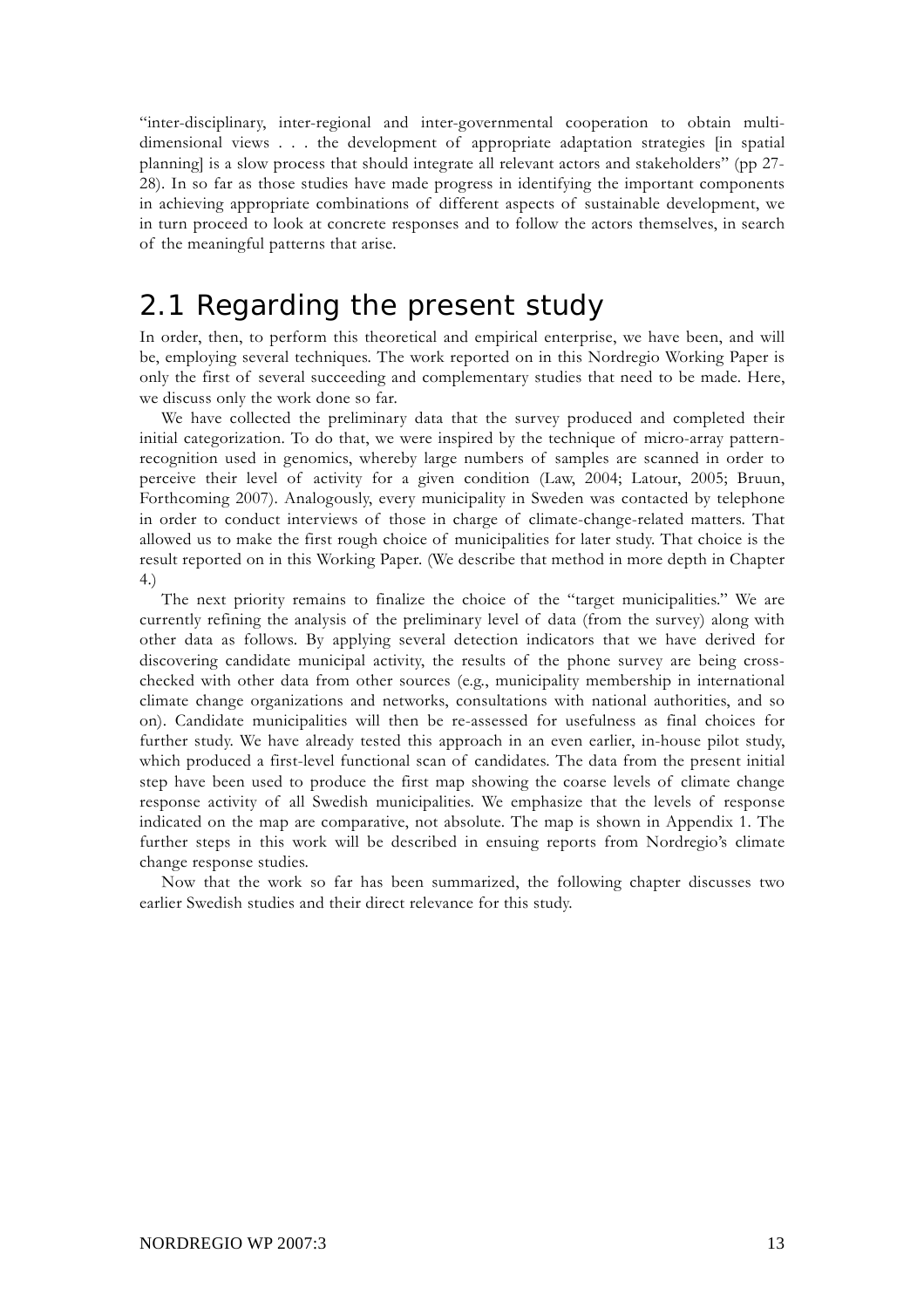"inter-disciplinary, inter-regional and inter-governmental cooperation to obtain multidimensional views . . . the development of appropriate adaptation strategies [in spatial planning] is a slow process that should integrate all relevant actors and stakeholders" (pp 27- 28). In so far as those studies have made progress in identifying the important components in achieving appropriate combinations of different aspects of sustainable development, we in turn proceed to look at concrete responses and to follow the actors themselves, in search of the meaningful patterns that arise.

## 2.1 Regarding the present study

In order, then, to perform this theoretical and empirical enterprise, we have been, and will be, employing several techniques. The work reported on in this Nordregio Working Paper is only the first of several succeeding and complementary studies that need to be made. Here, we discuss only the work done so far.

We have collected the preliminary data that the survey produced and completed their initial categorization. To do that, we were inspired by the technique of micro-array patternrecognition used in genomics, whereby large numbers of samples are scanned in order to perceive their level of activity for a given condition (Law, 2004; Latour, 2005; Bruun, Forthcoming 2007). Analogously, every municipality in Sweden was contacted by telephone in order to conduct interviews of those in charge of climate-change-related matters. That allowed us to make the first rough choice of municipalities for later study. That choice is the result reported on in this Working Paper. (We describe that method in more depth in Chapter 4.)

The next priority remains to finalize the choice of the "target municipalities." We are currently refining the analysis of the preliminary level of data (from the survey) along with other data as follows. By applying several detection indicators that we have derived for discovering candidate municipal activity, the results of the phone survey are being crosschecked with other data from other sources (e.g., municipality membership in international climate change organizations and networks, consultations with national authorities, and so on). Candidate municipalities will then be re-assessed for usefulness as final choices for further study. We have already tested this approach in an even earlier, in-house pilot study, which produced a first-level functional scan of candidates. The data from the present initial step have been used to produce the first map showing the coarse levels of climate change response activity of all Swedish municipalities. We emphasize that the levels of response indicated on the map are comparative, not absolute. The map is shown in Appendix 1. The further steps in this work will be described in ensuing reports from Nordregio's climate change response studies.

Now that the work so far has been summarized, the following chapter discusses two earlier Swedish studies and their direct relevance for this study.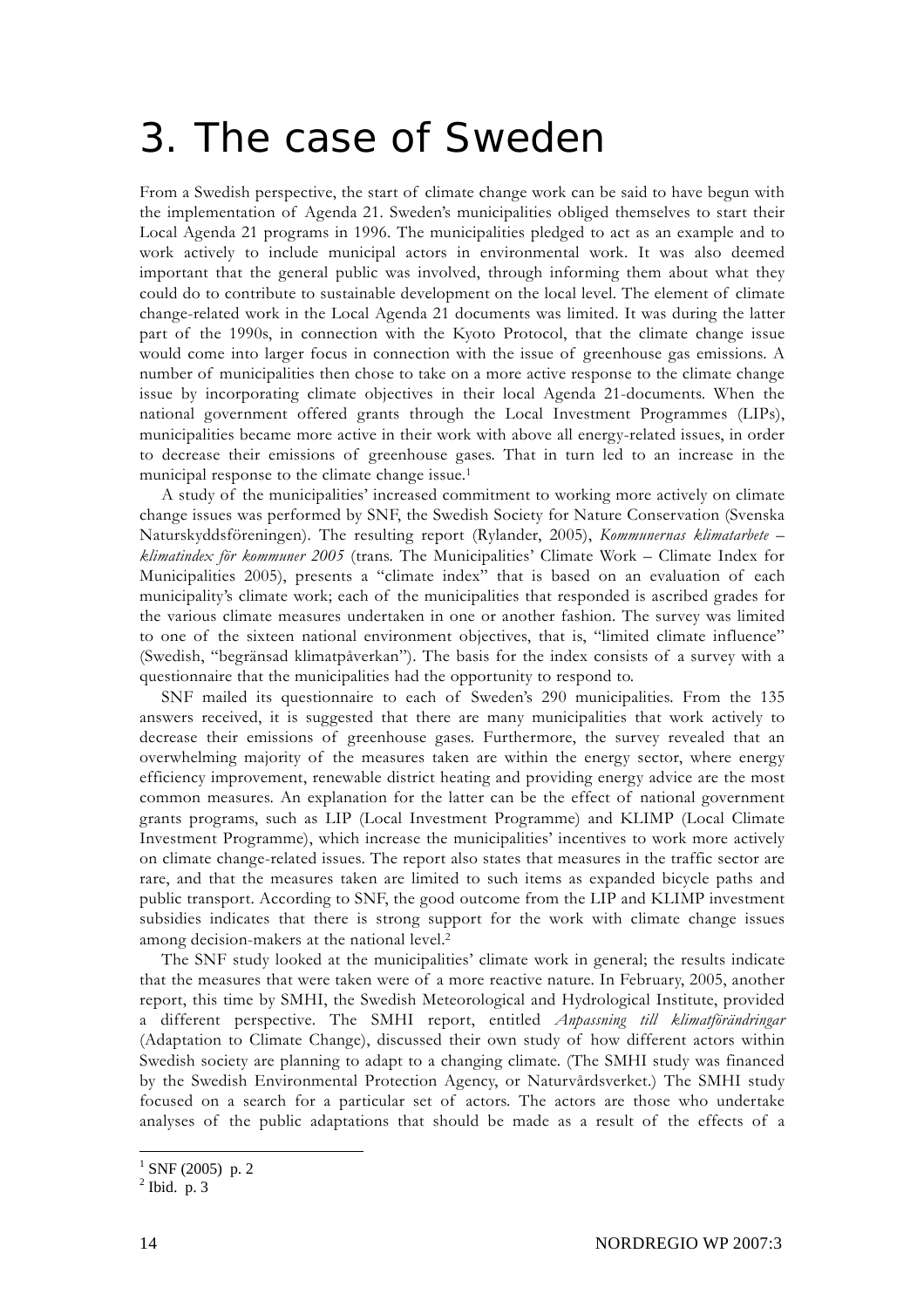# 3. The case of Sweden

From a Swedish perspective, the start of climate change work can be said to have begun with the implementation of Agenda 21. Sweden's municipalities obliged themselves to start their Local Agenda 21 programs in 1996. The municipalities pledged to act as an example and to work actively to include municipal actors in environmental work. It was also deemed important that the general public was involved, through informing them about what they could do to contribute to sustainable development on the local level. The element of climate change-related work in the Local Agenda 21 documents was limited. It was during the latter part of the 1990s, in connection with the Kyoto Protocol, that the climate change issue would come into larger focus in connection with the issue of greenhouse gas emissions. A number of municipalities then chose to take on a more active response to the climate change issue by incorporating climate objectives in their local Agenda 21-documents. When the national government offered grants through the Local Investment Programmes (LIPs), municipalities became more active in their work with above all energy-related issues, in order to decrease their emissions of greenhouse gases. That in turn led to an increase in the municipal response to the climate change issue.<sup>1</sup>

A study of the municipalities' increased commitment to working more actively on climate change issues was performed by SNF, the Swedish Society for Nature Conservation (Svenska Naturskyddsföreningen). The resulting report (Rylander, 2005), *Kommunernas klimatarbete – klimatindex för kommuner 2005* (trans. The Municipalities' Climate Work – Climate Index for Municipalities 2005), presents a "climate index" that is based on an evaluation of each municipality's climate work; each of the municipalities that responded is ascribed grades for the various climate measures undertaken in one or another fashion. The survey was limited to one of the sixteen national environment objectives, that is, "limited climate influence" (Swedish, "begränsad klimatpåverkan"). The basis for the index consists of a survey with a questionnaire that the municipalities had the opportunity to respond to.

SNF mailed its questionnaire to each of Sweden's 290 municipalities. From the 135 answers received, it is suggested that there are many municipalities that work actively to decrease their emissions of greenhouse gases. Furthermore, the survey revealed that an overwhelming majority of the measures taken are within the energy sector, where energy efficiency improvement, renewable district heating and providing energy advice are the most common measures. An explanation for the latter can be the effect of national government grants programs, such as LIP (Local Investment Programme) and KLIMP (Local Climate Investment Programme), which increase the municipalities' incentives to work more actively on climate change-related issues. The report also states that measures in the traffic sector are rare, and that the measures taken are limited to such items as expanded bicycle paths and public transport. According to SNF, the good outcome from the LIP and KLIMP investment subsidies indicates that there is strong support for the work with climate change issues among decision-makers at the national level.2

The SNF study looked at the municipalities' climate work in general; the results indicate that the measures that were taken were of a more reactive nature. In February, 2005, another report, this time by SMHI, the Swedish Meteorological and Hydrological Institute, provided a different perspective. The SMHI report, entitled *Anpassning till klimatförändringar* (Adaptation to Climate Change), discussed their own study of how different actors within Swedish society are planning to adapt to a changing climate. (The SMHI study was financed by the Swedish Environmental Protection Agency, or Naturvårdsverket.) The SMHI study focused on a search for a particular set of actors. The actors are those who undertake analyses of the public adaptations that should be made as a result of the effects of a

 $\frac{1}{1}$  SNF (2005) p. 2

 $<sup>2</sup>$  Ibid. p. 3</sup>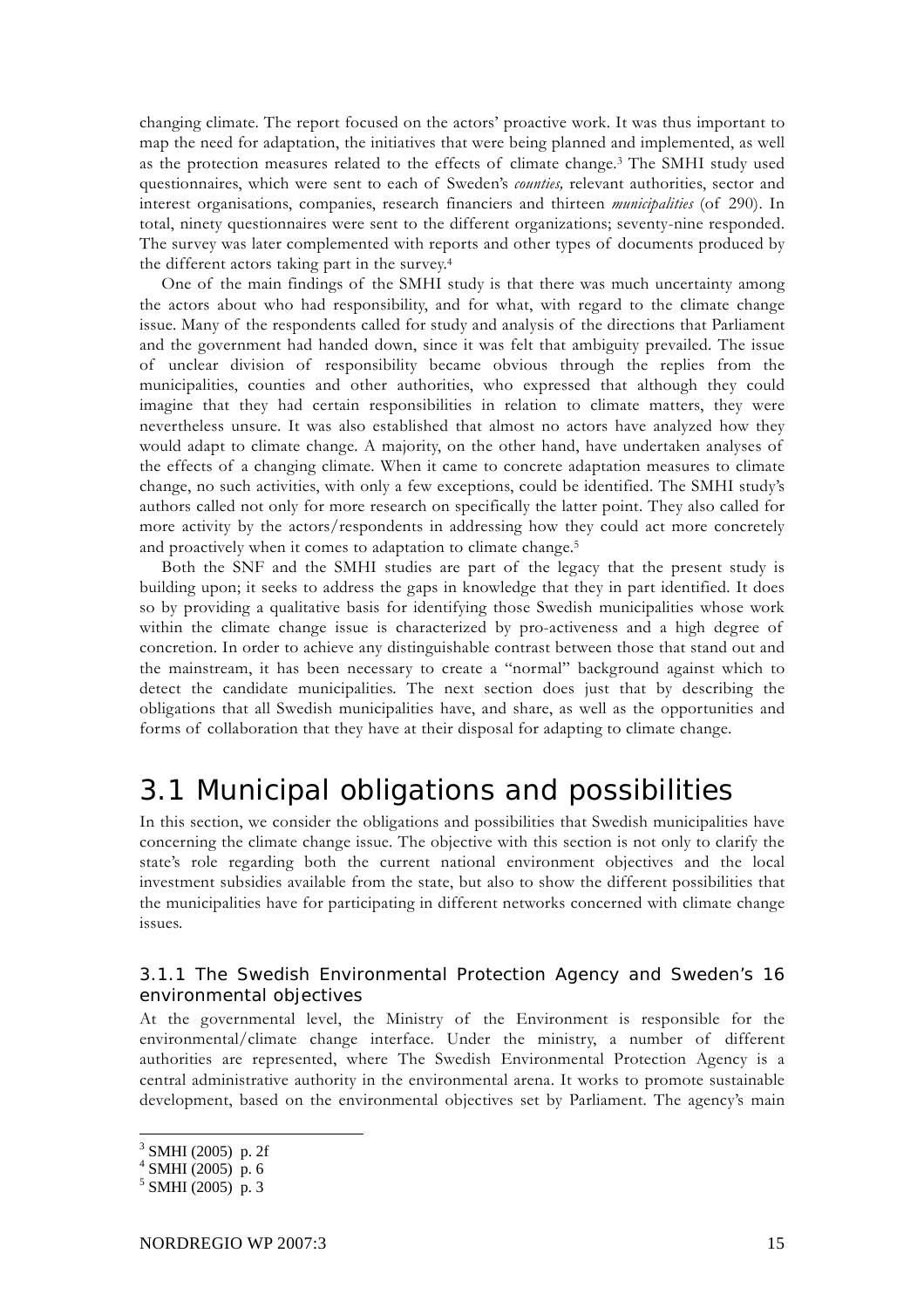changing climate. The report focused on the actors' proactive work. It was thus important to map the need for adaptation, the initiatives that were being planned and implemented, as well as the protection measures related to the effects of climate change.3 The SMHI study used questionnaires, which were sent to each of Sweden's *counties,* relevant authorities, sector and interest organisations, companies, research financiers and thirteen *municipalities* (of 290). In total, ninety questionnaires were sent to the different organizations; seventy-nine responded. The survey was later complemented with reports and other types of documents produced by the different actors taking part in the survey.4

One of the main findings of the SMHI study is that there was much uncertainty among the actors about who had responsibility, and for what, with regard to the climate change issue. Many of the respondents called for study and analysis of the directions that Parliament and the government had handed down, since it was felt that ambiguity prevailed. The issue of unclear division of responsibility became obvious through the replies from the municipalities, counties and other authorities, who expressed that although they could imagine that they had certain responsibilities in relation to climate matters, they were nevertheless unsure. It was also established that almost no actors have analyzed how they would adapt to climate change. A majority, on the other hand, have undertaken analyses of the effects of a changing climate. When it came to concrete adaptation measures to climate change, no such activities, with only a few exceptions, could be identified. The SMHI study's authors called not only for more research on specifically the latter point. They also called for more activity by the actors/respondents in addressing how they could act more concretely and proactively when it comes to adaptation to climate change.<sup>5</sup>

Both the SNF and the SMHI studies are part of the legacy that the present study is building upon; it seeks to address the gaps in knowledge that they in part identified. It does so by providing a qualitative basis for identifying those Swedish municipalities whose work within the climate change issue is characterized by pro-activeness and a high degree of concretion. In order to achieve any distinguishable contrast between those that stand out and the mainstream, it has been necessary to create a "normal" background against which to detect the candidate municipalities. The next section does just that by describing the obligations that all Swedish municipalities have, and share, as well as the opportunities and forms of collaboration that they have at their disposal for adapting to climate change.

### 3.1 Municipal obligations and possibilities

In this section, we consider the obligations and possibilities that Swedish municipalities have concerning the climate change issue. The objective with this section is not only to clarify the state's role regarding both the current national environment objectives and the local investment subsidies available from the state, but also to show the different possibilities that the municipalities have for participating in different networks concerned with climate change issues.

#### 3.1.1 The Swedish Environmental Protection Agency and Sweden's 16 environmental objectives

At the governmental level, the Ministry of the Environment is responsible for the environmental/climate change interface. Under the ministry, a number of different authorities are represented, where The Swedish Environmental Protection Agency is a central administrative authority in the environmental arena. It works to promote sustainable development, based on the environmental objectives set by Parliament. The agency's main

<sup>&</sup>lt;sup>3</sup> SMHI (2005) p. 2f

 $4$  SMHI (2005) p. 6

 $5$  SMHI (2005) p. 3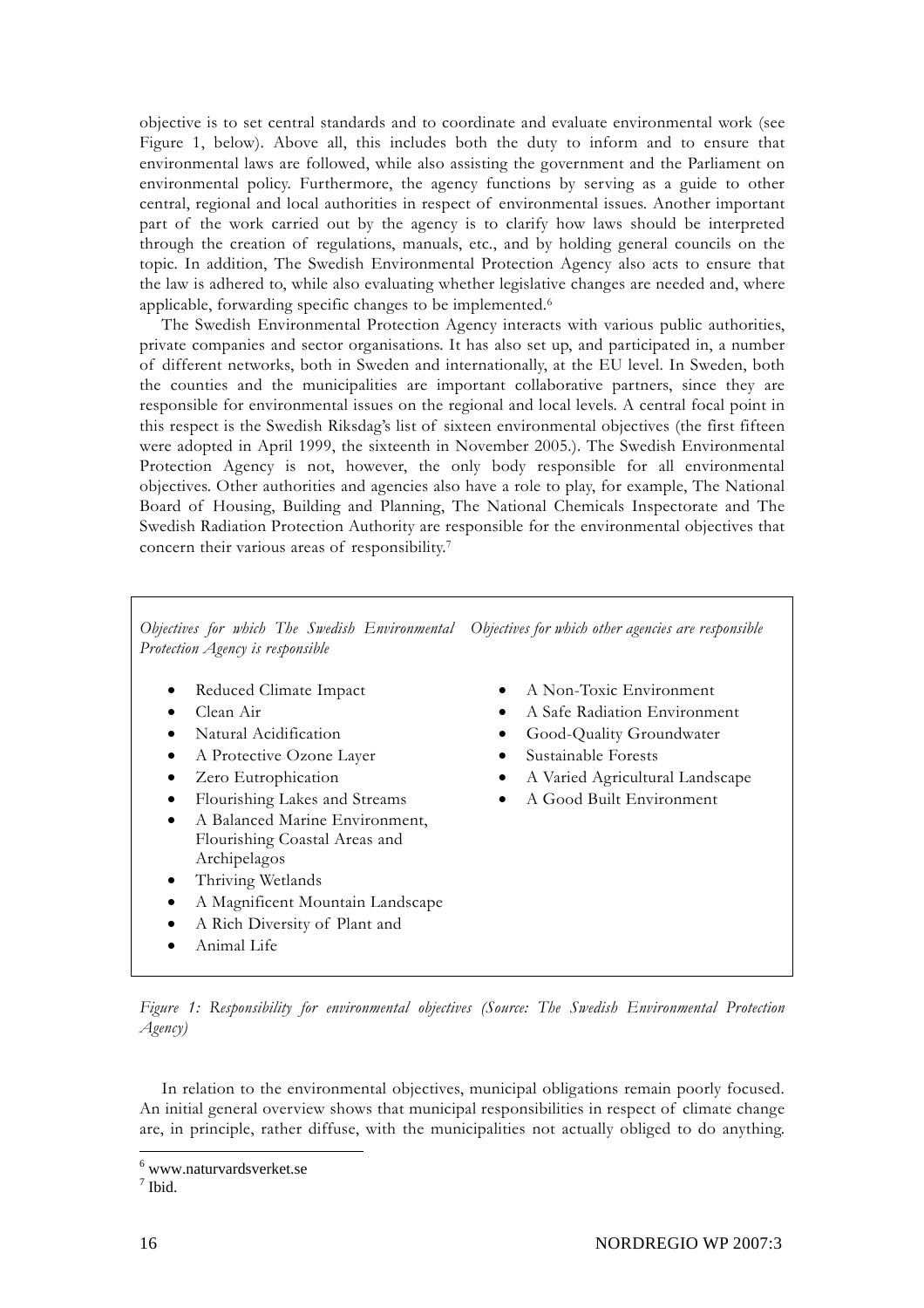objective is to set central standards and to coordinate and evaluate environmental work (see Figure 1, below). Above all, this includes both the duty to inform and to ensure that environmental laws are followed, while also assisting the government and the Parliament on environmental policy. Furthermore, the agency functions by serving as a guide to other central, regional and local authorities in respect of environmental issues. Another important part of the work carried out by the agency is to clarify how laws should be interpreted through the creation of regulations, manuals, etc., and by holding general councils on the topic. In addition, The Swedish Environmental Protection Agency also acts to ensure that the law is adhered to, while also evaluating whether legislative changes are needed and, where applicable, forwarding specific changes to be implemented.6

The Swedish Environmental Protection Agency interacts with various public authorities, private companies and sector organisations. It has also set up, and participated in, a number of different networks, both in Sweden and internationally, at the EU level. In Sweden, both the counties and the municipalities are important collaborative partners, since they are responsible for environmental issues on the regional and local levels. A central focal point in this respect is the Swedish Riksdag's list of sixteen environmental objectives (the first fifteen were adopted in April 1999, the sixteenth in November 2005.). The Swedish Environmental Protection Agency is not, however, the only body responsible for all environmental objectives. Other authorities and agencies also have a role to play, for example, The National Board of Housing, Building and Planning, The National Chemicals Inspectorate and The Swedish Radiation Protection Authority are responsible for the environmental objectives that concern their various areas of responsibility.7

Objectives for which The Swedish Environmental Objectives for which other agencies are responsible *Protection Agency is responsible* 

- Reduced Climate Impact
- Clean Air
- Natural Acidification
- A Protective Ozone Layer
- Zero Eutrophication
- Flourishing Lakes and Streams
- A Balanced Marine Environment, Flourishing Coastal Areas and Archipelagos
- Thriving Wetlands
- A Magnificent Mountain Landscape
- A Rich Diversity of Plant and
- Animal Life
- A Non-Toxic Environment
- A Safe Radiation Environment
- Good-Quality Groundwater
- Sustainable Forests
- A Varied Agricultural Landscape
- A Good Built Environment

*Figure 1: Responsibility for environmental objectives (Source: The Swedish Environmental Protection Agency)* 

In relation to the environmental objectives, municipal obligations remain poorly focused. An initial general overview shows that municipal responsibilities in respect of climate change are, in principle, rather diffuse, with the municipalities not actually obliged to do anything.

7 Ibid.

 6 www.naturvardsverket.se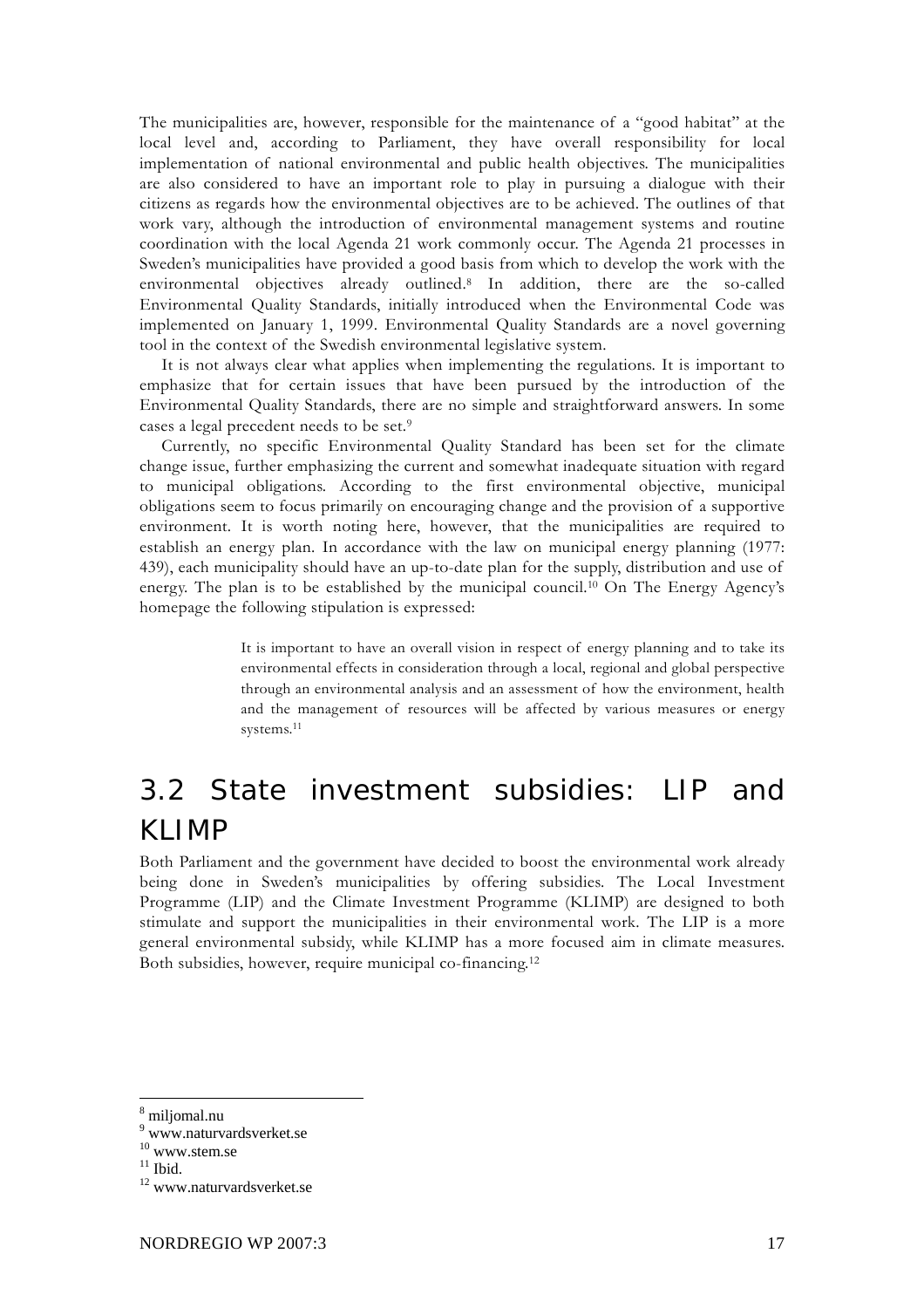The municipalities are, however, responsible for the maintenance of a "good habitat" at the local level and, according to Parliament, they have overall responsibility for local implementation of national environmental and public health objectives. The municipalities are also considered to have an important role to play in pursuing a dialogue with their citizens as regards how the environmental objectives are to be achieved. The outlines of that work vary, although the introduction of environmental management systems and routine coordination with the local Agenda 21 work commonly occur. The Agenda 21 processes in Sweden's municipalities have provided a good basis from which to develop the work with the environmental objectives already outlined.8 In addition, there are the so-called Environmental Quality Standards, initially introduced when the Environmental Code was implemented on January 1, 1999. Environmental Quality Standards are a novel governing tool in the context of the Swedish environmental legislative system.

It is not always clear what applies when implementing the regulations. It is important to emphasize that for certain issues that have been pursued by the introduction of the Environmental Quality Standards, there are no simple and straightforward answers. In some cases a legal precedent needs to be set.9

Currently, no specific Environmental Quality Standard has been set for the climate change issue, further emphasizing the current and somewhat inadequate situation with regard to municipal obligations. According to the first environmental objective, municipal obligations seem to focus primarily on encouraging change and the provision of a supportive environment. It is worth noting here, however, that the municipalities are required to establish an energy plan. In accordance with the law on municipal energy planning (1977: 439), each municipality should have an up-to-date plan for the supply, distribution and use of energy. The plan is to be established by the municipal council.10 On The Energy Agency's homepage the following stipulation is expressed:

> It is important to have an overall vision in respect of energy planning and to take its environmental effects in consideration through a local, regional and global perspective through an environmental analysis and an assessment of how the environment, health and the management of resources will be affected by various measures or energy systems.11

## 3.2 State investment subsidies: LIP and KLIMP

Both Parliament and the government have decided to boost the environmental work already being done in Sweden's municipalities by offering subsidies. The Local Investment Programme (LIP) and the Climate Investment Programme (KLIMP) are designed to both stimulate and support the municipalities in their environmental work. The LIP is a more general environmental subsidy, while KLIMP has a more focused aim in climate measures. Both subsidies, however, require municipal co-financing.12

<sup>8</sup> miljomal.nu

<sup>9</sup> www.naturvardsverket.se

<sup>10</sup> www.stem.se

 $11$  Ibid.

<sup>12</sup> www.naturvardsverket.se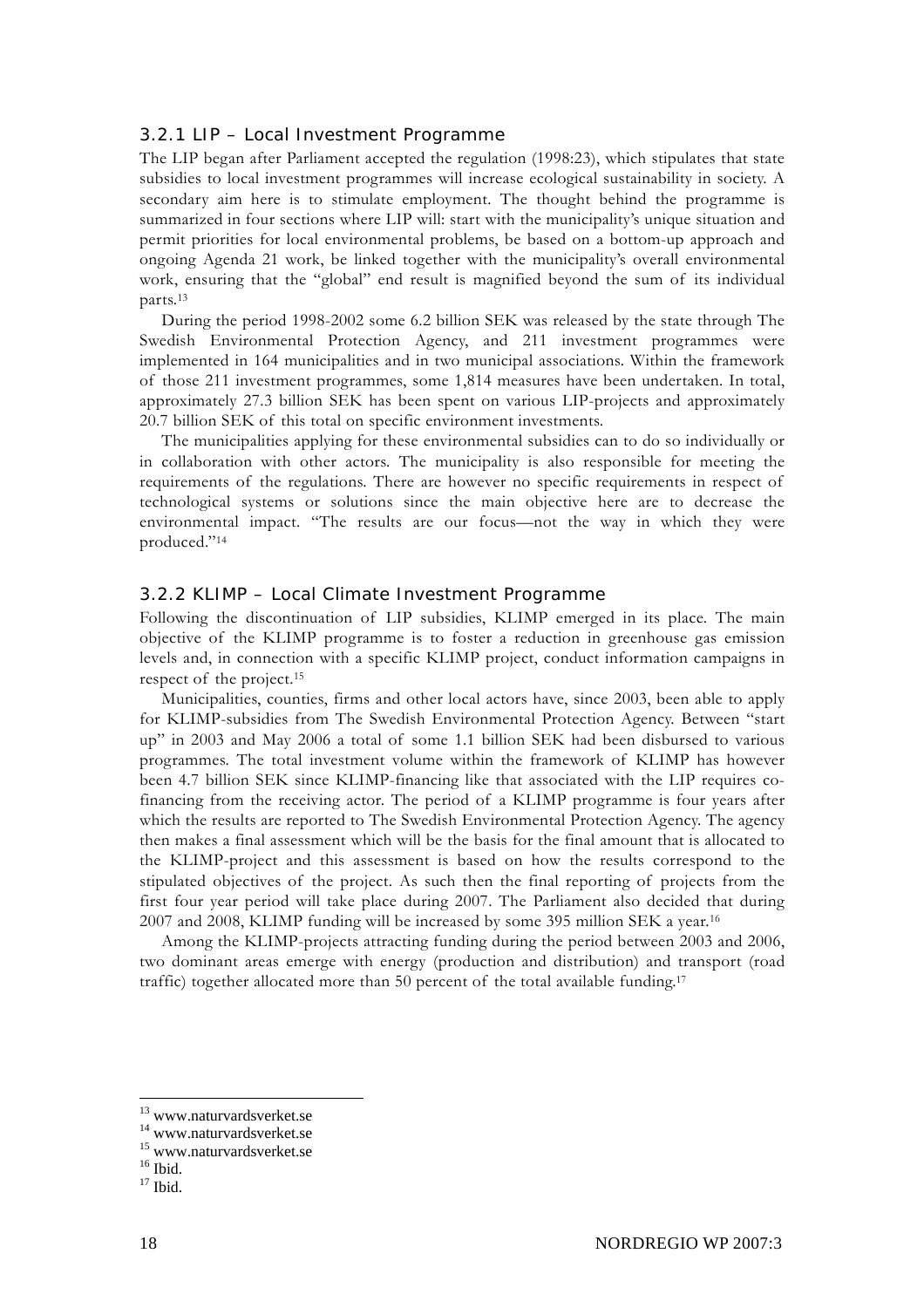#### 3.2.1 LIP – Local Investment Programme

The LIP began after Parliament accepted the regulation (1998:23), which stipulates that state subsidies to local investment programmes will increase ecological sustainability in society. A secondary aim here is to stimulate employment. The thought behind the programme is summarized in four sections where LIP will: start with the municipality's unique situation and permit priorities for local environmental problems, be based on a bottom-up approach and ongoing Agenda 21 work, be linked together with the municipality's overall environmental work, ensuring that the "global" end result is magnified beyond the sum of its individual parts.13

During the period 1998-2002 some 6.2 billion SEK was released by the state through The Swedish Environmental Protection Agency, and 211 investment programmes were implemented in 164 municipalities and in two municipal associations. Within the framework of those 211 investment programmes, some 1,814 measures have been undertaken. In total, approximately 27.3 billion SEK has been spent on various LIP-projects and approximately 20.7 billion SEK of this total on specific environment investments.

The municipalities applying for these environmental subsidies can to do so individually or in collaboration with other actors. The municipality is also responsible for meeting the requirements of the regulations. There are however no specific requirements in respect of technological systems or solutions since the main objective here are to decrease the environmental impact. "The results are our focus—not the way in which they were produced."14

#### 3.2.2 KLIMP – Local Climate Investment Programme

Following the discontinuation of LIP subsidies, KLIMP emerged in its place. The main objective of the KLIMP programme is to foster a reduction in greenhouse gas emission levels and, in connection with a specific KLIMP project, conduct information campaigns in respect of the project.15

Municipalities, counties, firms and other local actors have, since 2003, been able to apply for KLIMP-subsidies from The Swedish Environmental Protection Agency. Between "start up" in 2003 and May 2006 a total of some 1.1 billion SEK had been disbursed to various programmes. The total investment volume within the framework of KLIMP has however been 4.7 billion SEK since KLIMP-financing like that associated with the LIP requires cofinancing from the receiving actor. The period of a KLIMP programme is four years after which the results are reported to The Swedish Environmental Protection Agency. The agency then makes a final assessment which will be the basis for the final amount that is allocated to the KLIMP-project and this assessment is based on how the results correspond to the stipulated objectives of the project. As such then the final reporting of projects from the first four year period will take place during 2007. The Parliament also decided that during 2007 and 2008, KLIMP funding will be increased by some 395 million SEK a year.16

Among the KLIMP-projects attracting funding during the period between 2003 and 2006, two dominant areas emerge with energy (production and distribution) and transport (road traffic) together allocated more than 50 percent of the total available funding.17

<sup>13</sup> www.naturvardsverket.se

<sup>14</sup> www.naturvardsverket.se

<sup>15</sup> www.naturvardsverket.se

 $16$  Ibid.

 $17$  Ibid.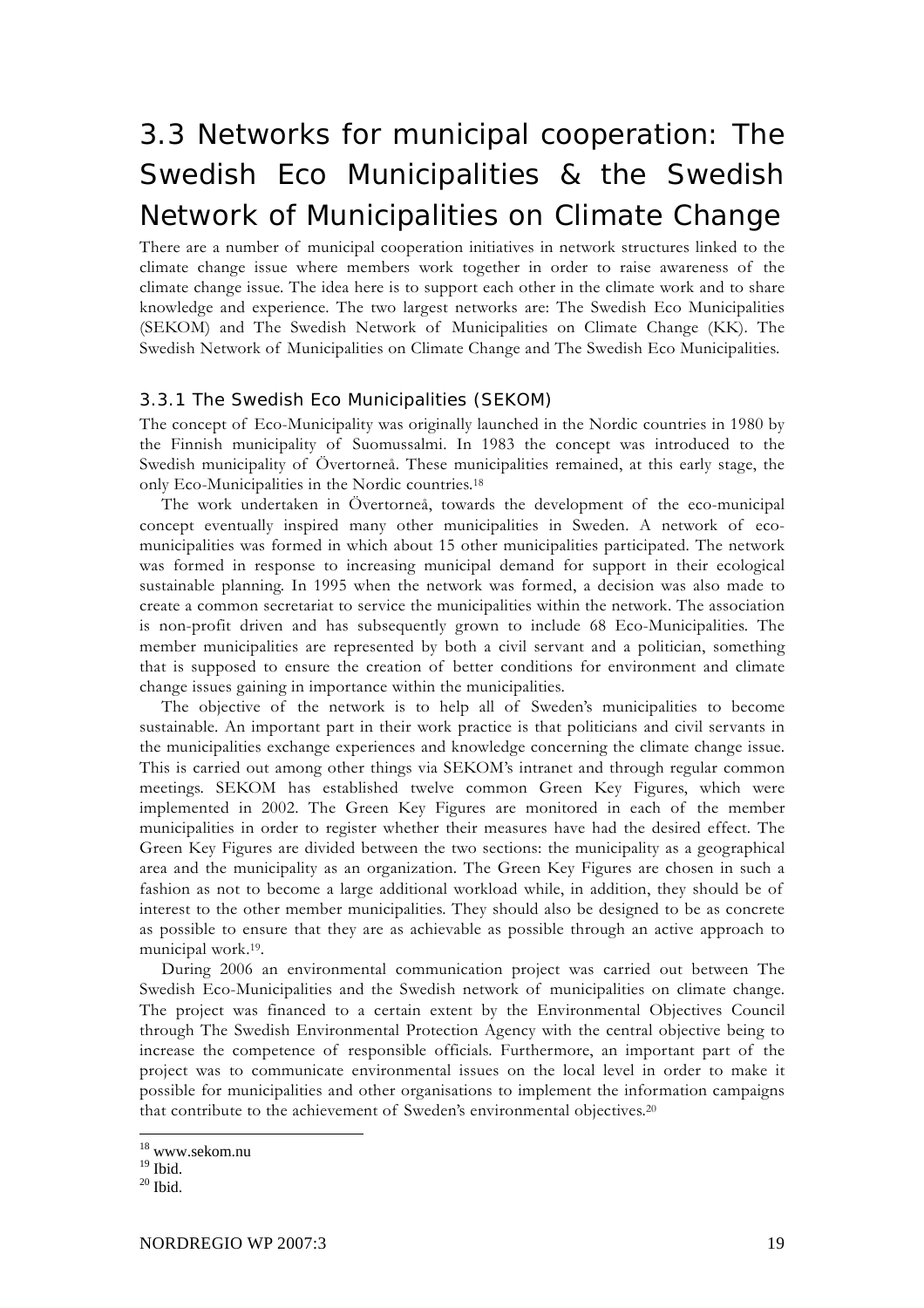## 3.3 Networks for municipal cooperation: The Swedish Eco Municipalities & the Swedish Network of Municipalities on Climate Change

There are a number of municipal cooperation initiatives in network structures linked to the climate change issue where members work together in order to raise awareness of the climate change issue. The idea here is to support each other in the climate work and to share knowledge and experience. The two largest networks are: The Swedish Eco Municipalities (SEKOM) and The Swedish Network of Municipalities on Climate Change (KK). The Swedish Network of Municipalities on Climate Change and The Swedish Eco Municipalities.

#### 3.3.1 The Swedish Eco Municipalities (SEKOM)

The concept of Eco-Municipality was originally launched in the Nordic countries in 1980 by the Finnish municipality of Suomussalmi. In 1983 the concept was introduced to the Swedish municipality of Övertorneå. These municipalities remained, at this early stage, the only Eco-Municipalities in the Nordic countries.18

The work undertaken in Övertorneå, towards the development of the eco-municipal concept eventually inspired many other municipalities in Sweden. A network of ecomunicipalities was formed in which about 15 other municipalities participated. The network was formed in response to increasing municipal demand for support in their ecological sustainable planning. In 1995 when the network was formed, a decision was also made to create a common secretariat to service the municipalities within the network. The association is non-profit driven and has subsequently grown to include 68 Eco-Municipalities. The member municipalities are represented by both a civil servant and a politician, something that is supposed to ensure the creation of better conditions for environment and climate change issues gaining in importance within the municipalities.

The objective of the network is to help all of Sweden's municipalities to become sustainable. An important part in their work practice is that politicians and civil servants in the municipalities exchange experiences and knowledge concerning the climate change issue. This is carried out among other things via SEKOM's intranet and through regular common meetings. SEKOM has established twelve common Green Key Figures, which were implemented in 2002. The Green Key Figures are monitored in each of the member municipalities in order to register whether their measures have had the desired effect. The Green Key Figures are divided between the two sections: the municipality as a geographical area and the municipality as an organization. The Green Key Figures are chosen in such a fashion as not to become a large additional workload while, in addition, they should be of interest to the other member municipalities. They should also be designed to be as concrete as possible to ensure that they are as achievable as possible through an active approach to municipal work.19.

During 2006 an environmental communication project was carried out between The Swedish Eco-Municipalities and the Swedish network of municipalities on climate change. The project was financed to a certain extent by the Environmental Objectives Council through The Swedish Environmental Protection Agency with the central objective being to increase the competence of responsible officials. Furthermore, an important part of the project was to communicate environmental issues on the local level in order to make it possible for municipalities and other organisations to implement the information campaigns that contribute to the achievement of Sweden's environmental objectives.20

<sup>18</sup> www.sekom.nu

 $^{19}$  Ibid.

 $^{20}$  Ibid.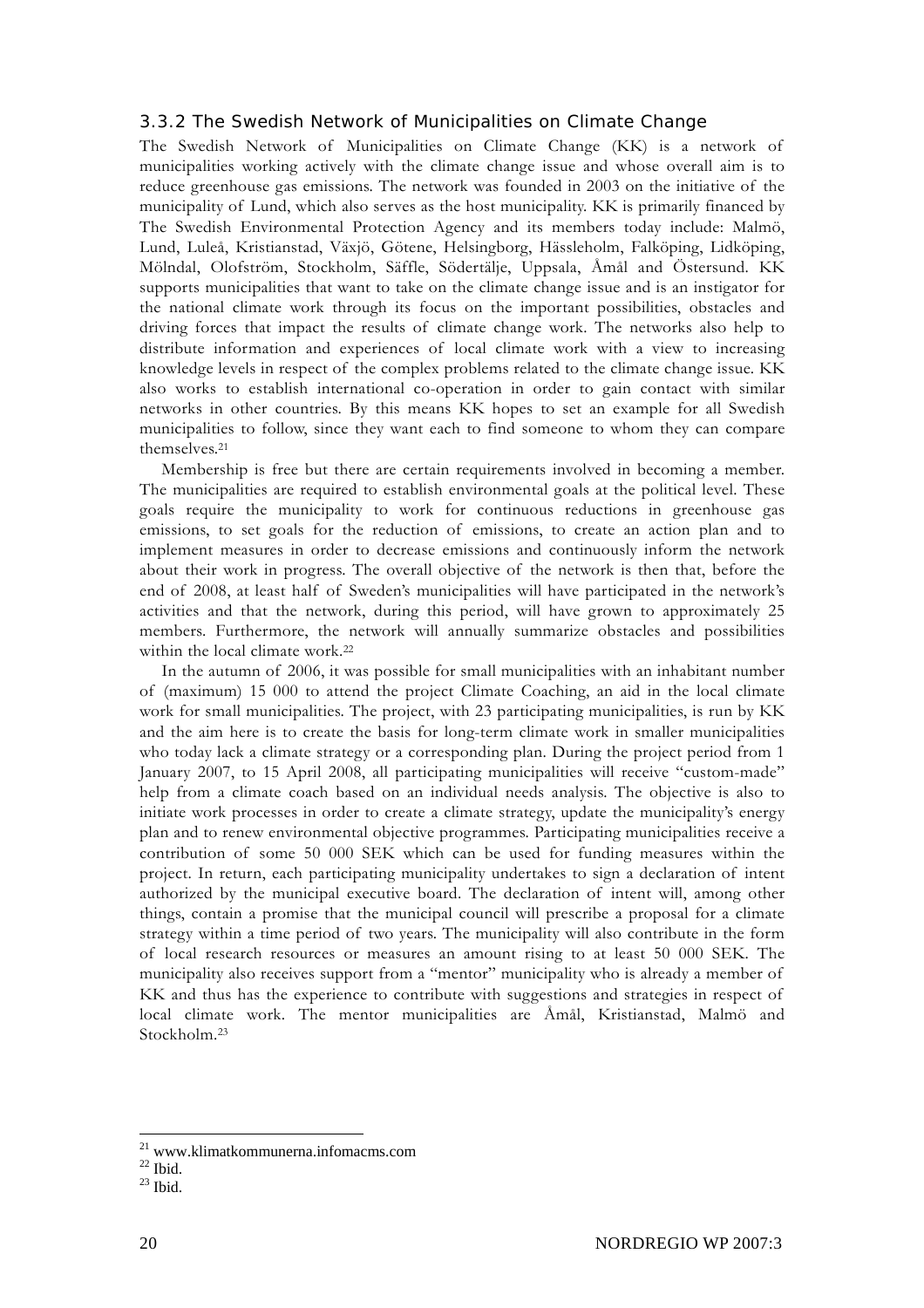#### 3.3.2 The Swedish Network of Municipalities on Climate Change

The Swedish Network of Municipalities on Climate Change (KK) is a network of municipalities working actively with the climate change issue and whose overall aim is to reduce greenhouse gas emissions. The network was founded in 2003 on the initiative of the municipality of Lund, which also serves as the host municipality. KK is primarily financed by The Swedish Environmental Protection Agency and its members today include: Malmö, Lund, Luleå, Kristianstad, Växjö, Götene, Helsingborg, Hässleholm, Falköping, Lidköping, Mölndal, Olofström, Stockholm, Säffle, Södertälje, Uppsala, Åmål and Östersund. KK supports municipalities that want to take on the climate change issue and is an instigator for the national climate work through its focus on the important possibilities, obstacles and driving forces that impact the results of climate change work. The networks also help to distribute information and experiences of local climate work with a view to increasing knowledge levels in respect of the complex problems related to the climate change issue. KK also works to establish international co-operation in order to gain contact with similar networks in other countries. By this means KK hopes to set an example for all Swedish municipalities to follow, since they want each to find someone to whom they can compare themselves.21

Membership is free but there are certain requirements involved in becoming a member. The municipalities are required to establish environmental goals at the political level. These goals require the municipality to work for continuous reductions in greenhouse gas emissions, to set goals for the reduction of emissions, to create an action plan and to implement measures in order to decrease emissions and continuously inform the network about their work in progress. The overall objective of the network is then that, before the end of 2008, at least half of Sweden's municipalities will have participated in the network's activities and that the network, during this period, will have grown to approximately 25 members. Furthermore, the network will annually summarize obstacles and possibilities within the local climate work.<sup>22</sup>

In the autumn of 2006, it was possible for small municipalities with an inhabitant number of (maximum) 15 000 to attend the project Climate Coaching, an aid in the local climate work for small municipalities. The project, with 23 participating municipalities, is run by KK and the aim here is to create the basis for long-term climate work in smaller municipalities who today lack a climate strategy or a corresponding plan. During the project period from 1 January 2007, to 15 April 2008, all participating municipalities will receive "custom-made" help from a climate coach based on an individual needs analysis. The objective is also to initiate work processes in order to create a climate strategy, update the municipality's energy plan and to renew environmental objective programmes. Participating municipalities receive a contribution of some 50 000 SEK which can be used for funding measures within the project. In return, each participating municipality undertakes to sign a declaration of intent authorized by the municipal executive board. The declaration of intent will, among other things, contain a promise that the municipal council will prescribe a proposal for a climate strategy within a time period of two years. The municipality will also contribute in the form of local research resources or measures an amount rising to at least 50 000 SEK. The municipality also receives support from a "mentor" municipality who is already a member of KK and thus has the experience to contribute with suggestions and strategies in respect of local climate work. The mentor municipalities are Åmål, Kristianstad, Malmö and Stockholm.23

<sup>21</sup> www.klimatkommunerna.infomacms.com

 $22$  Ibid.

 $23$  Ibid.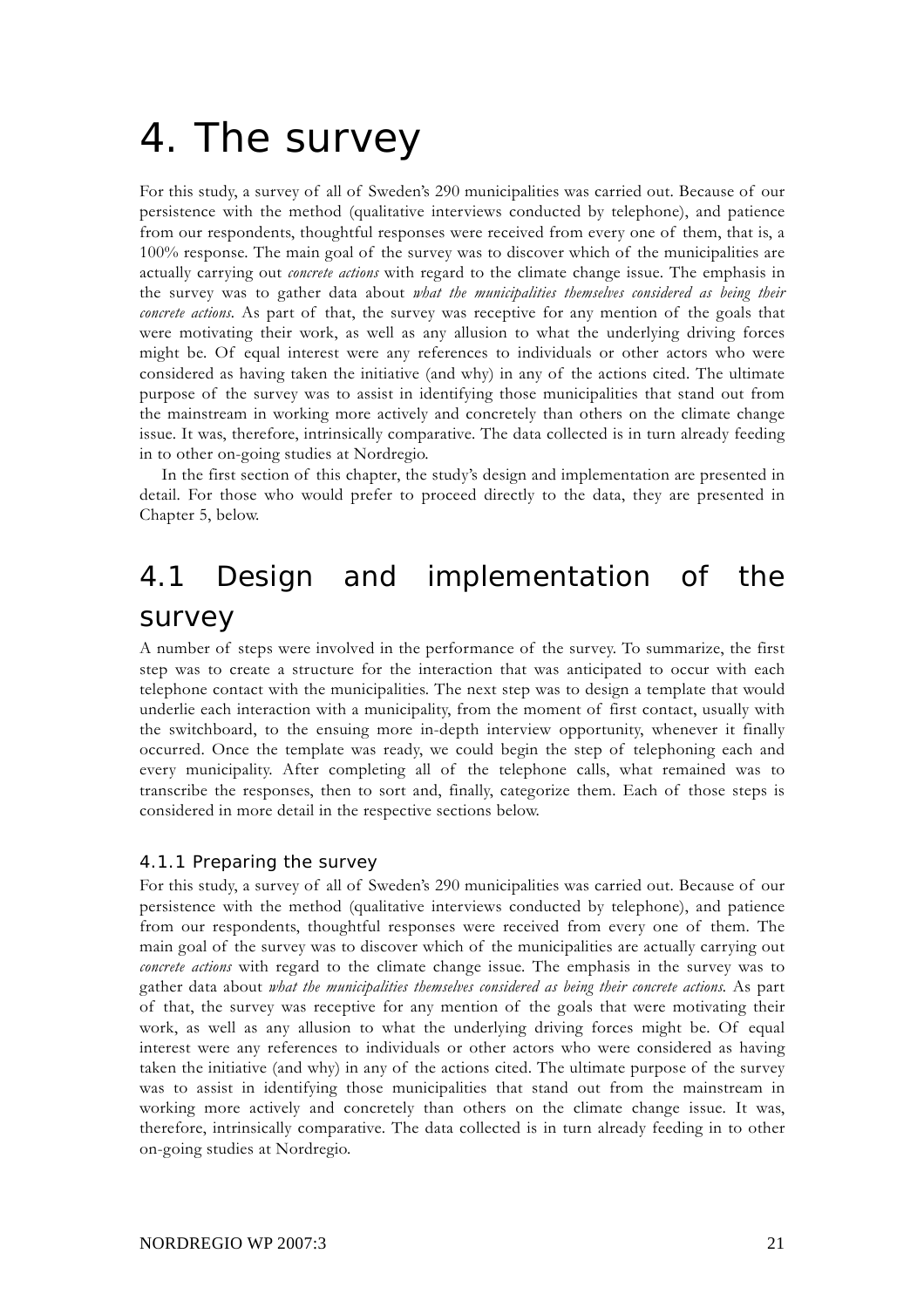# 4. The survey

For this study, a survey of all of Sweden's 290 municipalities was carried out. Because of our persistence with the method (qualitative interviews conducted by telephone), and patience from our respondents, thoughtful responses were received from every one of them, that is, a 100% response. The main goal of the survey was to discover which of the municipalities are actually carrying out *concrete actions* with regard to the climate change issue. The emphasis in the survey was to gather data about *what the municipalities themselves considered as being their concrete actions.* As part of that, the survey was receptive for any mention of the goals that were motivating their work, as well as any allusion to what the underlying driving forces might be. Of equal interest were any references to individuals or other actors who were considered as having taken the initiative (and why) in any of the actions cited. The ultimate purpose of the survey was to assist in identifying those municipalities that stand out from the mainstream in working more actively and concretely than others on the climate change issue. It was, therefore, intrinsically comparative. The data collected is in turn already feeding in to other on-going studies at Nordregio.

In the first section of this chapter, the study's design and implementation are presented in detail. For those who would prefer to proceed directly to the data, they are presented in Chapter 5, below.

## 4.1 Design and implementation of the survey

A number of steps were involved in the performance of the survey. To summarize, the first step was to create a structure for the interaction that was anticipated to occur with each telephone contact with the municipalities. The next step was to design a template that would underlie each interaction with a municipality, from the moment of first contact, usually with the switchboard, to the ensuing more in-depth interview opportunity, whenever it finally occurred. Once the template was ready, we could begin the step of telephoning each and every municipality. After completing all of the telephone calls, what remained was to transcribe the responses, then to sort and, finally, categorize them. Each of those steps is considered in more detail in the respective sections below.

#### 4.1.1 Preparing the survey

For this study, a survey of all of Sweden's 290 municipalities was carried out. Because of our persistence with the method (qualitative interviews conducted by telephone), and patience from our respondents, thoughtful responses were received from every one of them. The main goal of the survey was to discover which of the municipalities are actually carrying out *concrete actions* with regard to the climate change issue. The emphasis in the survey was to gather data about *what the municipalities themselves considered as being their concrete actions.* As part of that, the survey was receptive for any mention of the goals that were motivating their work, as well as any allusion to what the underlying driving forces might be. Of equal interest were any references to individuals or other actors who were considered as having taken the initiative (and why) in any of the actions cited. The ultimate purpose of the survey was to assist in identifying those municipalities that stand out from the mainstream in working more actively and concretely than others on the climate change issue. It was, therefore, intrinsically comparative. The data collected is in turn already feeding in to other on-going studies at Nordregio.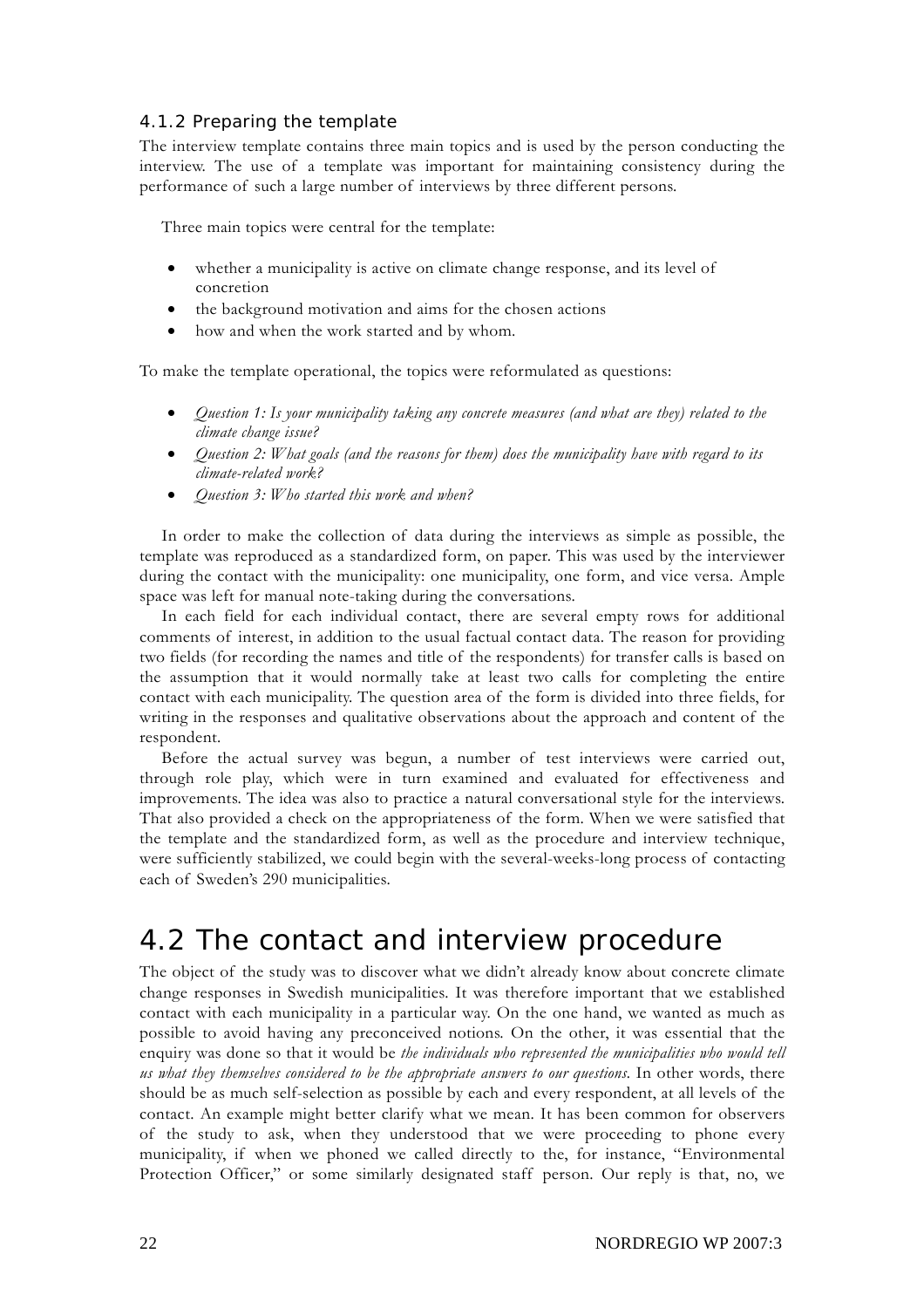#### 4.1.2 Preparing the template

The interview template contains three main topics and is used by the person conducting the interview. The use of a template was important for maintaining consistency during the performance of such a large number of interviews by three different persons.

Three main topics were central for the template:

- whether a municipality is active on climate change response, and its level of concretion
- the background motivation and aims for the chosen actions
- how and when the work started and by whom.

To make the template operational, the topics were reformulated as questions:

- *Question 1: Is your municipality taking any concrete measures (and what are they) related to the climate change issue?*
- *Question 2: What goals (and the reasons for them) does the municipality have with regard to its climate-related work?*
- *Question 3: Who started this work and when?*

In order to make the collection of data during the interviews as simple as possible, the template was reproduced as a standardized form, on paper. This was used by the interviewer during the contact with the municipality: one municipality, one form, and vice versa. Ample space was left for manual note-taking during the conversations.

In each field for each individual contact, there are several empty rows for additional comments of interest, in addition to the usual factual contact data. The reason for providing two fields (for recording the names and title of the respondents) for transfer calls is based on the assumption that it would normally take at least two calls for completing the entire contact with each municipality. The question area of the form is divided into three fields, for writing in the responses and qualitative observations about the approach and content of the respondent.

Before the actual survey was begun, a number of test interviews were carried out, through role play, which were in turn examined and evaluated for effectiveness and improvements. The idea was also to practice a natural conversational style for the interviews. That also provided a check on the appropriateness of the form. When we were satisfied that the template and the standardized form, as well as the procedure and interview technique, were sufficiently stabilized, we could begin with the several-weeks-long process of contacting each of Sweden's 290 municipalities.

### 4.2 The contact and interview procedure

The object of the study was to discover what we didn't already know about concrete climate change responses in Swedish municipalities. It was therefore important that we established contact with each municipality in a particular way. On the one hand, we wanted as much as possible to avoid having any preconceived notions. On the other, it was essential that the enquiry was done so that it would be *the individuals who represented the municipalities who would tell us what they themselves considered to be the appropriate answers to our questions.* In other words, there should be as much self-selection as possible by each and every respondent, at all levels of the contact. An example might better clarify what we mean. It has been common for observers of the study to ask, when they understood that we were proceeding to phone every municipality, if when we phoned we called directly to the, for instance, "Environmental Protection Officer," or some similarly designated staff person. Our reply is that, no, we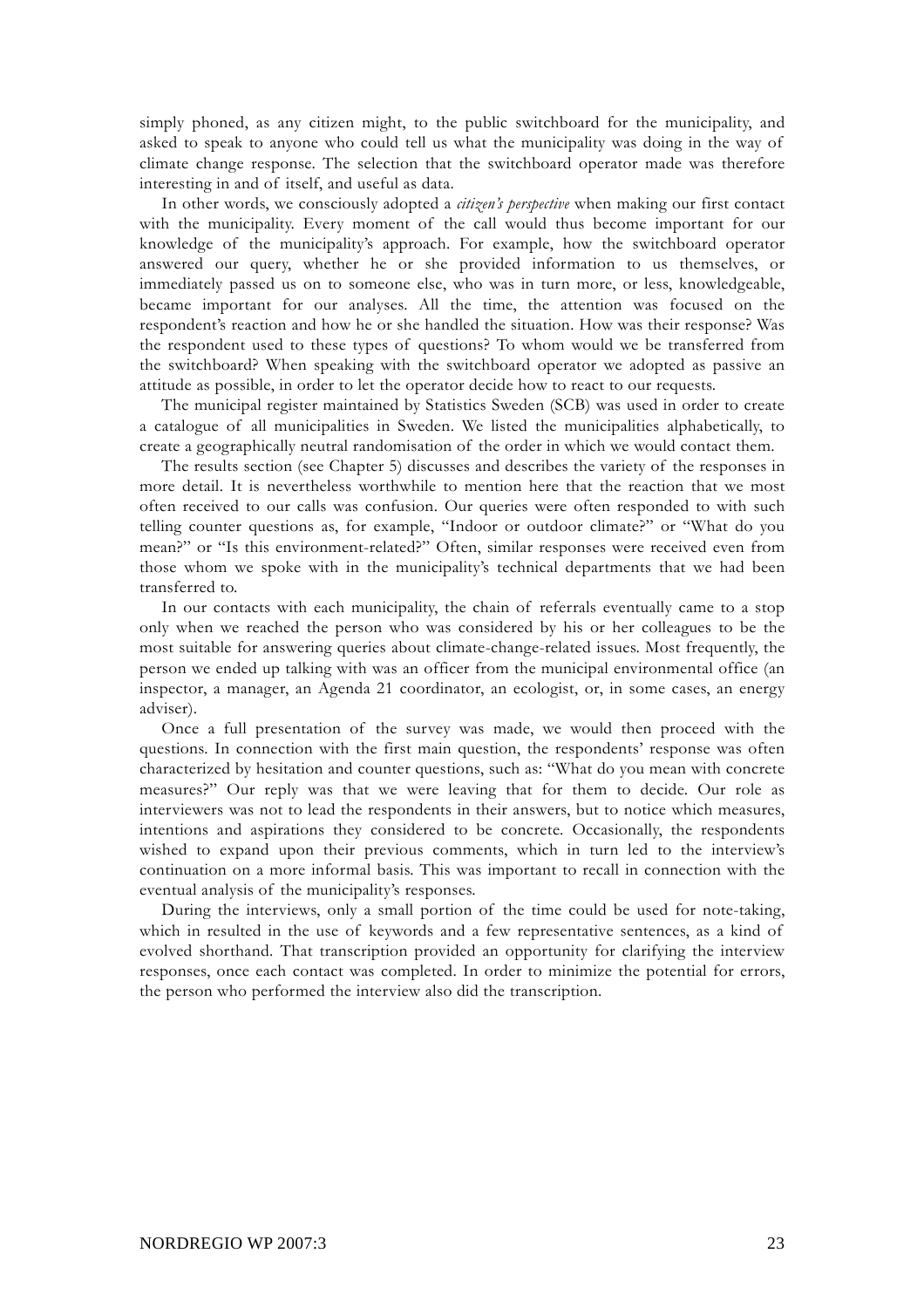simply phoned, as any citizen might, to the public switchboard for the municipality, and asked to speak to anyone who could tell us what the municipality was doing in the way of climate change response. The selection that the switchboard operator made was therefore interesting in and of itself, and useful as data.

In other words, we consciously adopted a *citizen's perspective* when making our first contact with the municipality. Every moment of the call would thus become important for our knowledge of the municipality's approach. For example, how the switchboard operator answered our query, whether he or she provided information to us themselves, or immediately passed us on to someone else, who was in turn more, or less, knowledgeable, became important for our analyses. All the time, the attention was focused on the respondent's reaction and how he or she handled the situation. How was their response? Was the respondent used to these types of questions? To whom would we be transferred from the switchboard? When speaking with the switchboard operator we adopted as passive an attitude as possible, in order to let the operator decide how to react to our requests.

The municipal register maintained by Statistics Sweden (SCB) was used in order to create a catalogue of all municipalities in Sweden. We listed the municipalities alphabetically, to create a geographically neutral randomisation of the order in which we would contact them.

The results section (see Chapter 5) discusses and describes the variety of the responses in more detail. It is nevertheless worthwhile to mention here that the reaction that we most often received to our calls was confusion. Our queries were often responded to with such telling counter questions as, for example, "Indoor or outdoor climate?" or "What do you mean?" or "Is this environment-related?" Often, similar responses were received even from those whom we spoke with in the municipality's technical departments that we had been transferred to.

In our contacts with each municipality, the chain of referrals eventually came to a stop only when we reached the person who was considered by his or her colleagues to be the most suitable for answering queries about climate-change-related issues. Most frequently, the person we ended up talking with was an officer from the municipal environmental office (an inspector, a manager, an Agenda 21 coordinator, an ecologist, or, in some cases, an energy adviser).

Once a full presentation of the survey was made, we would then proceed with the questions. In connection with the first main question, the respondents' response was often characterized by hesitation and counter questions, such as: "What do you mean with concrete measures?" Our reply was that we were leaving that for them to decide. Our role as interviewers was not to lead the respondents in their answers, but to notice which measures, intentions and aspirations they considered to be concrete. Occasionally, the respondents wished to expand upon their previous comments, which in turn led to the interview's continuation on a more informal basis. This was important to recall in connection with the eventual analysis of the municipality's responses.

During the interviews, only a small portion of the time could be used for note-taking, which in resulted in the use of keywords and a few representative sentences, as a kind of evolved shorthand. That transcription provided an opportunity for clarifying the interview responses, once each contact was completed. In order to minimize the potential for errors, the person who performed the interview also did the transcription.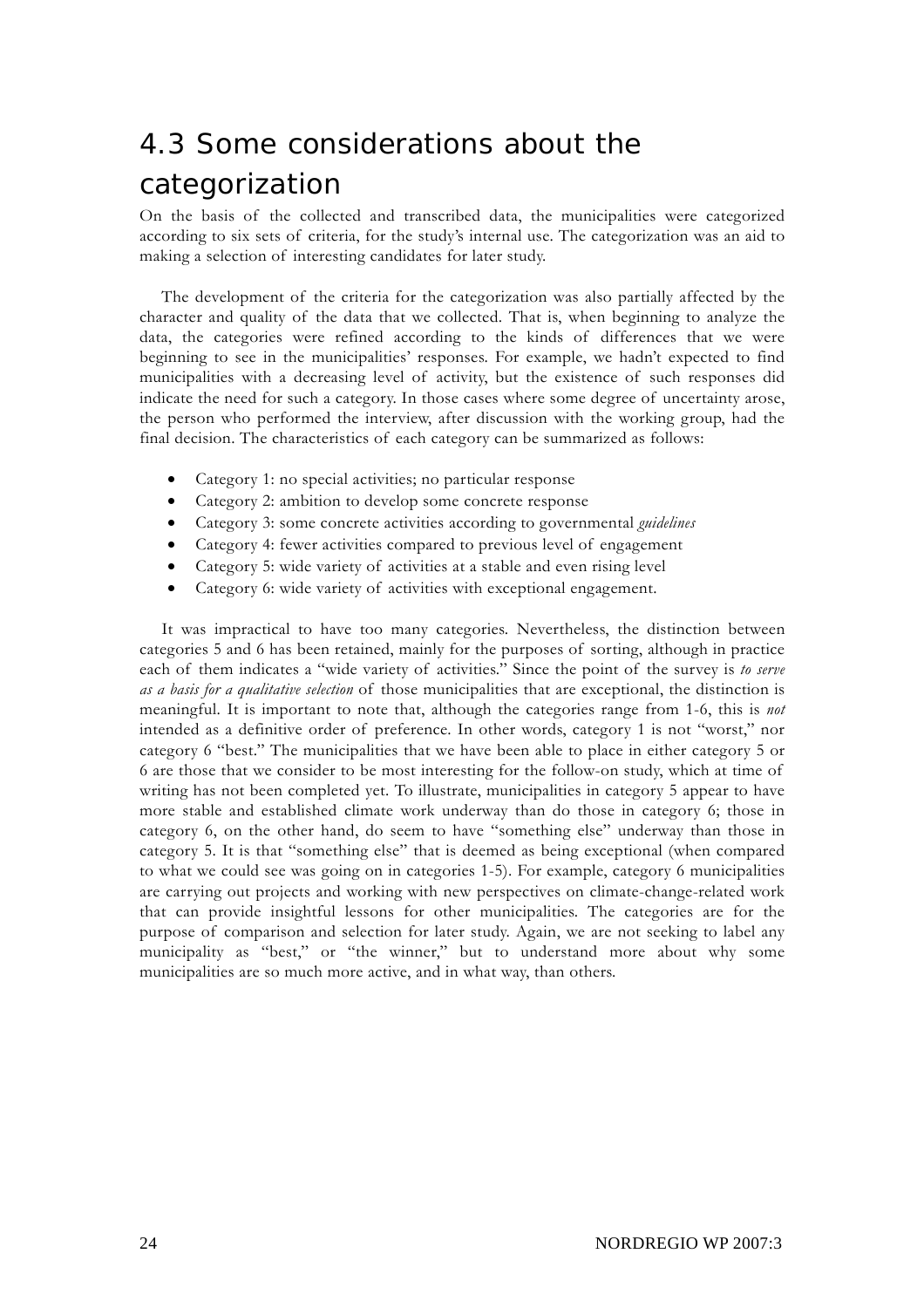## 4.3 Some considerations about the categorization

On the basis of the collected and transcribed data, the municipalities were categorized according to six sets of criteria, for the study's internal use. The categorization was an aid to making a selection of interesting candidates for later study.

The development of the criteria for the categorization was also partially affected by the character and quality of the data that we collected. That is, when beginning to analyze the data, the categories were refined according to the kinds of differences that we were beginning to see in the municipalities' responses. For example, we hadn't expected to find municipalities with a decreasing level of activity, but the existence of such responses did indicate the need for such a category. In those cases where some degree of uncertainty arose, the person who performed the interview, after discussion with the working group, had the final decision. The characteristics of each category can be summarized as follows:

- Category 1: no special activities; no particular response
- Category 2: ambition to develop some concrete response
- Category 3: some concrete activities according to governmental *guidelines*
- Category 4: fewer activities compared to previous level of engagement
- Category 5: wide variety of activities at a stable and even rising level
- Category 6: wide variety of activities with exceptional engagement.

It was impractical to have too many categories. Nevertheless, the distinction between categories 5 and 6 has been retained, mainly for the purposes of sorting, although in practice each of them indicates a "wide variety of activities." Since the point of the survey is *to serve as a basis for a qualitative selection* of those municipalities that are exceptional, the distinction is meaningful. It is important to note that, although the categories range from 1-6, this is *not* intended as a definitive order of preference. In other words, category 1 is not "worst," nor category 6 "best." The municipalities that we have been able to place in either category 5 or 6 are those that we consider to be most interesting for the follow-on study, which at time of writing has not been completed yet. To illustrate, municipalities in category 5 appear to have more stable and established climate work underway than do those in category 6; those in category 6, on the other hand, do seem to have "something else" underway than those in category 5. It is that "something else" that is deemed as being exceptional (when compared to what we could see was going on in categories 1-5). For example, category 6 municipalities are carrying out projects and working with new perspectives on climate-change-related work that can provide insightful lessons for other municipalities. The categories are for the purpose of comparison and selection for later study. Again, we are not seeking to label any municipality as "best," or "the winner," but to understand more about why some municipalities are so much more active, and in what way, than others.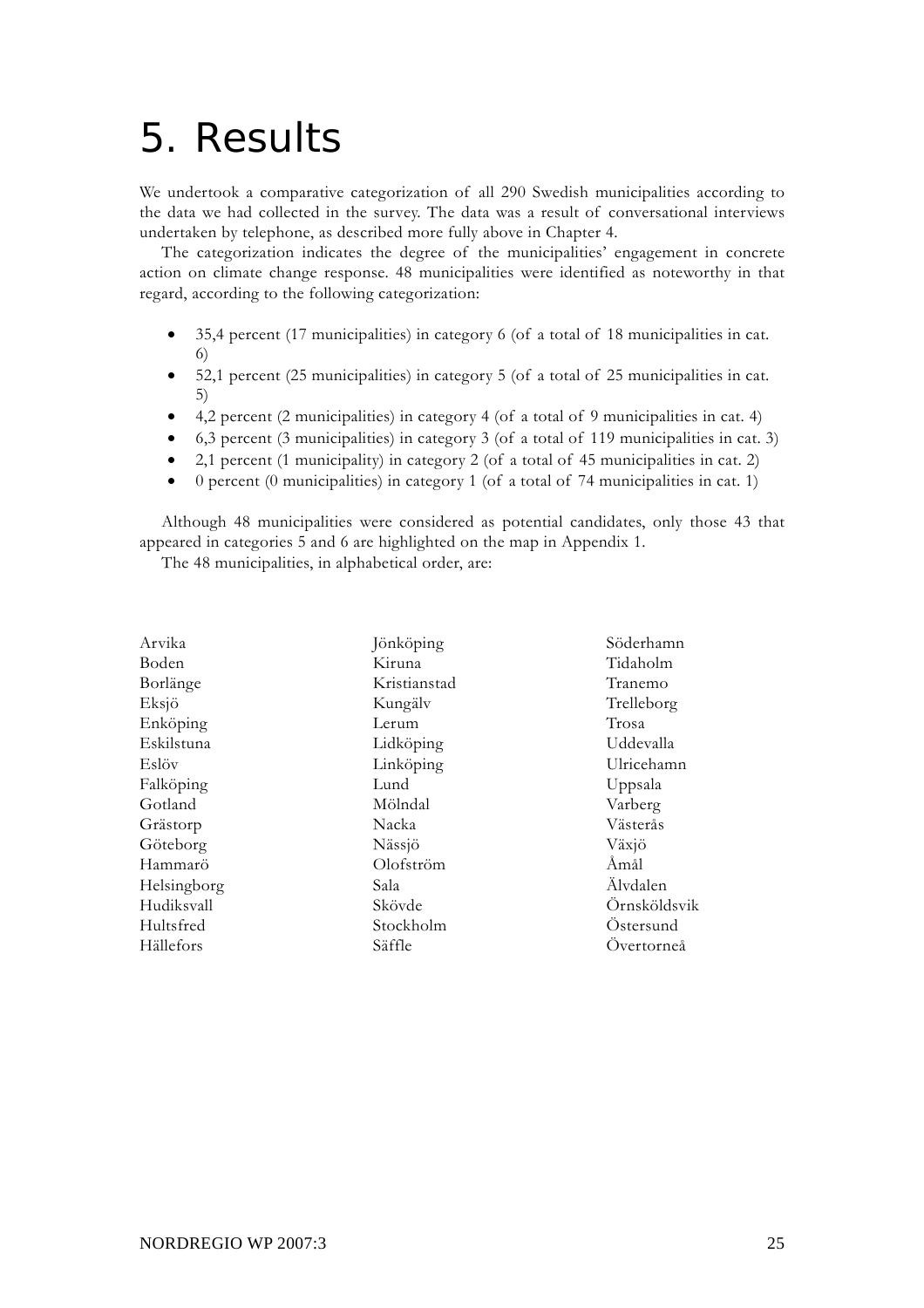# 5. Results

We undertook a comparative categorization of all 290 Swedish municipalities according to the data we had collected in the survey. The data was a result of conversational interviews undertaken by telephone, as described more fully above in Chapter 4.

The categorization indicates the degree of the municipalities' engagement in concrete action on climate change response. 48 municipalities were identified as noteworthy in that regard, according to the following categorization:

- 35,4 percent (17 municipalities) in category 6 (of a total of 18 municipalities in cat. 6)
- 52,1 percent (25 municipalities) in category 5 (of a total of 25 municipalities in cat. 5)
- 4,2 percent (2 municipalities) in category 4 (of a total of 9 municipalities in cat. 4)
- 6,3 percent (3 municipalities) in category 3 (of a total of 119 municipalities in cat. 3)
- 2,1 percent (1 municipality) in category 2 (of a total of 45 municipalities in cat. 2)
- 0 percent (0 municipalities) in category 1 (of a total of 74 municipalities in cat. 1)

Although 48 municipalities were considered as potential candidates, only those 43 that appeared in categories 5 and 6 are highlighted on the map in Appendix 1.

The 48 municipalities, in alphabetical order, are:

| Arvika      | Jönköping    | Söderhamn    |
|-------------|--------------|--------------|
| Boden       | Kiruna       | Tidaholm     |
| Borlänge    | Kristianstad | Tranemo      |
| Eksjö       | Kungälv      | Trelleborg   |
| Enköping    | Lerum        | Trosa        |
| Eskilstuna  | Lidköping    | Uddevalla    |
| Eslöv       | Linköping    | Ulricehamn   |
| Falköping   | Lund         | Uppsala      |
| Gotland     | Mölndal      | Varberg      |
| Grästorp    | Nacka        | Västerås     |
| Göteborg    | Nässjö       | Växjö        |
| Hammarö     | Olofström    | Åmål         |
| Helsingborg | Sala         | Älvdalen     |
| Hudiksvall  | Skövde       | Örnsköldsvik |
| Hultsfred   | Stockholm    | Ostersund    |
| Hällefors   | Säffle       | Overtorneå   |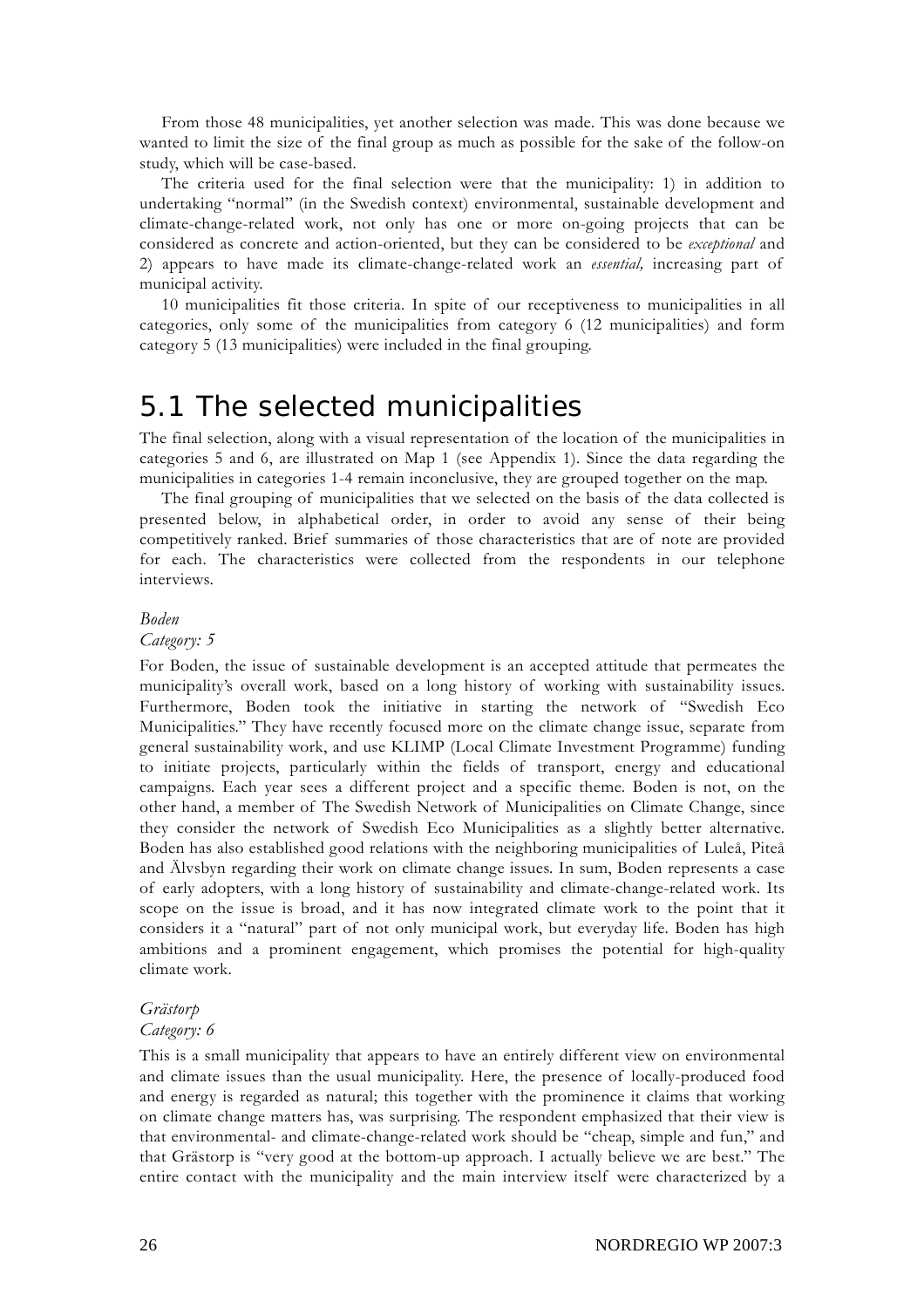From those 48 municipalities, yet another selection was made. This was done because we wanted to limit the size of the final group as much as possible for the sake of the follow-on study, which will be case-based.

The criteria used for the final selection were that the municipality: 1) in addition to undertaking "normal" (in the Swedish context) environmental, sustainable development and climate-change-related work, not only has one or more on-going projects that can be considered as concrete and action-oriented, but they can be considered to be *exceptional* and 2) appears to have made its climate-change-related work an *essential,* increasing part of municipal activity.

10 municipalities fit those criteria. In spite of our receptiveness to municipalities in all categories, only some of the municipalities from category 6 (12 municipalities) and form category 5 (13 municipalities) were included in the final grouping.

### 5.1 The selected municipalities

The final selection, along with a visual representation of the location of the municipalities in categories 5 and 6, are illustrated on Map 1 (see Appendix 1). Since the data regarding the municipalities in categories 1-4 remain inconclusive, they are grouped together on the map.

The final grouping of municipalities that we selected on the basis of the data collected is presented below, in alphabetical order, in order to avoid any sense of their being competitively ranked. Brief summaries of those characteristics that are of note are provided for each. The characteristics were collected from the respondents in our telephone interviews.

#### *Boden*

#### *Category: 5*

For Boden, the issue of sustainable development is an accepted attitude that permeates the municipality's overall work, based on a long history of working with sustainability issues. Furthermore, Boden took the initiative in starting the network of "Swedish Eco Municipalities." They have recently focused more on the climate change issue, separate from general sustainability work, and use KLIMP (Local Climate Investment Programme) funding to initiate projects, particularly within the fields of transport, energy and educational campaigns. Each year sees a different project and a specific theme. Boden is not, on the other hand, a member of The Swedish Network of Municipalities on Climate Change, since they consider the network of Swedish Eco Municipalities as a slightly better alternative. Boden has also established good relations with the neighboring municipalities of Luleå, Piteå and Älvsbyn regarding their work on climate change issues. In sum, Boden represents a case of early adopters, with a long history of sustainability and climate-change-related work. Its scope on the issue is broad, and it has now integrated climate work to the point that it considers it a "natural" part of not only municipal work, but everyday life. Boden has high ambitions and a prominent engagement, which promises the potential for high-quality climate work.

#### *Grästorp*

#### *Category: 6*

This is a small municipality that appears to have an entirely different view on environmental and climate issues than the usual municipality. Here, the presence of locally-produced food and energy is regarded as natural; this together with the prominence it claims that working on climate change matters has, was surprising. The respondent emphasized that their view is that environmental- and climate-change-related work should be "cheap, simple and fun," and that Grästorp is "very good at the bottom-up approach. I actually believe we are best." The entire contact with the municipality and the main interview itself were characterized by a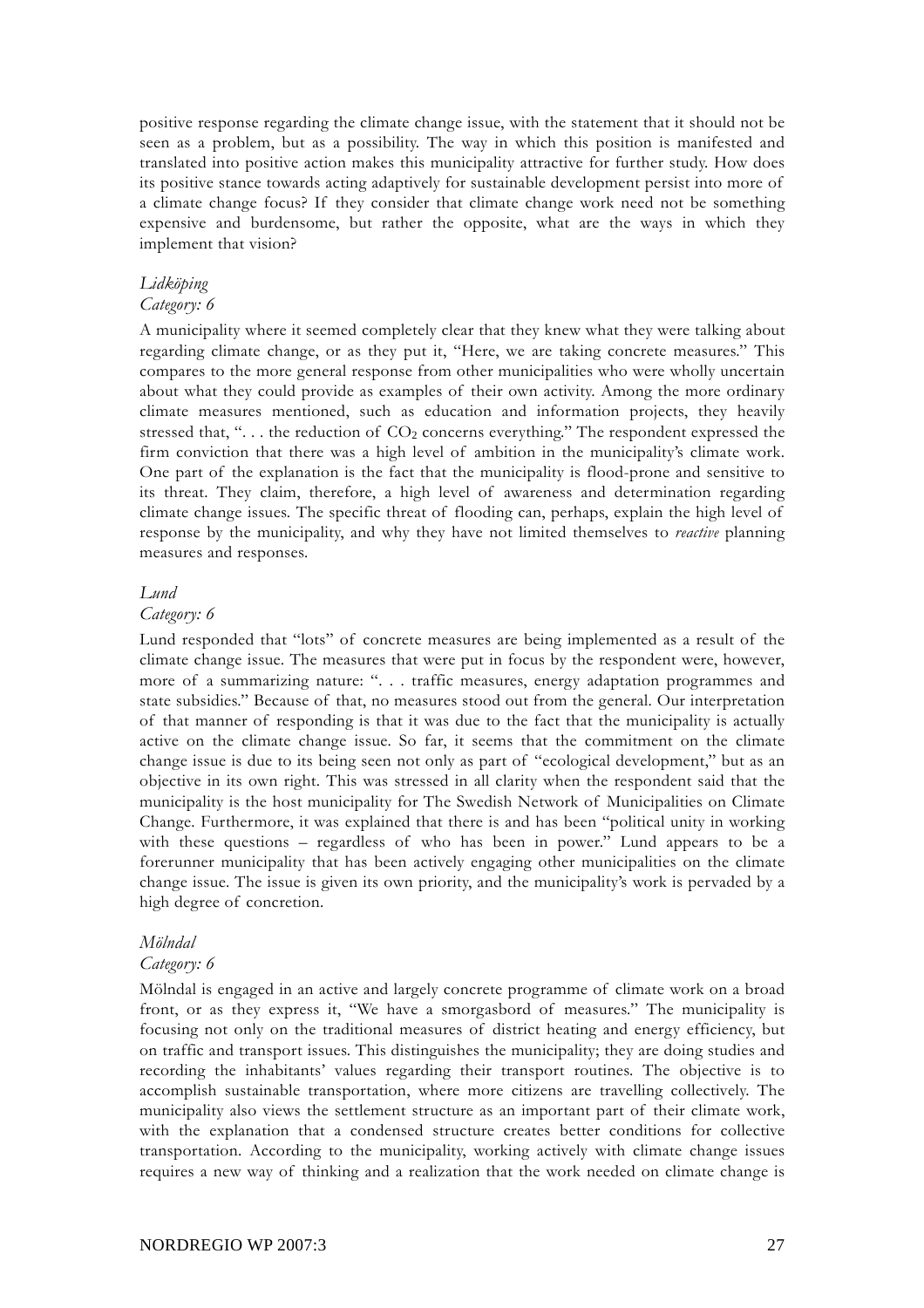positive response regarding the climate change issue, with the statement that it should not be seen as a problem, but as a possibility. The way in which this position is manifested and translated into positive action makes this municipality attractive for further study. How does its positive stance towards acting adaptively for sustainable development persist into more of a climate change focus? If they consider that climate change work need not be something expensive and burdensome, but rather the opposite, what are the ways in which they implement that vision?

#### *Lidköping*

#### *Category: 6*

A municipality where it seemed completely clear that they knew what they were talking about regarding climate change, or as they put it, "Here, we are taking concrete measures." This compares to the more general response from other municipalities who were wholly uncertain about what they could provide as examples of their own activity. Among the more ordinary climate measures mentioned, such as education and information projects, they heavily stressed that, " $\dots$  the reduction of  $CO<sub>2</sub>$  concerns everything." The respondent expressed the firm conviction that there was a high level of ambition in the municipality's climate work. One part of the explanation is the fact that the municipality is flood-prone and sensitive to its threat. They claim, therefore, a high level of awareness and determination regarding climate change issues. The specific threat of flooding can, perhaps, explain the high level of response by the municipality, and why they have not limited themselves to *reactive* planning measures and responses.

#### *Lund*

#### *Category: 6*

Lund responded that "lots" of concrete measures are being implemented as a result of the climate change issue. The measures that were put in focus by the respondent were, however, more of a summarizing nature: ". . . traffic measures, energy adaptation programmes and state subsidies." Because of that, no measures stood out from the general. Our interpretation of that manner of responding is that it was due to the fact that the municipality is actually active on the climate change issue. So far, it seems that the commitment on the climate change issue is due to its being seen not only as part of "ecological development," but as an objective in its own right. This was stressed in all clarity when the respondent said that the municipality is the host municipality for The Swedish Network of Municipalities on Climate Change. Furthermore, it was explained that there is and has been "political unity in working with these questions – regardless of who has been in power." Lund appears to be a forerunner municipality that has been actively engaging other municipalities on the climate change issue. The issue is given its own priority, and the municipality's work is pervaded by a high degree of concretion.

#### *Mölndal*

#### *Category: 6*

Mölndal is engaged in an active and largely concrete programme of climate work on a broad front, or as they express it, "We have a smorgasbord of measures." The municipality is focusing not only on the traditional measures of district heating and energy efficiency, but on traffic and transport issues. This distinguishes the municipality; they are doing studies and recording the inhabitants' values regarding their transport routines. The objective is to accomplish sustainable transportation, where more citizens are travelling collectively. The municipality also views the settlement structure as an important part of their climate work, with the explanation that a condensed structure creates better conditions for collective transportation. According to the municipality, working actively with climate change issues requires a new way of thinking and a realization that the work needed on climate change is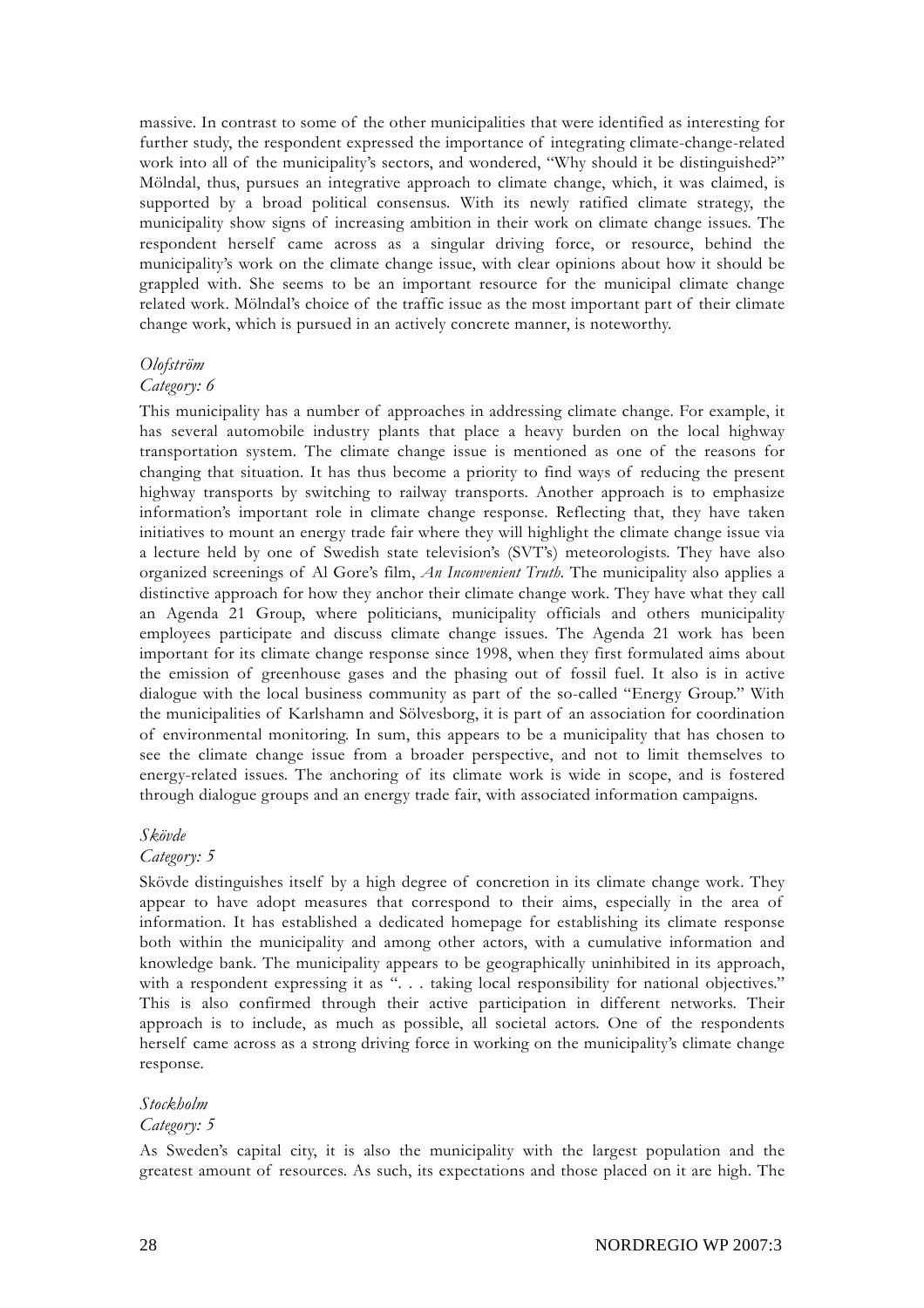massive. In contrast to some of the other municipalities that were identified as interesting for further study, the respondent expressed the importance of integrating climate-change-related work into all of the municipality's sectors, and wondered, "Why should it be distinguished?" Mölndal, thus, pursues an integrative approach to climate change, which, it was claimed, is supported by a broad political consensus. With its newly ratified climate strategy, the municipality show signs of increasing ambition in their work on climate change issues. The respondent herself came across as a singular driving force, or resource, behind the municipality's work on the climate change issue, with clear opinions about how it should be grappled with. She seems to be an important resource for the municipal climate change related work. Mölndal's choice of the traffic issue as the most important part of their climate change work, which is pursued in an actively concrete manner, is noteworthy.

#### *Olofström*

#### *Category: 6*

This municipality has a number of approaches in addressing climate change. For example, it has several automobile industry plants that place a heavy burden on the local highway transportation system. The climate change issue is mentioned as one of the reasons for changing that situation. It has thus become a priority to find ways of reducing the present highway transports by switching to railway transports. Another approach is to emphasize information's important role in climate change response. Reflecting that, they have taken initiatives to mount an energy trade fair where they will highlight the climate change issue via a lecture held by one of Swedish state television's (SVT's) meteorologists. They have also organized screenings of Al Gore's film, *An Inconvenient Truth.* The municipality also applies a distinctive approach for how they anchor their climate change work. They have what they call an Agenda 21 Group, where politicians, municipality officials and others municipality employees participate and discuss climate change issues. The Agenda 21 work has been important for its climate change response since 1998, when they first formulated aims about the emission of greenhouse gases and the phasing out of fossil fuel. It also is in active dialogue with the local business community as part of the so-called "Energy Group." With the municipalities of Karlshamn and Sölvesborg, it is part of an association for coordination of environmental monitoring. In sum, this appears to be a municipality that has chosen to see the climate change issue from a broader perspective, and not to limit themselves to energy-related issues. The anchoring of its climate work is wide in scope, and is fostered through dialogue groups and an energy trade fair, with associated information campaigns.

#### *Skövde*

#### *Category: 5*

Skövde distinguishes itself by a high degree of concretion in its climate change work. They appear to have adopt measures that correspond to their aims, especially in the area of information. It has established a dedicated homepage for establishing its climate response both within the municipality and among other actors, with a cumulative information and knowledge bank. The municipality appears to be geographically uninhibited in its approach, with a respondent expressing it as "... taking local responsibility for national objectives." This is also confirmed through their active participation in different networks. Their approach is to include, as much as possible, all societal actors. One of the respondents herself came across as a strong driving force in working on the municipality's climate change response.

#### *Stockholm*

#### *Category: 5*

As Sweden's capital city, it is also the municipality with the largest population and the greatest amount of resources. As such, its expectations and those placed on it are high. The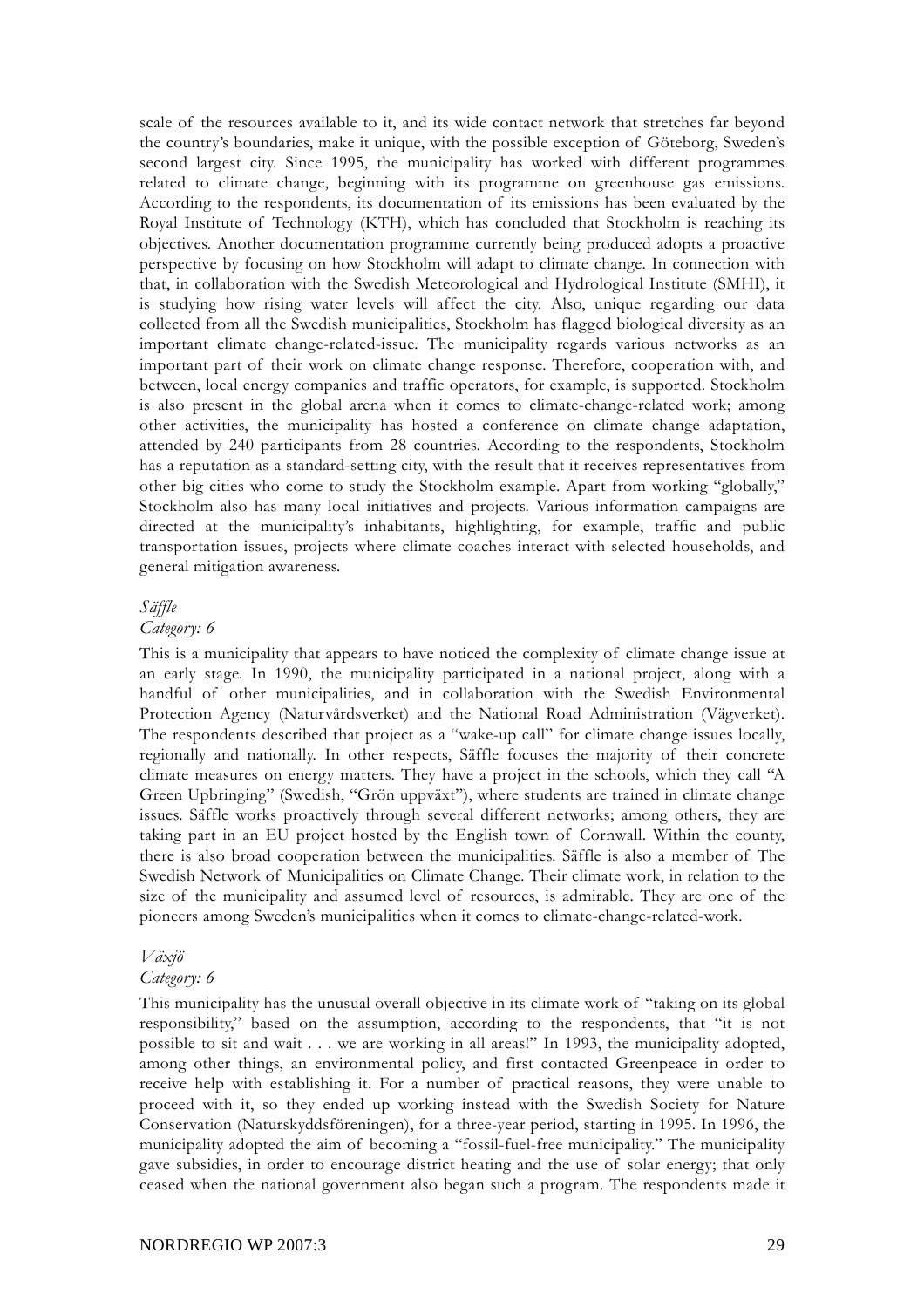scale of the resources available to it, and its wide contact network that stretches far beyond the country's boundaries, make it unique, with the possible exception of Göteborg, Sweden's second largest city. Since 1995, the municipality has worked with different programmes related to climate change, beginning with its programme on greenhouse gas emissions. According to the respondents, its documentation of its emissions has been evaluated by the Royal Institute of Technology (KTH), which has concluded that Stockholm is reaching its objectives. Another documentation programme currently being produced adopts a proactive perspective by focusing on how Stockholm will adapt to climate change. In connection with that, in collaboration with the Swedish Meteorological and Hydrological Institute (SMHI), it is studying how rising water levels will affect the city. Also, unique regarding our data collected from all the Swedish municipalities, Stockholm has flagged biological diversity as an important climate change-related-issue. The municipality regards various networks as an important part of their work on climate change response. Therefore, cooperation with, and between, local energy companies and traffic operators, for example, is supported. Stockholm is also present in the global arena when it comes to climate-change-related work; among other activities, the municipality has hosted a conference on climate change adaptation, attended by 240 participants from 28 countries. According to the respondents, Stockholm has a reputation as a standard-setting city, with the result that it receives representatives from other big cities who come to study the Stockholm example. Apart from working "globally," Stockholm also has many local initiatives and projects. Various information campaigns are directed at the municipality's inhabitants, highlighting, for example, traffic and public transportation issues, projects where climate coaches interact with selected households, and general mitigation awareness.

#### *Säffle*

#### *Category: 6*

This is a municipality that appears to have noticed the complexity of climate change issue at an early stage. In 1990, the municipality participated in a national project, along with a handful of other municipalities, and in collaboration with the Swedish Environmental Protection Agency (Naturvårdsverket) and the National Road Administration (Vägverket). The respondents described that project as a "wake-up call" for climate change issues locally, regionally and nationally. In other respects, Säffle focuses the majority of their concrete climate measures on energy matters. They have a project in the schools, which they call "A Green Upbringing" (Swedish, "Grön uppväxt"), where students are trained in climate change issues. Säffle works proactively through several different networks; among others, they are taking part in an EU project hosted by the English town of Cornwall. Within the county, there is also broad cooperation between the municipalities. Säffle is also a member of The Swedish Network of Municipalities on Climate Change. Their climate work, in relation to the size of the municipality and assumed level of resources, is admirable. They are one of the pioneers among Sweden's municipalities when it comes to climate-change-related-work.

#### *Växjö*

#### *Category: 6*

This municipality has the unusual overall objective in its climate work of "taking on its global responsibility," based on the assumption, according to the respondents, that "it is not possible to sit and wait . . . we are working in all areas!" In 1993, the municipality adopted, among other things, an environmental policy, and first contacted Greenpeace in order to receive help with establishing it. For a number of practical reasons, they were unable to proceed with it, so they ended up working instead with the Swedish Society for Nature Conservation (Naturskyddsföreningen), for a three-year period, starting in 1995. In 1996, the municipality adopted the aim of becoming a "fossil-fuel-free municipality." The municipality gave subsidies, in order to encourage district heating and the use of solar energy; that only ceased when the national government also began such a program. The respondents made it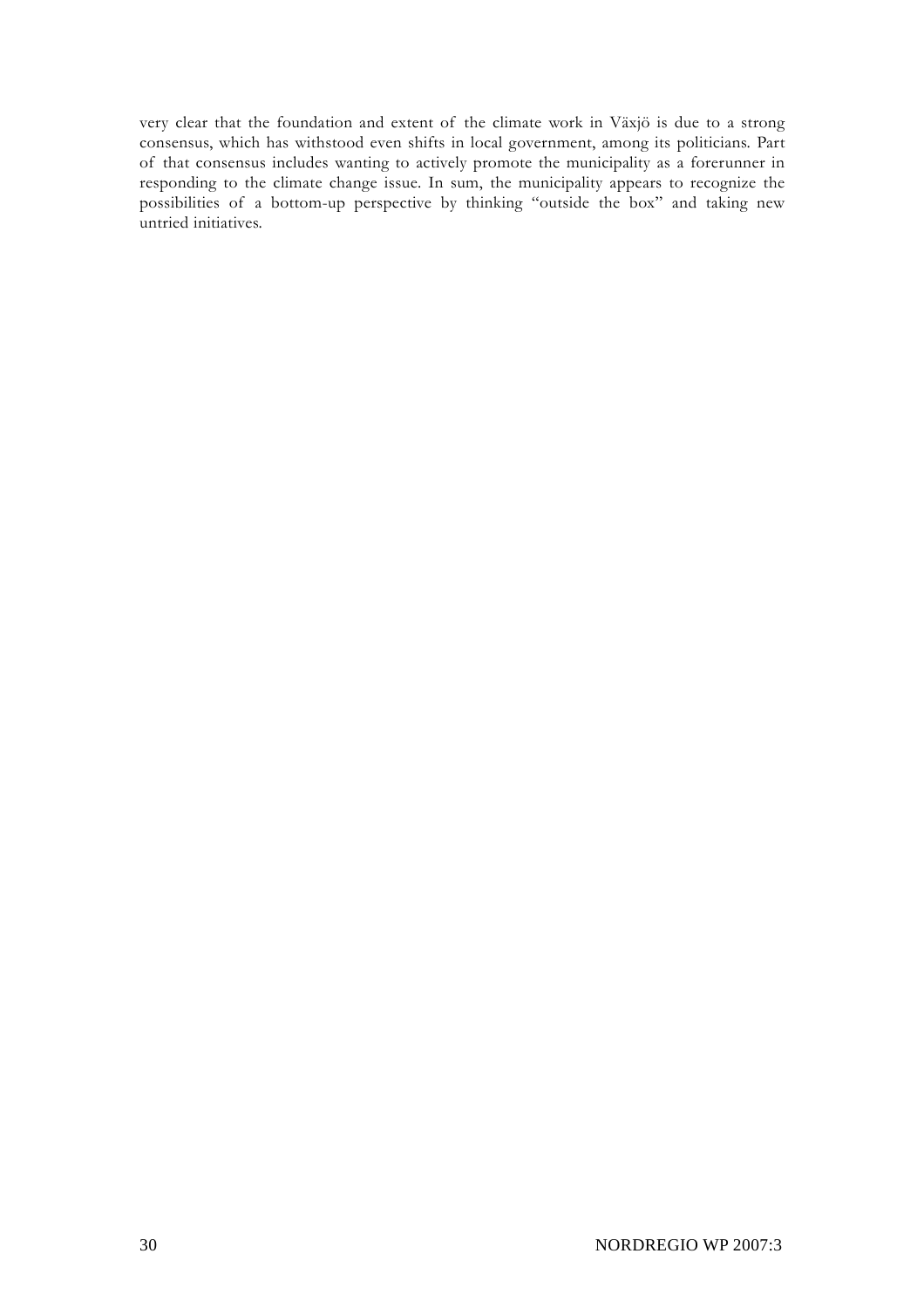very clear that the foundation and extent of the climate work in Växjö is due to a strong consensus, which has withstood even shifts in local government, among its politicians. Part of that consensus includes wanting to actively promote the municipality as a forerunner in responding to the climate change issue. In sum, the municipality appears to recognize the possibilities of a bottom-up perspective by thinking "outside the box" and taking new untried initiatives.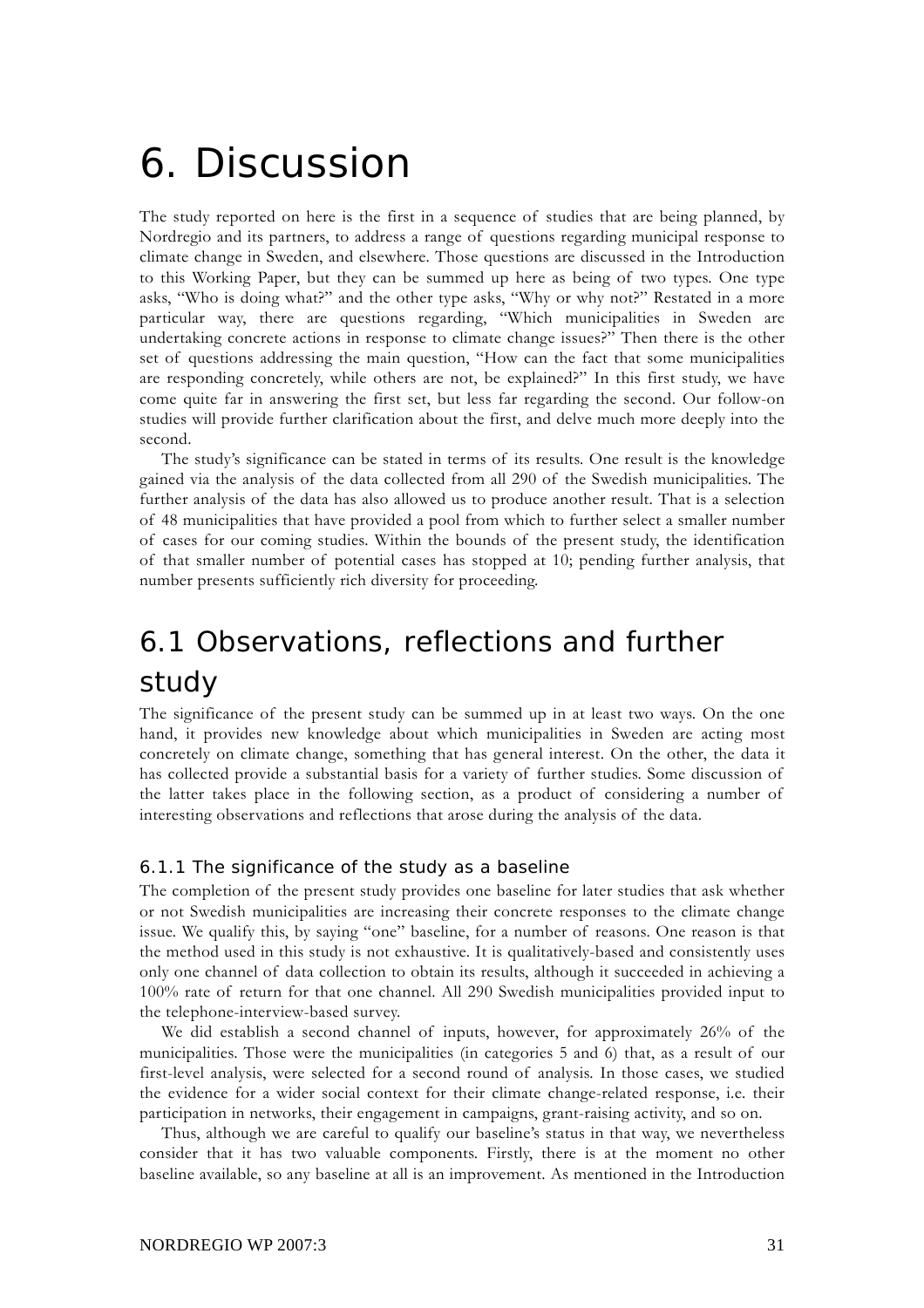# 6. Discussion

The study reported on here is the first in a sequence of studies that are being planned, by Nordregio and its partners, to address a range of questions regarding municipal response to climate change in Sweden, and elsewhere. Those questions are discussed in the Introduction to this Working Paper, but they can be summed up here as being of two types. One type asks, "Who is doing what?" and the other type asks, "Why or why not?" Restated in a more particular way, there are questions regarding, "Which municipalities in Sweden are undertaking concrete actions in response to climate change issues?" Then there is the other set of questions addressing the main question, "How can the fact that some municipalities are responding concretely, while others are not, be explained?" In this first study, we have come quite far in answering the first set, but less far regarding the second. Our follow-on studies will provide further clarification about the first, and delve much more deeply into the second.

The study's significance can be stated in terms of its results. One result is the knowledge gained via the analysis of the data collected from all 290 of the Swedish municipalities. The further analysis of the data has also allowed us to produce another result. That is a selection of 48 municipalities that have provided a pool from which to further select a smaller number of cases for our coming studies. Within the bounds of the present study, the identification of that smaller number of potential cases has stopped at 10; pending further analysis, that number presents sufficiently rich diversity for proceeding.

## 6.1 Observations, reflections and further study

The significance of the present study can be summed up in at least two ways. On the one hand, it provides new knowledge about which municipalities in Sweden are acting most concretely on climate change, something that has general interest. On the other, the data it has collected provide a substantial basis for a variety of further studies. Some discussion of the latter takes place in the following section, as a product of considering a number of interesting observations and reflections that arose during the analysis of the data.

#### 6.1.1 The significance of the study as a baseline

The completion of the present study provides one baseline for later studies that ask whether or not Swedish municipalities are increasing their concrete responses to the climate change issue. We qualify this, by saying "one" baseline, for a number of reasons. One reason is that the method used in this study is not exhaustive. It is qualitatively-based and consistently uses only one channel of data collection to obtain its results, although it succeeded in achieving a 100% rate of return for that one channel. All 290 Swedish municipalities provided input to the telephone-interview-based survey.

We did establish a second channel of inputs, however, for approximately 26% of the municipalities. Those were the municipalities (in categories 5 and 6) that, as a result of our first-level analysis, were selected for a second round of analysis. In those cases, we studied the evidence for a wider social context for their climate change-related response, i.e. their participation in networks, their engagement in campaigns, grant-raising activity, and so on.

Thus, although we are careful to qualify our baseline's status in that way, we nevertheless consider that it has two valuable components. Firstly, there is at the moment no other baseline available, so any baseline at all is an improvement. As mentioned in the Introduction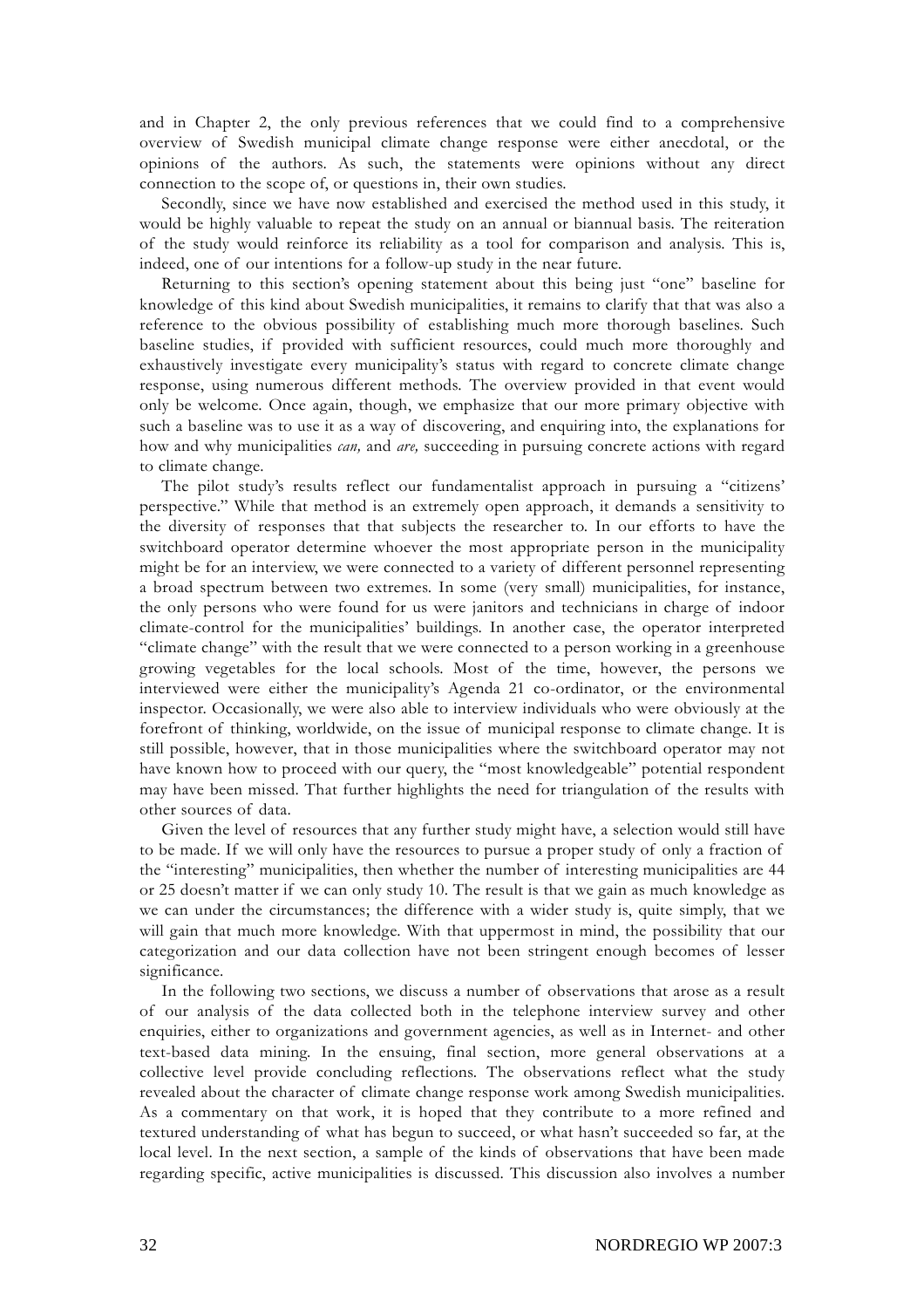and in Chapter 2, the only previous references that we could find to a comprehensive overview of Swedish municipal climate change response were either anecdotal, or the opinions of the authors. As such, the statements were opinions without any direct connection to the scope of, or questions in, their own studies.

Secondly, since we have now established and exercised the method used in this study, it would be highly valuable to repeat the study on an annual or biannual basis. The reiteration of the study would reinforce its reliability as a tool for comparison and analysis. This is, indeed, one of our intentions for a follow-up study in the near future.

Returning to this section's opening statement about this being just "one" baseline for knowledge of this kind about Swedish municipalities, it remains to clarify that that was also a reference to the obvious possibility of establishing much more thorough baselines. Such baseline studies, if provided with sufficient resources, could much more thoroughly and exhaustively investigate every municipality's status with regard to concrete climate change response, using numerous different methods. The overview provided in that event would only be welcome. Once again, though, we emphasize that our more primary objective with such a baseline was to use it as a way of discovering, and enquiring into, the explanations for how and why municipalities *can,* and *are,* succeeding in pursuing concrete actions with regard to climate change.

The pilot study's results reflect our fundamentalist approach in pursuing a "citizens' perspective." While that method is an extremely open approach, it demands a sensitivity to the diversity of responses that that subjects the researcher to. In our efforts to have the switchboard operator determine whoever the most appropriate person in the municipality might be for an interview, we were connected to a variety of different personnel representing a broad spectrum between two extremes. In some (very small) municipalities, for instance, the only persons who were found for us were janitors and technicians in charge of indoor climate-control for the municipalities' buildings. In another case, the operator interpreted "climate change" with the result that we were connected to a person working in a greenhouse growing vegetables for the local schools. Most of the time, however, the persons we interviewed were either the municipality's Agenda 21 co-ordinator, or the environmental inspector. Occasionally, we were also able to interview individuals who were obviously at the forefront of thinking, worldwide, on the issue of municipal response to climate change. It is still possible, however, that in those municipalities where the switchboard operator may not have known how to proceed with our query, the "most knowledgeable" potential respondent may have been missed. That further highlights the need for triangulation of the results with other sources of data.

Given the level of resources that any further study might have, a selection would still have to be made. If we will only have the resources to pursue a proper study of only a fraction of the "interesting" municipalities, then whether the number of interesting municipalities are 44 or 25 doesn't matter if we can only study 10. The result is that we gain as much knowledge as we can under the circumstances; the difference with a wider study is, quite simply, that we will gain that much more knowledge. With that uppermost in mind, the possibility that our categorization and our data collection have not been stringent enough becomes of lesser significance.

In the following two sections, we discuss a number of observations that arose as a result of our analysis of the data collected both in the telephone interview survey and other enquiries, either to organizations and government agencies, as well as in Internet- and other text-based data mining. In the ensuing, final section, more general observations at a collective level provide concluding reflections. The observations reflect what the study revealed about the character of climate change response work among Swedish municipalities. As a commentary on that work, it is hoped that they contribute to a more refined and textured understanding of what has begun to succeed, or what hasn't succeeded so far, at the local level. In the next section, a sample of the kinds of observations that have been made regarding specific, active municipalities is discussed. This discussion also involves a number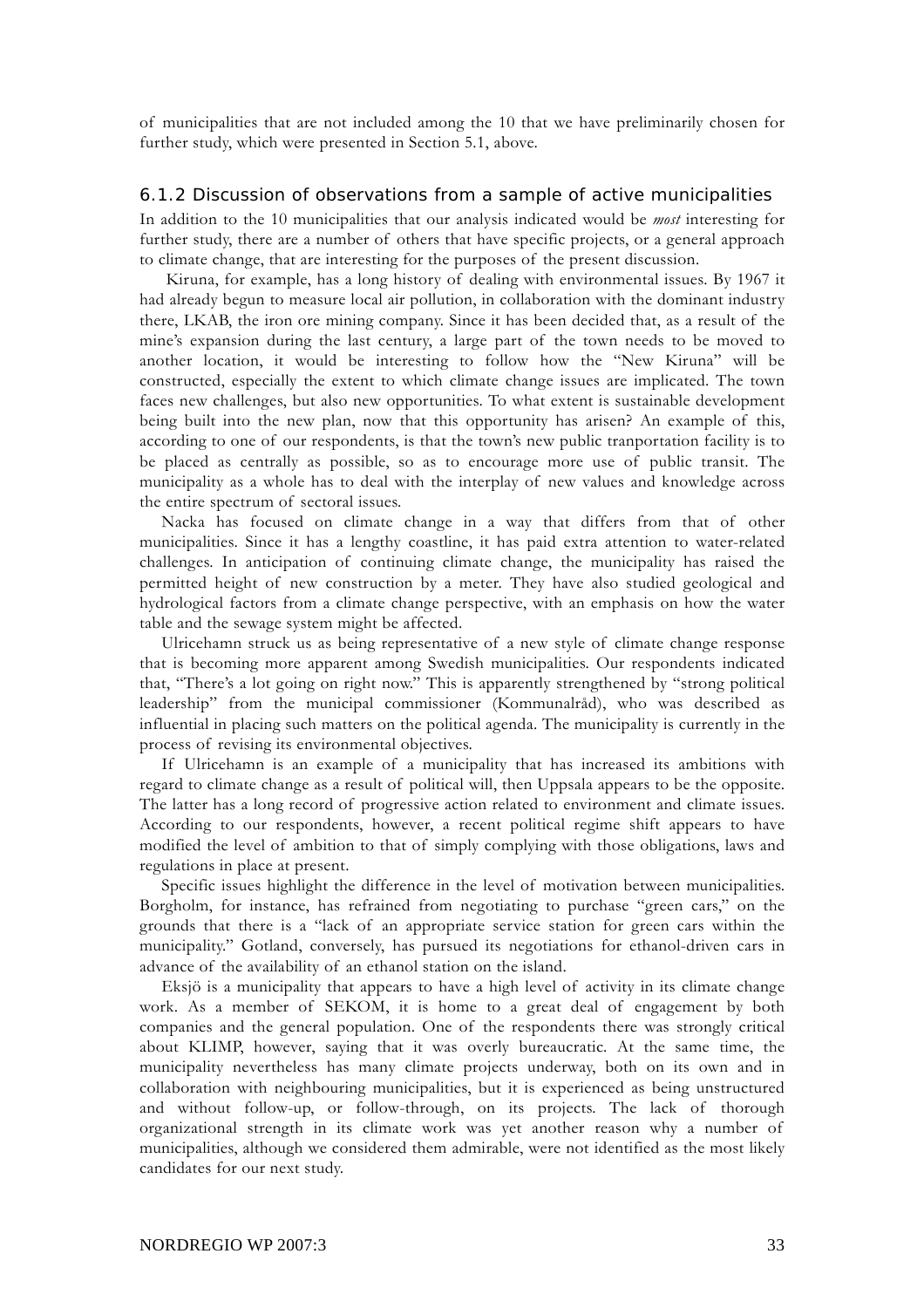of municipalities that are not included among the 10 that we have preliminarily chosen for further study, which were presented in Section 5.1, above.

#### 6.1.2 Discussion of observations from a sample of active municipalities

In addition to the 10 municipalities that our analysis indicated would be *most* interesting for further study, there are a number of others that have specific projects, or a general approach to climate change, that are interesting for the purposes of the present discussion.

 Kiruna, for example, has a long history of dealing with environmental issues. By 1967 it had already begun to measure local air pollution, in collaboration with the dominant industry there, LKAB, the iron ore mining company. Since it has been decided that, as a result of the mine's expansion during the last century, a large part of the town needs to be moved to another location, it would be interesting to follow how the "New Kiruna" will be constructed, especially the extent to which climate change issues are implicated. The town faces new challenges, but also new opportunities. To what extent is sustainable development being built into the new plan, now that this opportunity has arisen? An example of this, according to one of our respondents, is that the town's new public tranportation facility is to be placed as centrally as possible, so as to encourage more use of public transit. The municipality as a whole has to deal with the interplay of new values and knowledge across the entire spectrum of sectoral issues.

Nacka has focused on climate change in a way that differs from that of other municipalities. Since it has a lengthy coastline, it has paid extra attention to water-related challenges. In anticipation of continuing climate change, the municipality has raised the permitted height of new construction by a meter. They have also studied geological and hydrological factors from a climate change perspective, with an emphasis on how the water table and the sewage system might be affected.

Ulricehamn struck us as being representative of a new style of climate change response that is becoming more apparent among Swedish municipalities. Our respondents indicated that, "There's a lot going on right now." This is apparently strengthened by "strong political leadership" from the municipal commissioner (Kommunalråd), who was described as influential in placing such matters on the political agenda. The municipality is currently in the process of revising its environmental objectives.

If Ulricehamn is an example of a municipality that has increased its ambitions with regard to climate change as a result of political will, then Uppsala appears to be the opposite. The latter has a long record of progressive action related to environment and climate issues. According to our respondents, however, a recent political regime shift appears to have modified the level of ambition to that of simply complying with those obligations, laws and regulations in place at present.

Specific issues highlight the difference in the level of motivation between municipalities. Borgholm, for instance, has refrained from negotiating to purchase "green cars," on the grounds that there is a "lack of an appropriate service station for green cars within the municipality." Gotland, conversely, has pursued its negotiations for ethanol-driven cars in advance of the availability of an ethanol station on the island.

Eksjö is a municipality that appears to have a high level of activity in its climate change work. As a member of SEKOM, it is home to a great deal of engagement by both companies and the general population. One of the respondents there was strongly critical about KLIMP, however, saying that it was overly bureaucratic. At the same time, the municipality nevertheless has many climate projects underway, both on its own and in collaboration with neighbouring municipalities, but it is experienced as being unstructured and without follow-up, or follow-through, on its projects. The lack of thorough organizational strength in its climate work was yet another reason why a number of municipalities, although we considered them admirable, were not identified as the most likely candidates for our next study.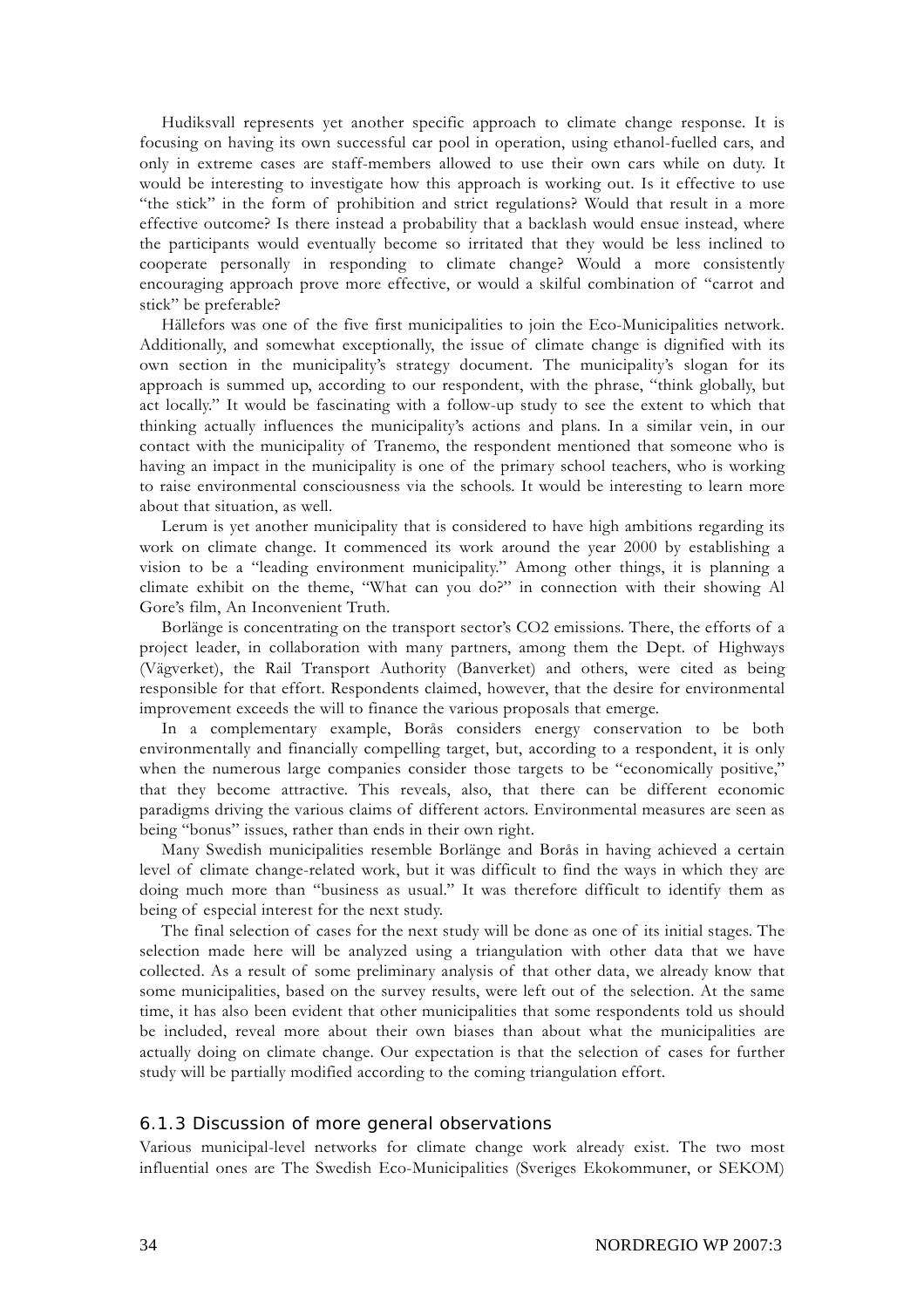Hudiksvall represents yet another specific approach to climate change response. It is focusing on having its own successful car pool in operation, using ethanol-fuelled cars, and only in extreme cases are staff-members allowed to use their own cars while on duty. It would be interesting to investigate how this approach is working out. Is it effective to use "the stick" in the form of prohibition and strict regulations? Would that result in a more effective outcome? Is there instead a probability that a backlash would ensue instead, where the participants would eventually become so irritated that they would be less inclined to cooperate personally in responding to climate change? Would a more consistently encouraging approach prove more effective, or would a skilful combination of "carrot and stick" be preferable?

Hällefors was one of the five first municipalities to join the Eco-Municipalities network. Additionally, and somewhat exceptionally, the issue of climate change is dignified with its own section in the municipality's strategy document. The municipality's slogan for its approach is summed up, according to our respondent, with the phrase, "think globally, but act locally." It would be fascinating with a follow-up study to see the extent to which that thinking actually influences the municipality's actions and plans. In a similar vein, in our contact with the municipality of Tranemo, the respondent mentioned that someone who is having an impact in the municipality is one of the primary school teachers, who is working to raise environmental consciousness via the schools. It would be interesting to learn more about that situation, as well.

Lerum is yet another municipality that is considered to have high ambitions regarding its work on climate change. It commenced its work around the year 2000 by establishing a vision to be a "leading environment municipality." Among other things, it is planning a climate exhibit on the theme, "What can you do?" in connection with their showing Al Gore's film, An Inconvenient Truth.

Borlänge is concentrating on the transport sector's CO2 emissions. There, the efforts of a project leader, in collaboration with many partners, among them the Dept. of Highways (Vägverket), the Rail Transport Authority (Banverket) and others, were cited as being responsible for that effort. Respondents claimed, however, that the desire for environmental improvement exceeds the will to finance the various proposals that emerge.

In a complementary example, Borås considers energy conservation to be both environmentally and financially compelling target, but, according to a respondent, it is only when the numerous large companies consider those targets to be "economically positive," that they become attractive. This reveals, also, that there can be different economic paradigms driving the various claims of different actors. Environmental measures are seen as being "bonus" issues, rather than ends in their own right.

Many Swedish municipalities resemble Borlänge and Borås in having achieved a certain level of climate change-related work, but it was difficult to find the ways in which they are doing much more than "business as usual." It was therefore difficult to identify them as being of especial interest for the next study.

The final selection of cases for the next study will be done as one of its initial stages. The selection made here will be analyzed using a triangulation with other data that we have collected. As a result of some preliminary analysis of that other data, we already know that some municipalities, based on the survey results, were left out of the selection. At the same time, it has also been evident that other municipalities that some respondents told us should be included, reveal more about their own biases than about what the municipalities are actually doing on climate change. Our expectation is that the selection of cases for further study will be partially modified according to the coming triangulation effort.

#### 6.1.3 Discussion of more general observations

Various municipal-level networks for climate change work already exist. The two most influential ones are The Swedish Eco-Municipalities (Sveriges Ekokommuner, or SEKOM)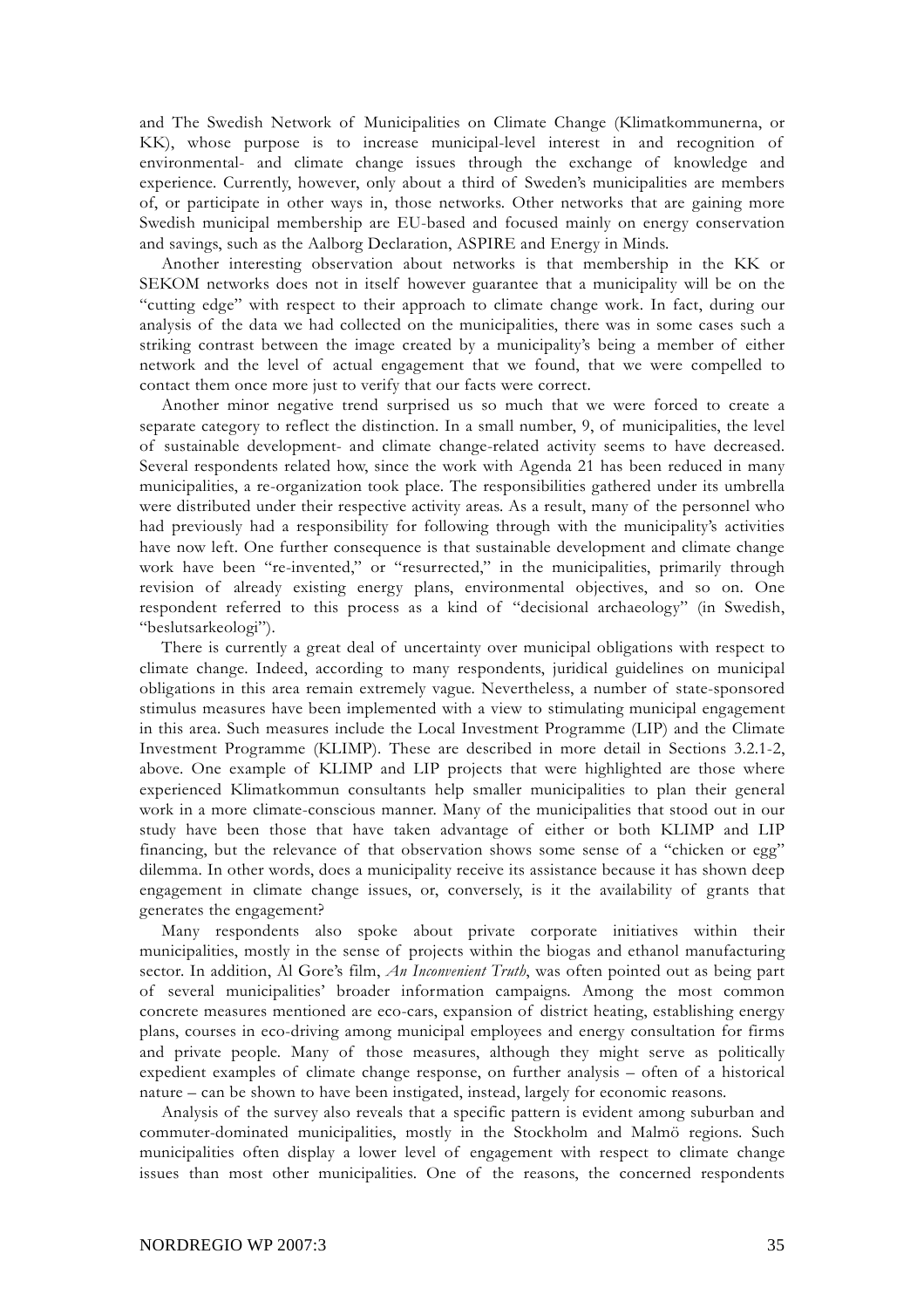and The Swedish Network of Municipalities on Climate Change (Klimatkommunerna, or KK), whose purpose is to increase municipal-level interest in and recognition of environmental- and climate change issues through the exchange of knowledge and experience. Currently, however, only about a third of Sweden's municipalities are members of, or participate in other ways in, those networks. Other networks that are gaining more Swedish municipal membership are EU-based and focused mainly on energy conservation and savings, such as the Aalborg Declaration, ASPIRE and Energy in Minds.

Another interesting observation about networks is that membership in the KK or SEKOM networks does not in itself however guarantee that a municipality will be on the "cutting edge" with respect to their approach to climate change work. In fact, during our analysis of the data we had collected on the municipalities, there was in some cases such a striking contrast between the image created by a municipality's being a member of either network and the level of actual engagement that we found, that we were compelled to contact them once more just to verify that our facts were correct.

Another minor negative trend surprised us so much that we were forced to create a separate category to reflect the distinction. In a small number, 9, of municipalities, the level of sustainable development- and climate change-related activity seems to have decreased. Several respondents related how, since the work with Agenda 21 has been reduced in many municipalities, a re-organization took place. The responsibilities gathered under its umbrella were distributed under their respective activity areas. As a result, many of the personnel who had previously had a responsibility for following through with the municipality's activities have now left. One further consequence is that sustainable development and climate change work have been "re-invented," or "resurrected," in the municipalities, primarily through revision of already existing energy plans, environmental objectives, and so on. One respondent referred to this process as a kind of "decisional archaeology" (in Swedish, "beslutsarkeologi").

There is currently a great deal of uncertainty over municipal obligations with respect to climate change. Indeed, according to many respondents, juridical guidelines on municipal obligations in this area remain extremely vague. Nevertheless, a number of state-sponsored stimulus measures have been implemented with a view to stimulating municipal engagement in this area. Such measures include the Local Investment Programme (LIP) and the Climate Investment Programme (KLIMP). These are described in more detail in Sections 3.2.1-2, above. One example of KLIMP and LIP projects that were highlighted are those where experienced Klimatkommun consultants help smaller municipalities to plan their general work in a more climate-conscious manner. Many of the municipalities that stood out in our study have been those that have taken advantage of either or both KLIMP and LIP financing, but the relevance of that observation shows some sense of a "chicken or egg" dilemma. In other words, does a municipality receive its assistance because it has shown deep engagement in climate change issues, or, conversely, is it the availability of grants that generates the engagement?

Many respondents also spoke about private corporate initiatives within their municipalities, mostly in the sense of projects within the biogas and ethanol manufacturing sector. In addition, Al Gore's film, *An Inconvenient Truth*, was often pointed out as being part of several municipalities' broader information campaigns. Among the most common concrete measures mentioned are eco-cars, expansion of district heating, establishing energy plans, courses in eco-driving among municipal employees and energy consultation for firms and private people. Many of those measures, although they might serve as politically expedient examples of climate change response, on further analysis – often of a historical nature – can be shown to have been instigated, instead, largely for economic reasons.

Analysis of the survey also reveals that a specific pattern is evident among suburban and commuter-dominated municipalities, mostly in the Stockholm and Malmö regions. Such municipalities often display a lower level of engagement with respect to climate change issues than most other municipalities. One of the reasons, the concerned respondents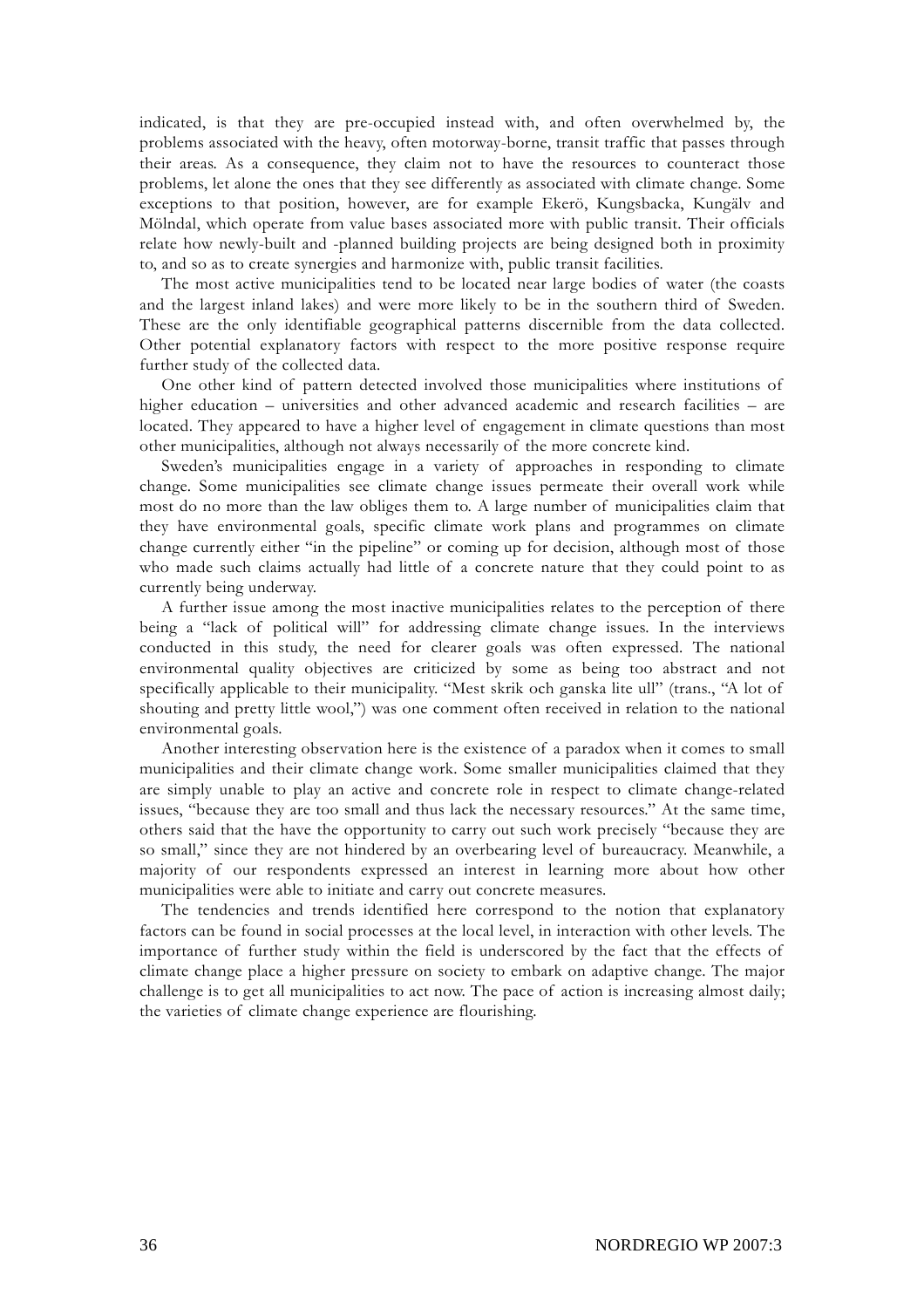indicated, is that they are pre-occupied instead with, and often overwhelmed by, the problems associated with the heavy, often motorway-borne, transit traffic that passes through their areas. As a consequence, they claim not to have the resources to counteract those problems, let alone the ones that they see differently as associated with climate change. Some exceptions to that position, however, are for example Ekerö, Kungsbacka, Kungälv and Mölndal, which operate from value bases associated more with public transit. Their officials relate how newly-built and -planned building projects are being designed both in proximity to, and so as to create synergies and harmonize with, public transit facilities.

The most active municipalities tend to be located near large bodies of water (the coasts and the largest inland lakes) and were more likely to be in the southern third of Sweden. These are the only identifiable geographical patterns discernible from the data collected. Other potential explanatory factors with respect to the more positive response require further study of the collected data.

One other kind of pattern detected involved those municipalities where institutions of higher education – universities and other advanced academic and research facilities – are located. They appeared to have a higher level of engagement in climate questions than most other municipalities, although not always necessarily of the more concrete kind.

Sweden's municipalities engage in a variety of approaches in responding to climate change. Some municipalities see climate change issues permeate their overall work while most do no more than the law obliges them to. A large number of municipalities claim that they have environmental goals, specific climate work plans and programmes on climate change currently either "in the pipeline" or coming up for decision, although most of those who made such claims actually had little of a concrete nature that they could point to as currently being underway.

A further issue among the most inactive municipalities relates to the perception of there being a "lack of political will" for addressing climate change issues. In the interviews conducted in this study, the need for clearer goals was often expressed. The national environmental quality objectives are criticized by some as being too abstract and not specifically applicable to their municipality. "Mest skrik och ganska lite ull" (trans., "A lot of shouting and pretty little wool,") was one comment often received in relation to the national environmental goals.

Another interesting observation here is the existence of a paradox when it comes to small municipalities and their climate change work. Some smaller municipalities claimed that they are simply unable to play an active and concrete role in respect to climate change-related issues, "because they are too small and thus lack the necessary resources." At the same time, others said that the have the opportunity to carry out such work precisely "because they are so small," since they are not hindered by an overbearing level of bureaucracy. Meanwhile, a majority of our respondents expressed an interest in learning more about how other municipalities were able to initiate and carry out concrete measures.

The tendencies and trends identified here correspond to the notion that explanatory factors can be found in social processes at the local level, in interaction with other levels. The importance of further study within the field is underscored by the fact that the effects of climate change place a higher pressure on society to embark on adaptive change. The major challenge is to get all municipalities to act now. The pace of action is increasing almost daily; the varieties of climate change experience are flourishing.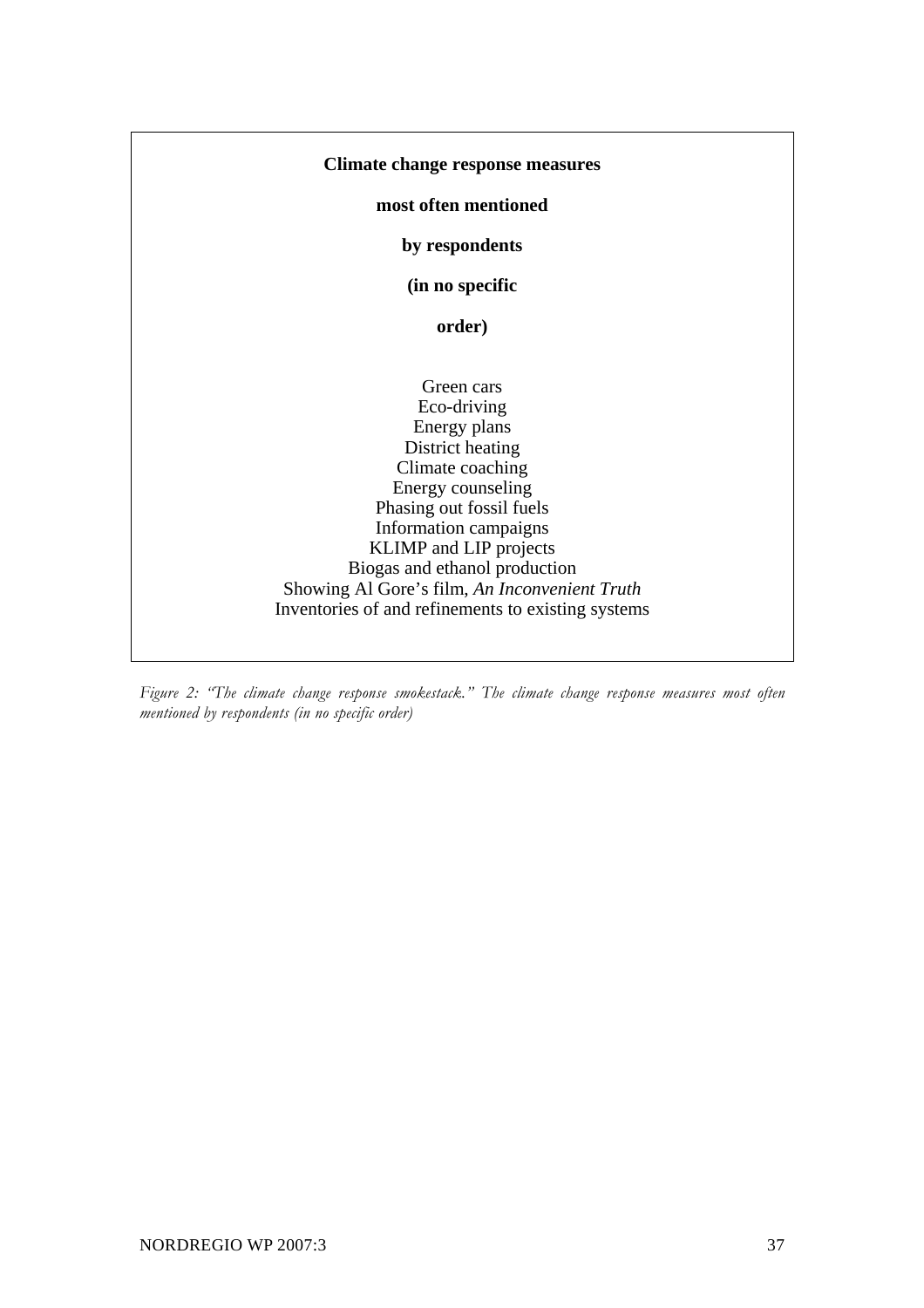#### **Climate change response measures**

**most often mentioned** 

**by respondents** 

**(in no specific** 

**order)** 

Green cars Eco-driving Energy plans District heating Climate coaching Energy counseling Phasing out fossil fuels Information campaigns KLIMP and LIP projects Biogas and ethanol production Showing Al Gore's film, *An Inconvenient Truth* Inventories of and refinements to existing systems

*Figure 2: "The climate change response smokestack." The climate change response measures most often mentioned by respondents (in no specific order)*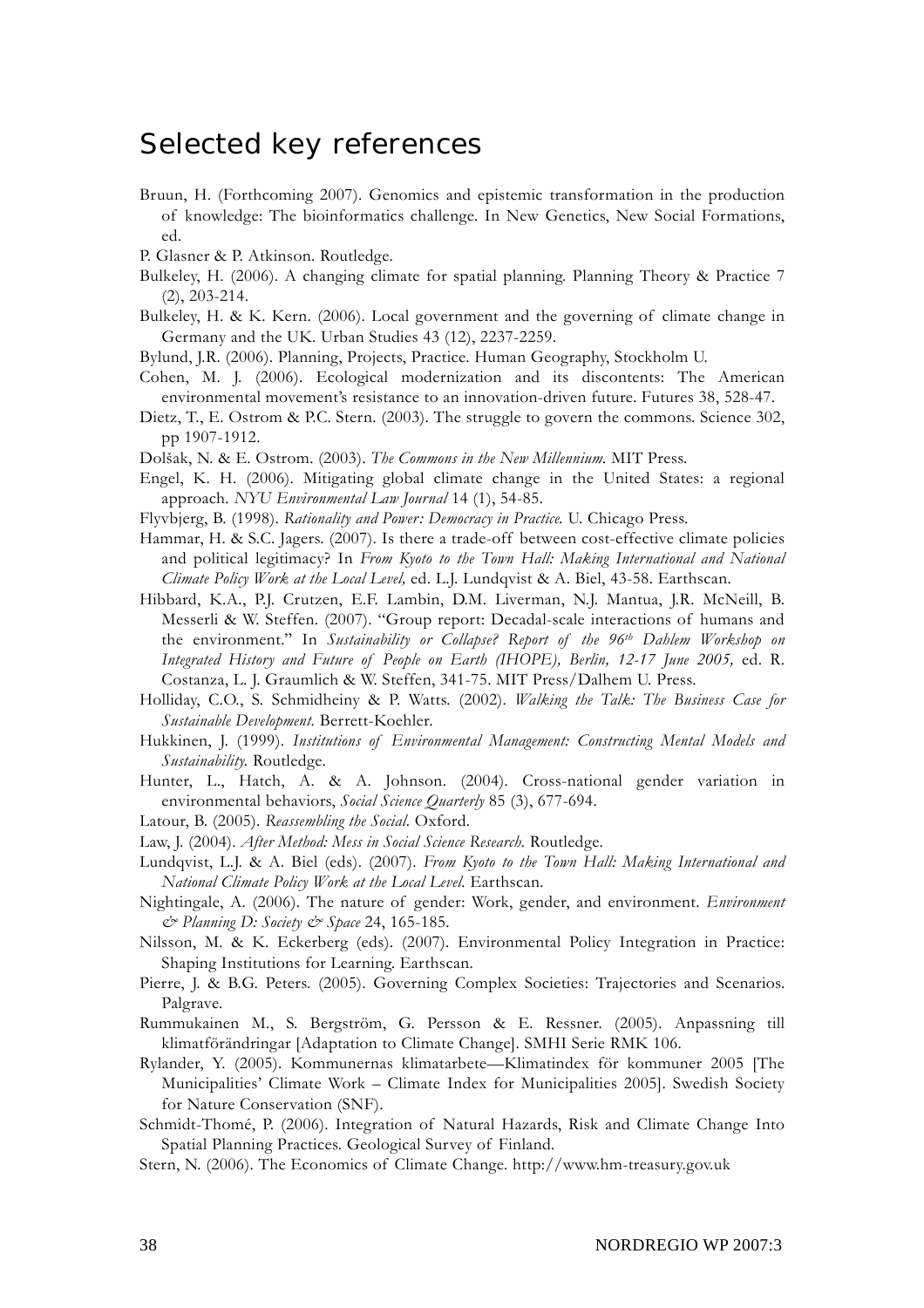### Selected key references

- Bruun, H. (Forthcoming 2007). Genomics and epistemic transformation in the production of knowledge: The bioinformatics challenge. In New Genetics, New Social Formations, ed.
- P. Glasner & P. Atkinson. Routledge.
- Bulkeley, H. (2006). A changing climate for spatial planning. Planning Theory & Practice 7 (2), 203-214.
- Bulkeley, H. & K. Kern. (2006). Local government and the governing of climate change in Germany and the UK. Urban Studies 43 (12), 2237-2259.
- Bylund, J.R. (2006). Planning, Projects, Practice. Human Geography, Stockholm U.
- Cohen, M. J. (2006). Ecological modernization and its discontents: The American environmental movement's resistance to an innovation-driven future. Futures 38, 528-47.
- Dietz, T., E. Ostrom & P.C. Stern. (2003). The struggle to govern the commons. Science 302, pp 1907-1912.
- Dolšak, N. & E. Ostrom. (2003). *The Commons in the New Millennium.* MIT Press.
- Engel, K. H. (2006). Mitigating global climate change in the United States: a regional approach. *NYU Environmental Law Journal* 14 (1), 54-85.
- Flyvbjerg, B. (1998). *Rationality and Power: Democracy in Practice.* U. Chicago Press.
- Hammar, H. & S.C. Jagers. (2007). Is there a trade-off between cost-effective climate policies and political legitimacy? In *From Kyoto to the Town Hall: Making International and National Climate Policy Work at the Local Level,* ed. L.J. Lundqvist & A. Biel, 43-58. Earthscan.
- Hibbard, K.A., P.J. Crutzen, E.F. Lambin, D.M. Liverman, N.J. Mantua, J.R. McNeill, B. Messerli & W. Steffen. (2007). "Group report: Decadal-scale interactions of humans and the environment." In *Sustainability or Collapse? Report of the 96th Dahlem Workshop on Integrated History and Future of People on Earth (IHOPE), Berlin, 12-17 June 2005,* ed. R. Costanza, L. J. Graumlich & W. Steffen, 341-75. MIT Press/Dalhem U. Press.
- Holliday, C.O., S. Schmidheiny & P. Watts. (2002). *Walking the Talk: The Business Case for Sustainable Development.* Berrett-Koehler.
- Hukkinen, J. (1999). *Institutions of Environmental Management: Constructing Mental Models and Sustainability.* Routledge.
- Hunter, L., Hatch, A. & A. Johnson. (2004). Cross-national gender variation in environmental behaviors, *Social Science Quarterly* 85 (3), 677-694.
- Latour, B. (2005). *Reassembling the Social.* Oxford.
- Law, J. (2004). *After Method: Mess in Social Science Research.* Routledge.
- Lundqvist, L.J. & A. Biel (eds). (2007). *From Kyoto to the Town Hall: Making International and National Climate Policy Work at the Local Level.* Earthscan.
- Nightingale, A. (2006). The nature of gender: Work, gender, and environment. *Environment & Planning D: Society & Space* 24, 165-185.
- Nilsson, M. & K. Eckerberg (eds). (2007). Environmental Policy Integration in Practice: Shaping Institutions for Learning. Earthscan.
- Pierre, J. & B.G. Peters. (2005). Governing Complex Societies: Trajectories and Scenarios. Palgrave.
- Rummukainen M., S. Bergström, G. Persson & E. Ressner. (2005). Anpassning till klimatförändringar [Adaptation to Climate Change]. SMHI Serie RMK 106.
- Rylander, Y. (2005). Kommunernas klimatarbete—Klimatindex för kommuner 2005 [The Municipalities' Climate Work – Climate Index for Municipalities 2005]. Swedish Society for Nature Conservation (SNF).
- Schmidt-Thomé, P. (2006). Integration of Natural Hazards, Risk and Climate Change Into Spatial Planning Practices. Geological Survey of Finland.
- Stern, N. (2006). The Economics of Climate Change. http://www.hm-treasury.gov.uk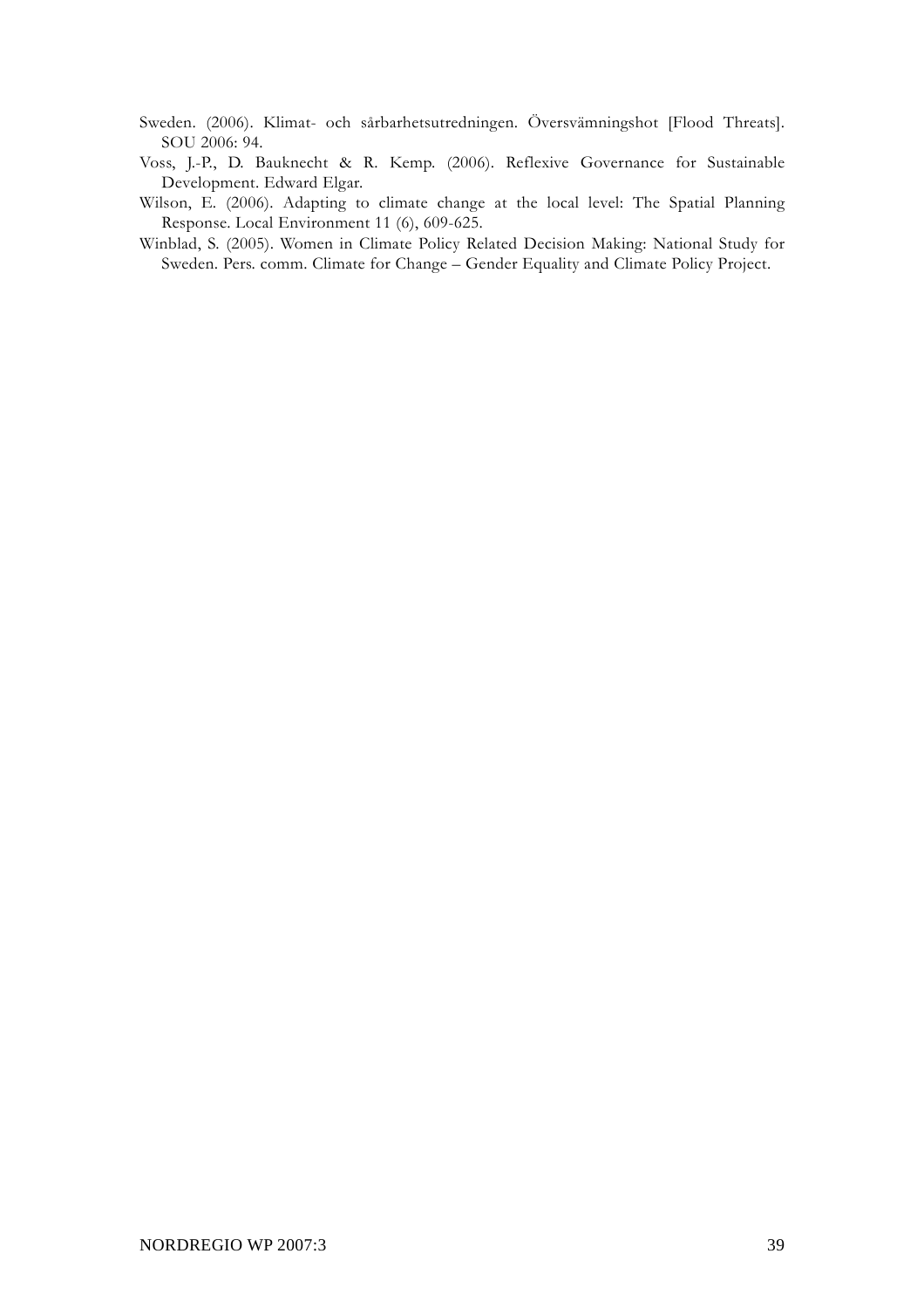Sweden. (2006). Klimat- och sårbarhetsutredningen. Översvämningshot [Flood Threats]. SOU 2006: 94.

- Voss, J.-P., D. Bauknecht & R. Kemp. (2006). Reflexive Governance for Sustainable Development. Edward Elgar.
- Wilson, E. (2006). Adapting to climate change at the local level: The Spatial Planning Response. Local Environment 11 (6), 609-625.
- Winblad, S. (2005). Women in Climate Policy Related Decision Making: National Study for Sweden. Pers. comm. Climate for Change – Gender Equality and Climate Policy Project.